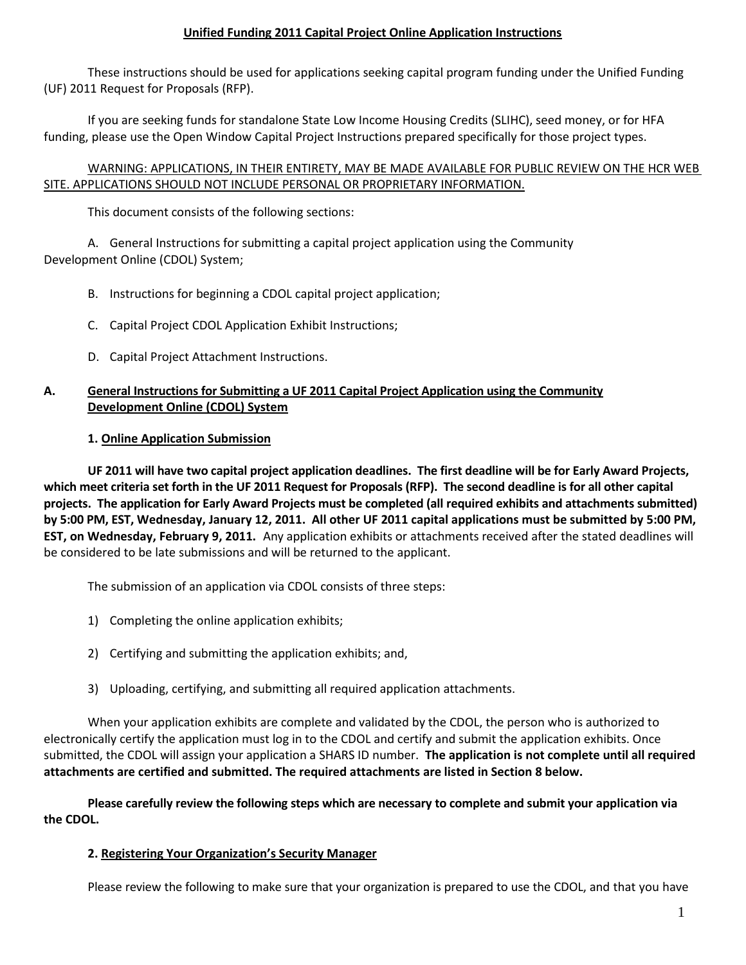### **Unified Funding 2011 Capital Project Online Application Instructions**

These instructions should be used for applications seeking capital program funding under the Unified Funding (UF) 2011 Request for Proposals (RFP).

If you are seeking funds for standalone State Low Income Housing Credits (SLIHC), seed money, or for HFA funding, please use the Open Window Capital Project Instructions prepared specifically for those project types.

### WARNING: APPLICATIONS, IN THEIR ENTIRETY, MAY BE MADE AVAILABLE FOR PUBLIC REVIEW ON THE HCR WEB SITE. APPLICATIONS SHOULD NOT INCLUDE PERSONAL OR PROPRIETARY INFORMATION.

This document consists of the following sections:

A. General Instructions for submitting a capital project application using the Community Development Online (CDOL) System;

B. Instructions for beginning a CDOL capital project application;

- C. Capital Project CDOL Application Exhibit Instructions;
- D. Capital Project Attachment Instructions.

# **A. General Instructions for Submitting a UF 2011 Capital Project Application using the Community Development Online (CDOL) System**

# **1. Online Application Submission**

**UF 2011 will have two capital project application deadlines. The first deadline will be for Early Award Projects, which meet criteria set forth in the UF 2011 Request for Proposals (RFP). The second deadline is for all other capital projects. The application for Early Award Projects must be completed (all required exhibits and attachments submitted) by 5:00 PM, EST, Wednesday, January 12, 2011. All other UF 2011 capital applications must be submitted by 5:00 PM, EST, on Wednesday, February 9, 2011.** Any application exhibits or attachments received after the stated deadlines will be considered to be late submissions and will be returned to the applicant.

The submission of an application via CDOL consists of three steps:

- 1) Completing the online application exhibits;
- 2) Certifying and submitting the application exhibits; and,
- 3) Uploading, certifying, and submitting all required application attachments.

When your application exhibits are complete and validated by the CDOL, the person who is authorized to electronically certify the application must log in to the CDOL and certify and submit the application exhibits. Once submitted, the CDOL will assign your application a SHARS ID number. **The application is not complete until all required attachments are certified and submitted. The required attachments are listed in Section 8 below.**

**Please carefully review the following steps which are necessary to complete and submit your application via the CDOL.**

# **2. Registering Your Organization's Security Manager**

Please review the following to make sure that your organization is prepared to use the CDOL, and that you have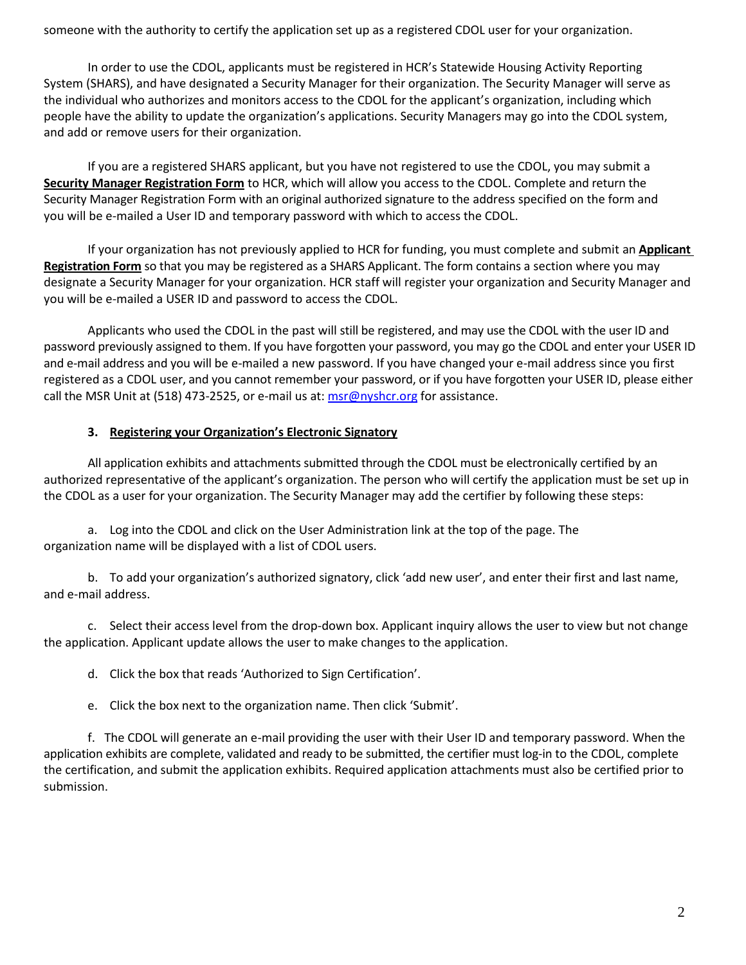someone with the authority to certify the application set up as a registered CDOL user for your organization.

In order to use the CDOL, applicants must be registered in HCR's Statewide Housing Activity Reporting System (SHARS), and have designated a Security Manager for their organization. The Security Manager will serve as the individual who authorizes and monitors access to the CDOL for the applicant's organization, including which people have the ability to update the organization's applications. Security Managers may go into the CDOL system, and add or remove users for their organization.

If you are a registered SHARS applicant, but you have not registered to use the CDOL, you may submit a **Security Manager Registration Form** to HCR, which will allow you access to the CDOL. Complete and return the Security Manager Registration Form with an original authorized signature to the address specified on the form and you will be e-mailed a User ID and temporary password with which to access the CDOL.

If your organization has not previously applied to HCR for funding, you must complete and submit an **Applicant Registration Form** so that you may be registered as a SHARS Applicant. The form contains a section where you may designate a Security Manager for your organization. HCR staff will register your organization and Security Manager and you will be e-mailed a USER ID and password to access the CDOL.

Applicants who used the CDOL in the past will still be registered, and may use the CDOL with the user ID and password previously assigned to them. If you have forgotten your password, you may go the CDOL and enter your USER ID and e-mail address and you will be e-mailed a new password. If you have changed your e-mail address since you first registered as a CDOL user, and you cannot remember your password, or if you have forgotten your USER ID, please either call the MSR Unit at (518) 473-2525, or e-mail us at:  $msr@nyshcr.org$  for assistance.

# **3. Registering your Organization's Electronic Signatory**

All application exhibits and attachments submitted through the CDOL must be electronically certified by an authorized representative of the applicant's organization. The person who will certify the application must be set up in the CDOL as a user for your organization. The Security Manager may add the certifier by following these steps:

a. Log into the CDOL and click on the User Administration link at the top of the page. The organization name will be displayed with a list of CDOL users.

b. To add your organization's authorized signatory, click 'add new user', and enter their first and last name, and e-mail address.

c. Select their access level from the drop-down box. Applicant inquiry allows the user to view but not change the application. Applicant update allows the user to make changes to the application.

d. Click the box that reads 'Authorized to Sign Certification'.

e. Click the box next to the organization name. Then click 'Submit'.

f. The CDOL will generate an e-mail providing the user with their User ID and temporary password. When the application exhibits are complete, validated and ready to be submitted, the certifier must log-in to the CDOL, complete the certification, and submit the application exhibits. Required application attachments must also be certified prior to submission.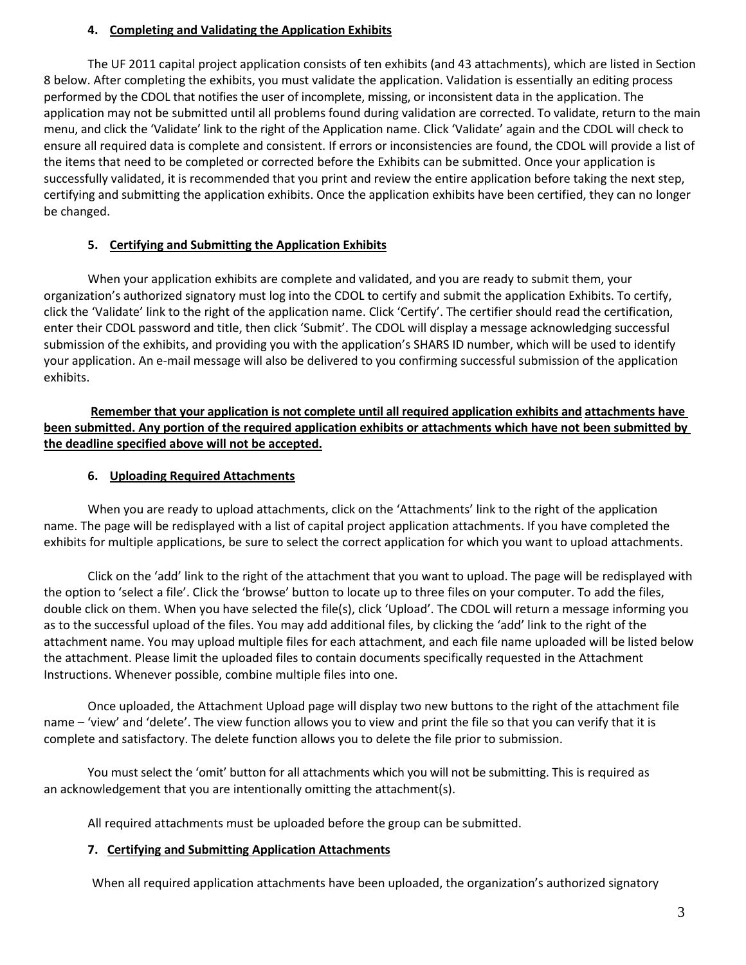### **4. Completing and Validating the Application Exhibits**

The UF 2011 capital project application consists of ten exhibits (and 43 attachments), which are listed in Section 8 below. After completing the exhibits, you must validate the application. Validation is essentially an editing process performed by the CDOL that notifies the user of incomplete, missing, or inconsistent data in the application. The application may not be submitted until all problems found during validation are corrected. To validate, return to the main menu, and click the 'Validate' link to the right of the Application name. Click 'Validate' again and the CDOL will check to ensure all required data is complete and consistent. If errors or inconsistencies are found, the CDOL will provide a list of the items that need to be completed or corrected before the Exhibits can be submitted. Once your application is successfully validated, it is recommended that you print and review the entire application before taking the next step, certifying and submitting the application exhibits. Once the application exhibits have been certified, they can no longer be changed.

# **5. Certifying and Submitting the Application Exhibits**

When your application exhibits are complete and validated, and you are ready to submit them, your organization's authorized signatory must log into the CDOL to certify and submit the application Exhibits. To certify, click the 'Validate' link to the right of the application name. Click 'Certify'. The certifier should read the certification, enter their CDOL password and title, then click 'Submit'. The CDOL will display a message acknowledging successful submission of the exhibits, and providing you with the application's SHARS ID number, which will be used to identify your application. An e-mail message will also be delivered to you confirming successful submission of the application exhibits.

**Remember that your application is not complete until all required application exhibits and attachments have been submitted. Any portion of the required application exhibits or attachments which have not been submitted by the deadline specified above will not be accepted.**

### **6. Uploading Required Attachments**

When you are ready to upload attachments, click on the 'Attachments' link to the right of the application name. The page will be redisplayed with a list of capital project application attachments. If you have completed the exhibits for multiple applications, be sure to select the correct application for which you want to upload attachments.

Click on the 'add' link to the right of the attachment that you want to upload. The page will be redisplayed with the option to 'select a file'. Click the 'browse' button to locate up to three files on your computer. To add the files, double click on them. When you have selected the file(s), click 'Upload'. The CDOL will return a message informing you as to the successful upload of the files. You may add additional files, by clicking the 'add' link to the right of the attachment name. You may upload multiple files for each attachment, and each file name uploaded will be listed below the attachment. Please limit the uploaded files to contain documents specifically requested in the Attachment Instructions. Whenever possible, combine multiple files into one.

Once uploaded, the Attachment Upload page will display two new buttons to the right of the attachment file name – 'view' and 'delete'. The view function allows you to view and print the file so that you can verify that it is complete and satisfactory. The delete function allows you to delete the file prior to submission.

You must select the 'omit' button for all attachments which you will not be submitting. This is required as an acknowledgement that you are intentionally omitting the attachment(s).

All required attachments must be uploaded before the group can be submitted.

#### **7. Certifying and Submitting Application Attachments**

When all required application attachments have been uploaded, the organization's authorized signatory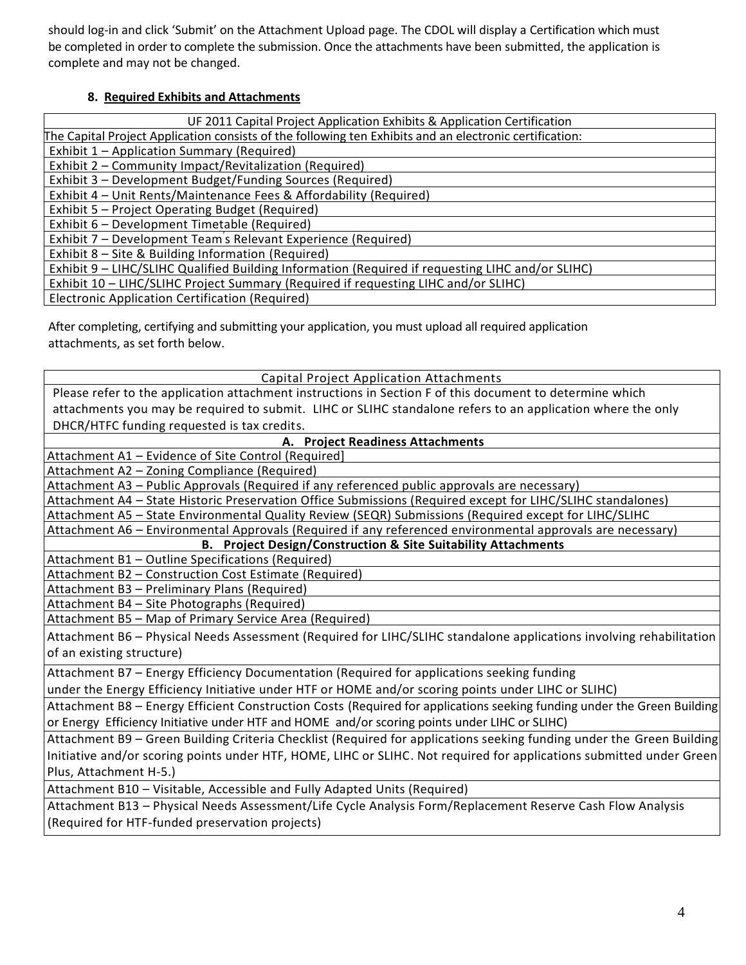should log-in and click 'Submit' on the Attachment Upload page. The CDOL will display a Certification which must be completed in order to complete the submission. Once the attachments have been submitted, the application is complete and may not be changed.

# **8. Required Exhibits and Attachments**

| UF 2011 Capital Project Application Exhibits & Application Certification                                |
|---------------------------------------------------------------------------------------------------------|
| The Capital Project Application consists of the following ten Exhibits and an electronic certification: |
| Exhibit 1 - Application Summary (Required)                                                              |
| Exhibit 2 – Community Impact/Revitalization (Required)                                                  |
| Exhibit 3 - Development Budget/Funding Sources (Required)                                               |
| Exhibit 4 – Unit Rents/Maintenance Fees & Affordability (Required)                                      |
| Exhibit 5 – Project Operating Budget (Required)                                                         |
| Exhibit 6 - Development Timetable (Required)                                                            |
| Exhibit 7 – Development Team's Relevant Experience (Required)                                           |
| Exhibit 8 – Site & Building Information (Required)                                                      |
| Exhibit 9 - LIHC/SLIHC Qualified Building Information (Required if requesting LIHC and/or SLIHC)        |
| Exhibit 10 - LIHC/SLIHC Project Summary (Required if requesting LIHC and/or SLIHC)                      |
| Electronic Application Certification (Required)                                                         |

After completing, certifying and submitting your application, you must upload all required application attachments, as set forth below.

| <b>Capital Project Application Attachments</b>                                                                          |  |  |  |
|-------------------------------------------------------------------------------------------------------------------------|--|--|--|
| Please refer to the application attachment instructions in Section F of this document to determine which                |  |  |  |
| attachments you may be required to submit. LIHC or SLIHC standalone refers to an application where the only             |  |  |  |
| DHCR/HTFC funding requested is tax credits.                                                                             |  |  |  |
| A. Project Readiness Attachments                                                                                        |  |  |  |
| Attachment A1 - Evidence of Site Control (Required)                                                                     |  |  |  |
| Attachment A2 - Zoning Compliance (Required)                                                                            |  |  |  |
| Attachment A3 - Public Approvals (Required if any referenced public approvals are necessary)                            |  |  |  |
| Attachment A4 - State Historic Preservation Office Submissions (Required except for LIHC/SLIHC standalones)             |  |  |  |
| Attachment A5 - State Environmental Quality Review (SEQR) Submissions (Required except for LIHC/SLIHC                   |  |  |  |
| Attachment A6 - Environmental Approvals (Required if any referenced environmental approvals are necessary)              |  |  |  |
| <b>B. Project Design/Construction &amp; Site Suitability Attachments</b>                                                |  |  |  |
| Attachment B1 - Outline Specifications (Required)                                                                       |  |  |  |
| Attachment B2 - Construction Cost Estimate (Required)                                                                   |  |  |  |
| Attachment B3 - Preliminary Plans (Required)                                                                            |  |  |  |
| Attachment B4 - Site Photographs (Required)                                                                             |  |  |  |
| Attachment B5 - Map of Primary Service Area (Required)                                                                  |  |  |  |
| Attachment B6 - Physical Needs Assessment (Required for LIHC/SLIHC standalone applications involving rehabilitation     |  |  |  |
| of an existing structure)                                                                                               |  |  |  |
| Attachment B7 - Energy Efficiency Documentation (Required for applications seeking funding                              |  |  |  |
| under the Energy Efficiency Initiative under HTF or HOME and/or scoring points under LIHC or SLIHC)                     |  |  |  |
| Attachment B8 - Energy Efficient Construction Costs (Required for applications seeking funding under the Green Building |  |  |  |
| or Energy Efficiency Initiative under HTF and HOME and/or scoring points under LIHC or SLIHC)                           |  |  |  |
| Attachment B9 - Green Building Criteria Checklist (Required for applications seeking funding under the Green Building   |  |  |  |
| Initiative and/or scoring points under HTF, HOME, LIHC or SLIHC. Not required for applications submitted under Green    |  |  |  |
| Plus, Attachment H-5.)                                                                                                  |  |  |  |
| Attachment B10 - Visitable, Accessible and Fully Adapted Units (Required)                                               |  |  |  |
| Attachment B13 - Physical Needs Assessment/Life Cycle Analysis Form/Replacement Reserve Cash Flow Analysis              |  |  |  |
| (Required for HTF-funded preservation projects)                                                                         |  |  |  |
|                                                                                                                         |  |  |  |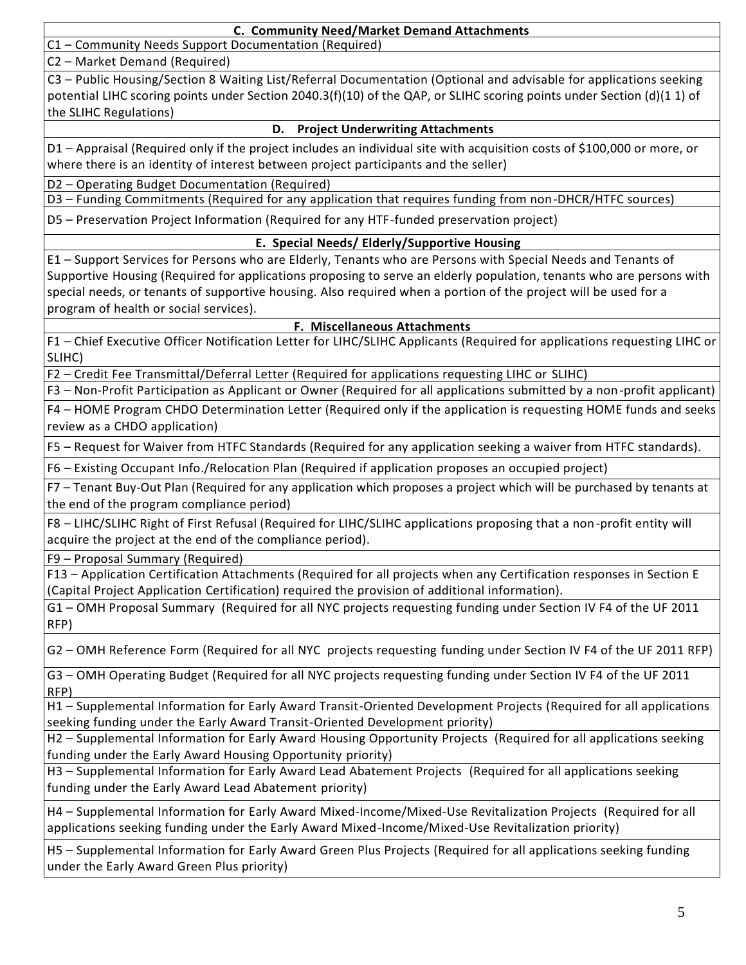C1 – Community Needs Support Documentation (Required)

C2 – Market Demand (Required)

C3 – Public Housing/Section 8 Waiting List/Referral Documentation (Optional and advisable for applications seeking potential LIHC scoring points under Section 2040.3(f)(10) of the QAP, or SLIHC scoring points under Section (d)(1 1) of the SLIHC Regulations)

### **D. Project Underwriting Attachments**

D1 – Appraisal (Required only if the project includes an individual site with acquisition costs of \$100,000 or more, or where there is an identity of interest between project participants and the seller)

D2 – Operating Budget Documentation (Required)

D3 – Funding Commitments (Required for any application that requires funding from non-DHCR/HTFC sources)

D5 – Preservation Project Information (Required for any HTF-funded preservation project)

# **E. Special Needs/ Elderly/Supportive Housing**

E1 – Support Services for Persons who are Elderly, Tenants who are Persons with Special Needs and Tenants of Supportive Housing (Required for applications proposing to serve an elderly population, tenants who are persons with special needs, or tenants of supportive housing. Also required when a portion of the project will be used for a program of health or social services).

#### **F. Miscellaneous Attachments**

F1 – Chief Executive Officer Notification Letter for LIHC/SLIHC Applicants (Required for applications requesting LIHC or SLIHC)

F2 – Credit Fee Transmittal/Deferral Letter (Required for applications requesting LIHC or SLIHC)

F3 – Non-Profit Participation as Applicant or Owner (Required for all applications submitted by a non-profit applicant)

F4 – HOME Program CHDO Determination Letter (Required only if the application is requesting HOME funds and seeks review as a CHDO application)

F5 – Request for Waiver from HTFC Standards (Required for any application seeking a waiver from HTFC standards).

F6 – Existing Occupant Info./Relocation Plan (Required if application proposes an occupied project)

F7 – Tenant Buy-Out Plan (Required for any application which proposes a project which will be purchased by tenants at the end of the program compliance period)

F8 – LIHC/SLIHC Right of First Refusal (Required for LIHC/SLIHC applications proposing that a non-profit entity will acquire the project at the end of the compliance period).

F9 – Proposal Summary (Required)

F13 – Application Certification Attachments (Required for all projects when any Certification responses in Section E (Capital Project Application Certification) required the provision of additional information).

G1 – OMH Proposal Summary (Required for all NYC projects requesting funding under Section IV F4 of the UF 2011 RFP)

G2 – OMH Reference Form (Required for all NYC projects requesting funding under Section IV F4 of the UF 2011 RFP)

G3 – OMH Operating Budget (Required for all NYC projects requesting funding under Section IV F4 of the UF 2011 RFP)

H1 – Supplemental Information for Early Award Transit-Oriented Development Projects (Required for all applications seeking funding under the Early Award Transit-Oriented Development priority)

H2 – Supplemental Information for Early Award Housing Opportunity Projects (Required for all applications seeking funding under the Early Award Housing Opportunity priority)

H3 – Supplemental Information for Early Award Lead Abatement Projects (Required for all applications seeking funding under the Early Award Lead Abatement priority)

H4 – Supplemental Information for Early Award Mixed-Income/Mixed-Use Revitalization Projects (Required for all applications seeking funding under the Early Award Mixed-Income/Mixed-Use Revitalization priority)

H5 – Supplemental Information for Early Award Green Plus Projects (Required for all applications seeking funding under the Early Award Green Plus priority)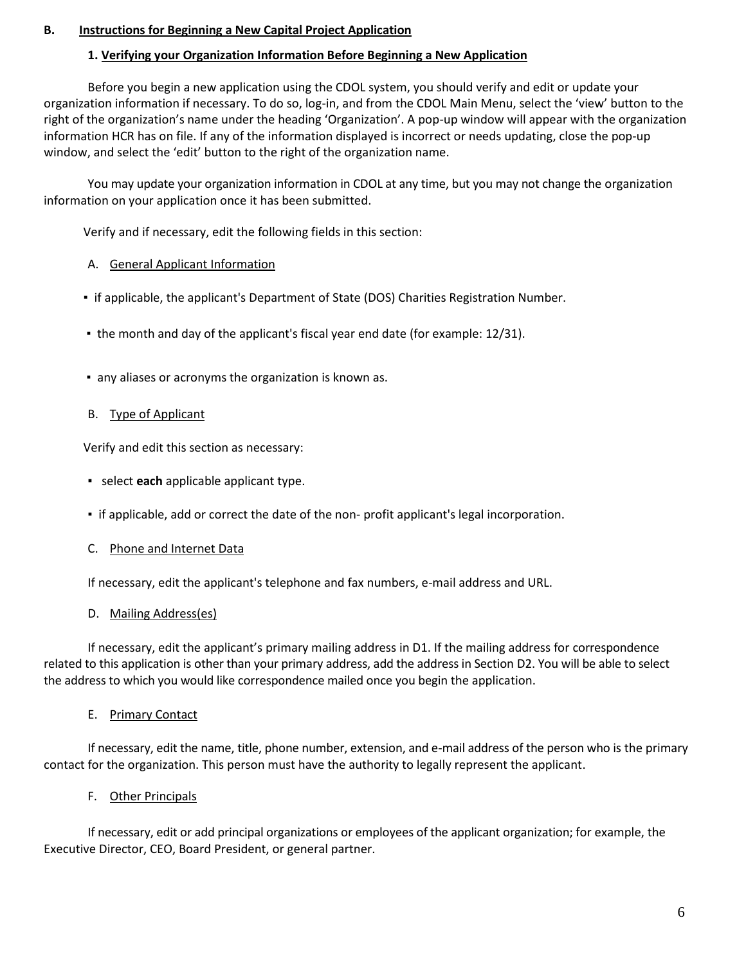### **B. Instructions for Beginning a New Capital Project Application**

### **1. Verifying your Organization Information Before Beginning a New Application**

Before you begin a new application using the CDOL system, you should verify and edit or update your organization information if necessary. To do so, log-in, and from the CDOL Main Menu, select the 'view' button to the right of the organization's name under the heading 'Organization'. A pop-up window will appear with the organization information HCR has on file. If any of the information displayed is incorrect or needs updating, close the pop-up window, and select the 'edit' button to the right of the organization name.

You may update your organization information in CDOL at any time, but you may not change the organization information on your application once it has been submitted.

Verify and if necessary, edit the following fields in this section:

### A. General Applicant Information

- if applicable, the applicant's Department of State (DOS) Charities Registration Number.
- the month and day of the applicant's fiscal year end date (for example: 12/31).
- any aliases or acronyms the organization is known as.

#### B. Type of Applicant

Verify and edit this section as necessary:

- select **each** applicable applicant type.
- if applicable, add or correct the date of the non- profit applicant's legal incorporation.

#### C. Phone and Internet Data

If necessary, edit the applicant's telephone and fax numbers, e-mail address and URL.

#### D. Mailing Address(es)

If necessary, edit the applicant's primary mailing address in D1. If the mailing address for correspondence related to this application is other than your primary address, add the address in Section D2. You will be able to select the address to which you would like correspondence mailed once you begin the application.

#### E. Primary Contact

If necessary, edit the name, title, phone number, extension, and e-mail address of the person who is the primary contact for the organization. This person must have the authority to legally represent the applicant.

# F. Other Principals

If necessary, edit or add principal organizations or employees of the applicant organization; for example, the Executive Director, CEO, Board President, or general partner.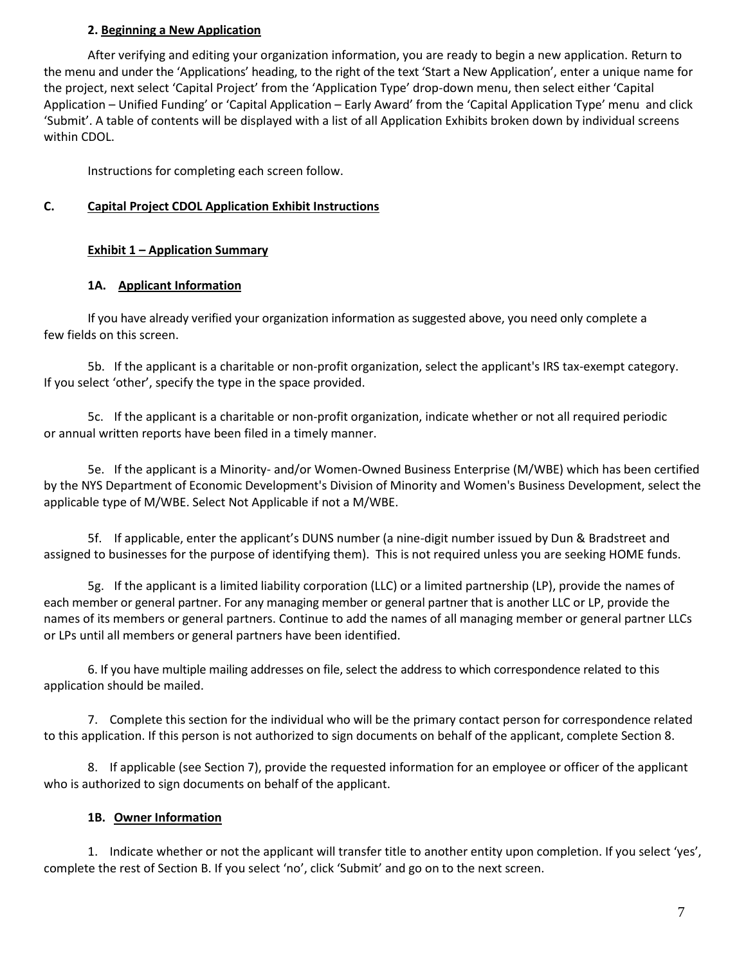### **2. Beginning a New Application**

After verifying and editing your organization information, you are ready to begin a new application. Return to the menu and under the 'Applications' heading, to the right of the text 'Start a New Application', enter a unique name for the project, next select 'Capital Project' from the 'Application Type' drop-down menu, then select either 'Capital Application – Unified Funding' or 'Capital Application – Early Award' from the 'Capital Application Type' menu and click 'Submit'. A table of contents will be displayed with a list of all Application Exhibits broken down by individual screens within CDOL.

Instructions for completing each screen follow.

### **C. Capital Project CDOL Application Exhibit Instructions**

### **Exhibit 1 – Application Summary**

### **1A. Applicant Information**

If you have already verified your organization information as suggested above, you need only complete a few fields on this screen.

5b. If the applicant is a charitable or non-profit organization, select the applicant's IRS tax-exempt category. If you select 'other', specify the type in the space provided.

5c. If the applicant is a charitable or non-profit organization, indicate whether or not all required periodic or annual written reports have been filed in a timely manner.

5e. If the applicant is a Minority- and/or Women-Owned Business Enterprise (M/WBE) which has been certified by the NYS Department of Economic Development's Division of Minority and Women's Business Development, select the applicable type of M/WBE. Select Not Applicable if not a M/WBE.

5f. If applicable, enter the applicant's DUNS number (a nine-digit number issued by Dun & Bradstreet and assigned to businesses for the purpose of identifying them). This is not required unless you are seeking HOME funds.

5g. If the applicant is a limited liability corporation (LLC) or a limited partnership (LP), provide the names of each member or general partner. For any managing member or general partner that is another LLC or LP, provide the names of its members or general partners. Continue to add the names of all managing member or general partner LLCs or LPs until all members or general partners have been identified.

6. If you have multiple mailing addresses on file, select the address to which correspondence related to this application should be mailed.

7. Complete this section for the individual who will be the primary contact person for correspondence related to this application. If this person is not authorized to sign documents on behalf of the applicant, complete Section 8.

8. If applicable (see Section 7), provide the requested information for an employee or officer of the applicant who is authorized to sign documents on behalf of the applicant.

# **1B. Owner Information**

1. Indicate whether or not the applicant will transfer title to another entity upon completion. If you select 'yes', complete the rest of Section B. If you select 'no', click 'Submit' and go on to the next screen.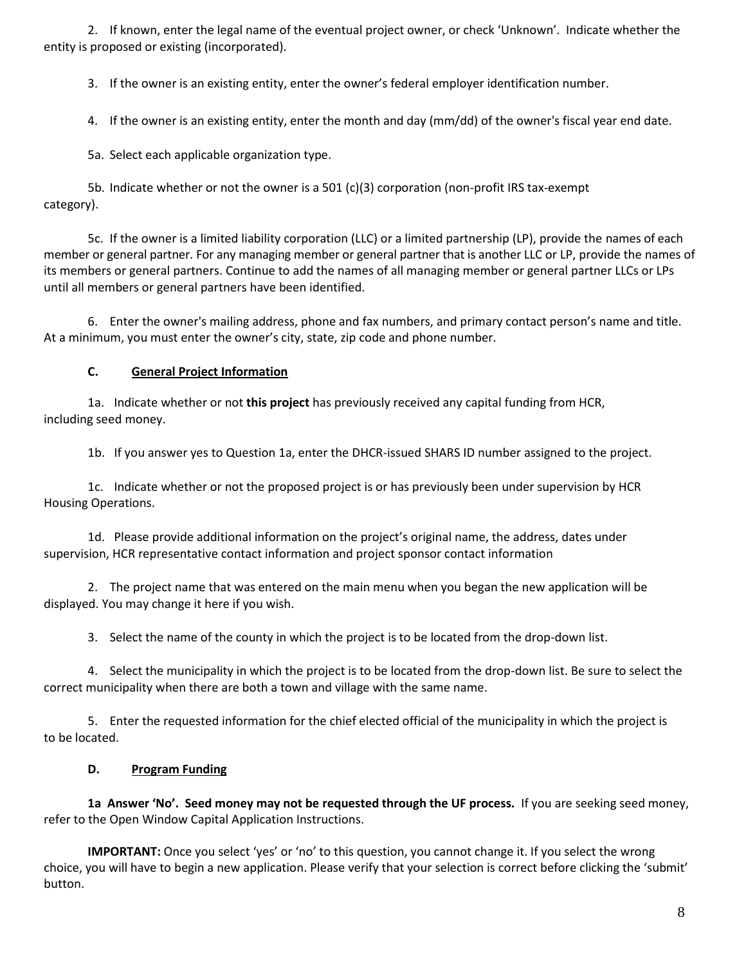2. If known, enter the legal name of the eventual project owner, or check 'Unknown'. Indicate whether the entity is proposed or existing (incorporated).

3. If the owner is an existing entity, enter the owner's federal employer identification number.

4. If the owner is an existing entity, enter the month and day (mm/dd) of the owner's fiscal year end date.

5a. Select each applicable organization type.

5b. Indicate whether or not the owner is a 501 (c)(3) corporation (non-profit IRS tax-exempt category).

5c. If the owner is a limited liability corporation (LLC) or a limited partnership (LP), provide the names of each member or general partner. For any managing member or general partner that is another LLC or LP, provide the names of its members or general partners. Continue to add the names of all managing member or general partner LLCs or LPs until all members or general partners have been identified.

6. Enter the owner's mailing address, phone and fax numbers, and primary contact person's name and title. At a minimum, you must enter the owner's city, state, zip code and phone number.

# **C. General Project Information**

1a. Indicate whether or not **this project** has previously received any capital funding from HCR, including seed money.

1b. If you answer yes to Question 1a, enter the DHCR-issued SHARS ID number assigned to the project.

1c. Indicate whether or not the proposed project is or has previously been under supervision by HCR Housing Operations.

1d. Please provide additional information on the project's original name, the address, dates under supervision, HCR representative contact information and project sponsor contact information

2. The project name that was entered on the main menu when you began the new application will be displayed. You may change it here if you wish.

3. Select the name of the county in which the project is to be located from the drop-down list.

4. Select the municipality in which the project is to be located from the drop-down list. Be sure to select the correct municipality when there are both a town and village with the same name.

5. Enter the requested information for the chief elected official of the municipality in which the project is to be located.

# **D. Program Funding**

**1a Answer 'No'. Seed money may not be requested through the UF process.** If you are seeking seed money, refer to the Open Window Capital Application Instructions.

**IMPORTANT:** Once you select 'yes' or 'no' to this question, you cannot change it. If you select the wrong choice, you will have to begin a new application. Please verify that your selection is correct before clicking the 'submit' button.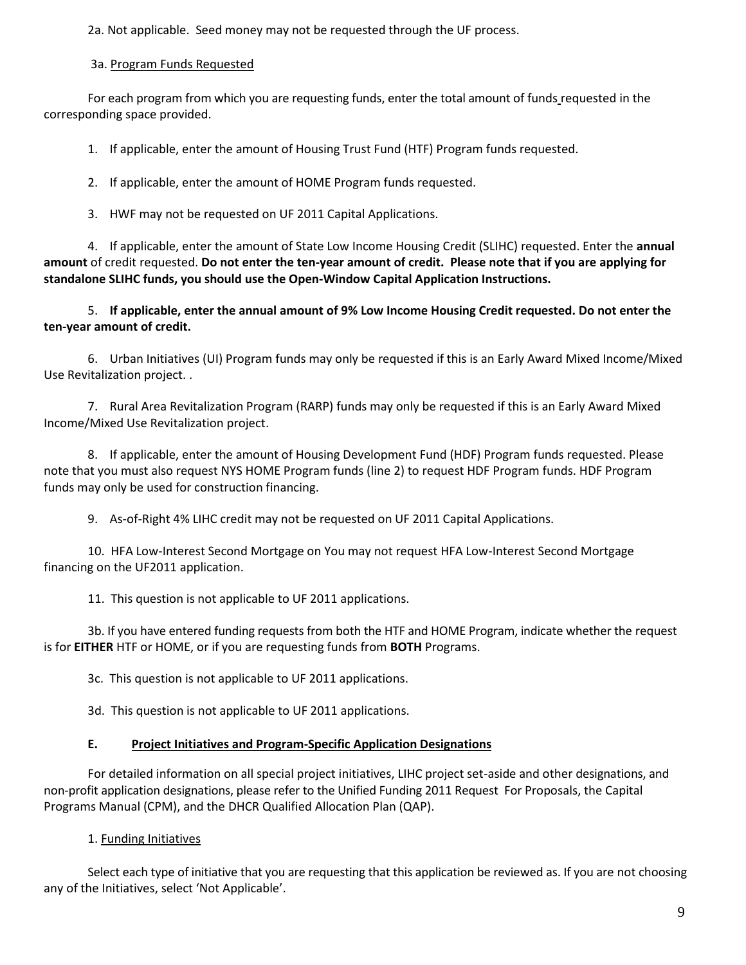2a. Not applicable. Seed money may not be requested through the UF process.

3a. Program Funds Requested

For each program from which you are requesting funds, enter the total amount of funds requested in the corresponding space provided.

1. If applicable, enter the amount of Housing Trust Fund (HTF) Program funds requested.

2. If applicable, enter the amount of HOME Program funds requested.

3. HWF may not be requested on UF 2011 Capital Applications.

4. If applicable, enter the amount of State Low Income Housing Credit (SLIHC) requested. Enter the **annual amount** of credit requested. **Do not enter the ten-year amount of credit. Please note that if you are applying for standalone SLIHC funds, you should use the Open-Window Capital Application Instructions.**

5. **If applicable, enter the annual amount of 9% Low Income Housing Credit requested. Do not enter the ten-year amount of credit.**

6. Urban Initiatives (UI) Program funds may only be requested if this is an Early Award Mixed Income/Mixed Use Revitalization project. .

7. Rural Area Revitalization Program (RARP) funds may only be requested if this is an Early Award Mixed Income/Mixed Use Revitalization project.

8. If applicable, enter the amount of Housing Development Fund (HDF) Program funds requested. Please note that you must also request NYS HOME Program funds (line 2) to request HDF Program funds. HDF Program funds may only be used for construction financing.

9. As-of-Right 4% LIHC credit may not be requested on UF 2011 Capital Applications.

10. HFA Low-Interest Second Mortgage on You may not request HFA Low-Interest Second Mortgage financing on the UF2011 application.

11. This question is not applicable to UF 2011 applications.

3b. If you have entered funding requests from both the HTF and HOME Program, indicate whether the request is for **EITHER** HTF or HOME, or if you are requesting funds from **BOTH** Programs.

3c. This question is not applicable to UF 2011 applications.

3d. This question is not applicable to UF 2011 applications.

#### **E. Project Initiatives and Program-Specific Application Designations**

For detailed information on all special project initiatives, LIHC project set-aside and other designations, and non-profit application designations, please refer to the Unified Funding 2011 Request For Proposals, the Capital Programs Manual (CPM), and the DHCR Qualified Allocation Plan (QAP).

1. Funding Initiatives

Select each type of initiative that you are requesting that this application be reviewed as. If you are not choosing any of the Initiatives, select 'Not Applicable'.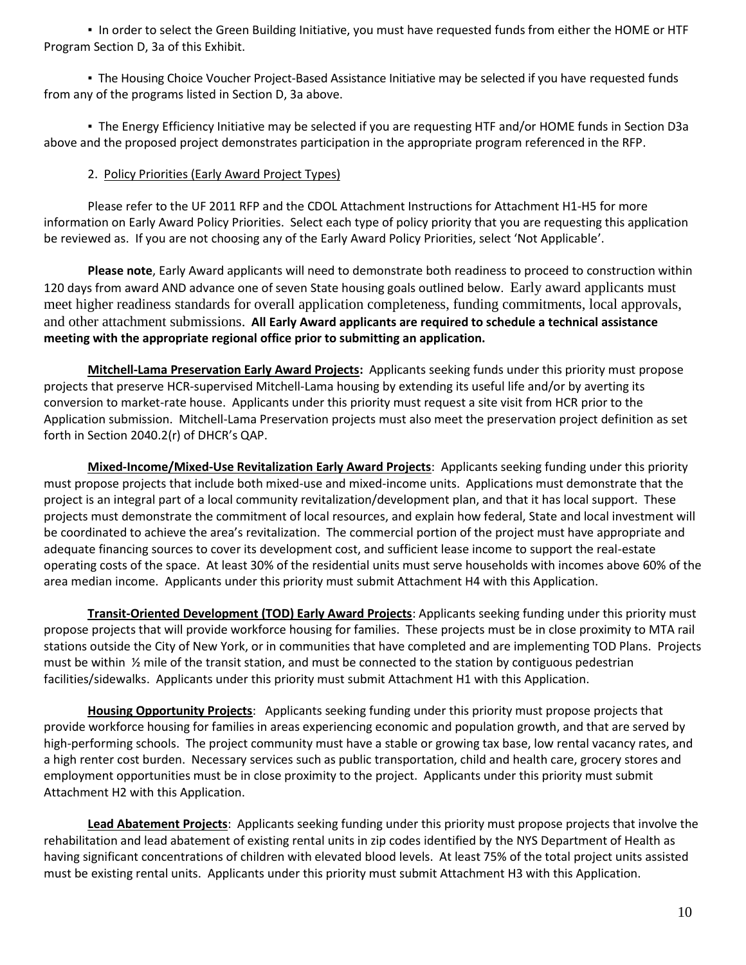▪ In order to select the Green Building Initiative, you must have requested funds from either the HOME or HTF Program Section D, 3a of this Exhibit.

▪ The Housing Choice Voucher Project-Based Assistance Initiative may be selected if you have requested funds from any of the programs listed in Section D, 3a above.

▪ The Energy Efficiency Initiative may be selected if you are requesting HTF and/or HOME funds in Section D3a above and the proposed project demonstrates participation in the appropriate program referenced in the RFP.

# 2. Policy Priorities (Early Award Project Types)

Please refer to the UF 2011 RFP and the CDOL Attachment Instructions for Attachment H1-H5 for more information on Early Award Policy Priorities. Select each type of policy priority that you are requesting this application be reviewed as. If you are not choosing any of the Early Award Policy Priorities, select 'Not Applicable'.

**Please note**, Early Award applicants will need to demonstrate both readiness to proceed to construction within 120 days from award AND advance one of seven State housing goals outlined below. Early award applicants must meet higher readiness standards for overall application completeness, funding commitments, local approvals, and other attachment submissions. **All Early Award applicants are required to schedule a technical assistance meeting with the appropriate regional office prior to submitting an application.**

**Mitchell-Lama Preservation Early Award Projects:** Applicants seeking funds under this priority must propose projects that preserve HCR-supervised Mitchell-Lama housing by extending its useful life and/or by averting its conversion to market-rate house. Applicants under this priority must request a site visit from HCR prior to the Application submission. Mitchell-Lama Preservation projects must also meet the preservation project definition as set forth in Section 2040.2(r) of DHCR's QAP.

**Mixed-Income/Mixed-Use Revitalization Early Award Projects**: Applicants seeking funding under this priority must propose projects that include both mixed-use and mixed-income units. Applications must demonstrate that the project is an integral part of a local community revitalization/development plan, and that it has local support. These projects must demonstrate the commitment of local resources, and explain how federal, State and local investment will be coordinated to achieve the area's revitalization. The commercial portion of the project must have appropriate and adequate financing sources to cover its development cost, and sufficient lease income to support the real-estate operating costs of the space. At least 30% of the residential units must serve households with incomes above 60% of the area median income. Applicants under this priority must submit Attachment H4 with this Application.

**Transit-Oriented Development (TOD) Early Award Projects**: Applicants seeking funding under this priority must propose projects that will provide workforce housing for families. These projects must be in close proximity to MTA rail stations outside the City of New York, or in communities that have completed and are implementing TOD Plans. Projects must be within ½ mile of the transit station, and must be connected to the station by contiguous pedestrian facilities/sidewalks. Applicants under this priority must submit Attachment H1 with this Application.

**Housing Opportunity Projects**: Applicants seeking funding under this priority must propose projects that provide workforce housing for families in areas experiencing economic and population growth, and that are served by high-performing schools. The project community must have a stable or growing tax base, low rental vacancy rates, and a high renter cost burden. Necessary services such as public transportation, child and health care, grocery stores and employment opportunities must be in close proximity to the project. Applicants under this priority must submit Attachment H2 with this Application.

**Lead Abatement Projects**: Applicants seeking funding under this priority must propose projects that involve the rehabilitation and lead abatement of existing rental units in zip codes identified by the NYS Department of Health as having significant concentrations of children with elevated blood levels. At least 75% of the total project units assisted must be existing rental units. Applicants under this priority must submit Attachment H3 with this Application.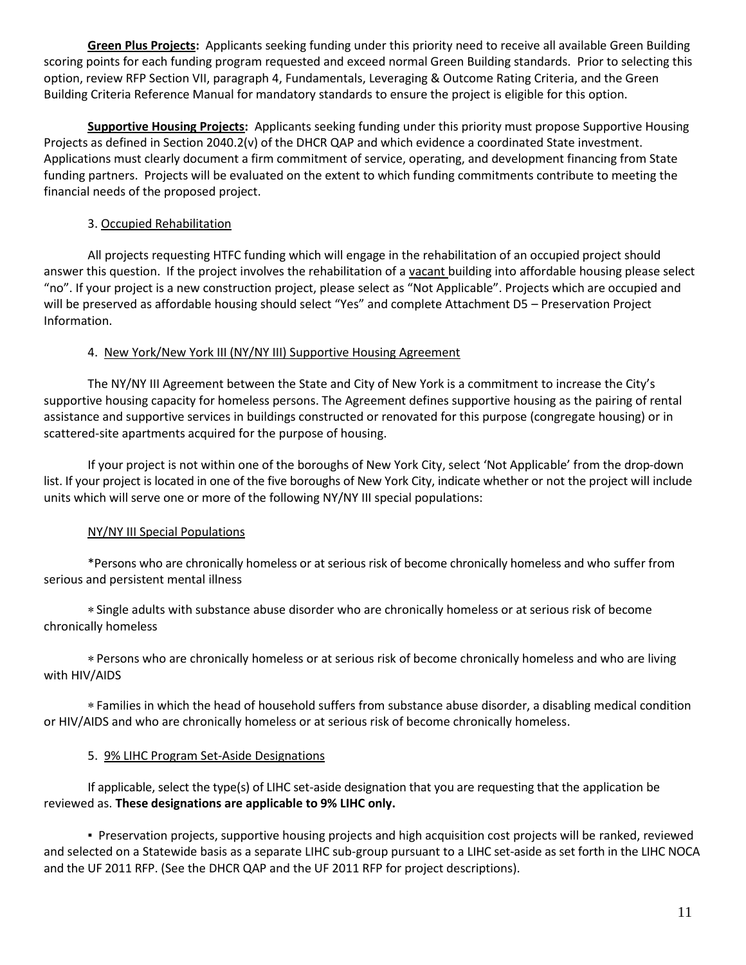**Green Plus Projects:** Applicants seeking funding under this priority need to receive all available Green Building scoring points for each funding program requested and exceed normal Green Building standards. Prior to selecting this option, review RFP Section VII, paragraph 4, Fundamentals, Leveraging & Outcome Rating Criteria, and the Green Building Criteria Reference Manual for mandatory standards to ensure the project is eligible for this option.

**Supportive Housing Projects:** Applicants seeking funding under this priority must propose Supportive Housing Projects as defined in Section 2040.2(v) of the DHCR QAP and which evidence a coordinated State investment. Applications must clearly document a firm commitment of service, operating, and development financing from State funding partners. Projects will be evaluated on the extent to which funding commitments contribute to meeting the financial needs of the proposed project.

### 3. Occupied Rehabilitation

All projects requesting HTFC funding which will engage in the rehabilitation of an occupied project should answer this question. If the project involves the rehabilitation of a vacant building into affordable housing please select "no". If your project is a new construction project, please select as "Not Applicable". Projects which are occupied and will be preserved as affordable housing should select "Yes" and complete Attachment D5 – Preservation Project Information.

# 4. New York/New York III (NY/NY III) Supportive Housing Agreement

The NY/NY III Agreement between the State and City of New York is a commitment to increase the City's supportive housing capacity for homeless persons. The Agreement defines supportive housing as the pairing of rental assistance and supportive services in buildings constructed or renovated for this purpose (congregate housing) or in scattered-site apartments acquired for the purpose of housing.

If your project is not within one of the boroughs of New York City, select 'Not Applicable' from the drop-down list. If your project is located in one of the five boroughs of New York City, indicate whether or not the project will include units which will serve one or more of the following NY/NY III special populations:

# NY/NY III Special Populations

\*Persons who are chronically homeless or at serious risk of become chronically homeless and who suffer from serious and persistent mental illness

Single adults with substance abuse disorder who are chronically homeless or at serious risk of become chronically homeless

Persons who are chronically homeless or at serious risk of become chronically homeless and who are living with HIV/AIDS

Families in which the head of household suffers from substance abuse disorder, a disabling medical condition or HIV/AIDS and who are chronically homeless or at serious risk of become chronically homeless.

#### 5. 9% LIHC Program Set-Aside Designations

If applicable, select the type(s) of LIHC set-aside designation that you are requesting that the application be reviewed as. **These designations are applicable to 9% LIHC only.**

**▪** Preservation projects, supportive housing projects and high acquisition cost projects will be ranked, reviewed and selected on a Statewide basis as a separate LIHC sub-group pursuant to a LIHC set-aside as set forth in the LIHC NOCA and the UF 2011 RFP. (See the DHCR QAP and the UF 2011 RFP for project descriptions).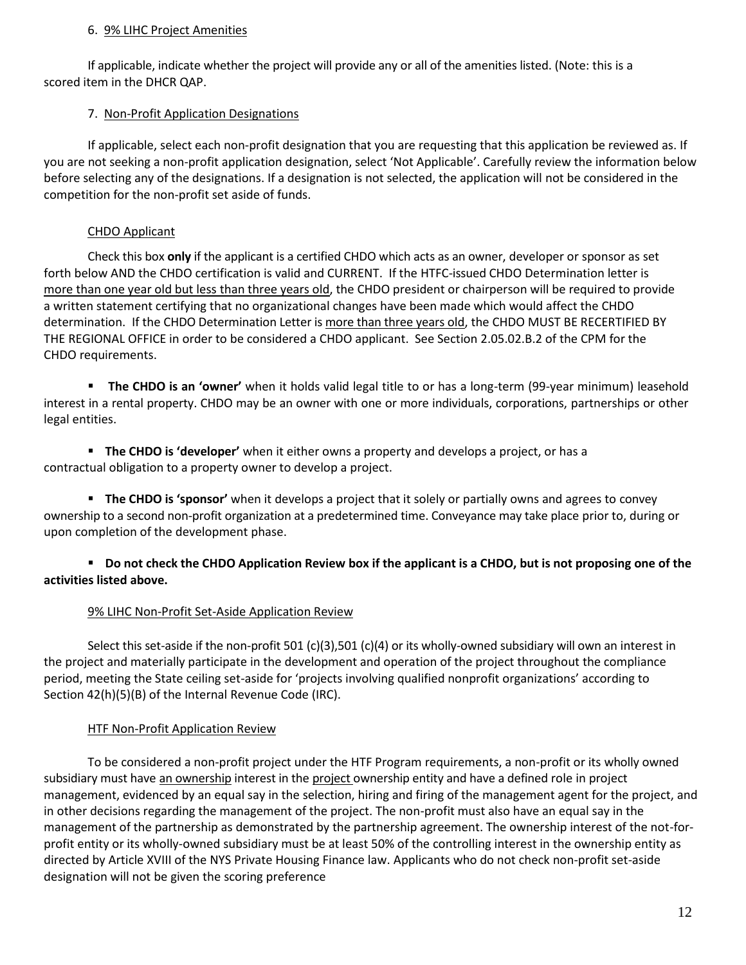### 6. 9% LIHC Project Amenities

If applicable, indicate whether the project will provide any or all of the amenities listed. (Note: this is a scored item in the DHCR QAP.

# 7. Non-Profit Application Designations

If applicable, select each non-profit designation that you are requesting that this application be reviewed as. If you are not seeking a non-profit application designation, select 'Not Applicable'. Carefully review the information below before selecting any of the designations. If a designation is not selected, the application will not be considered in the competition for the non-profit set aside of funds.

# CHDO Applicant

Check this box **only** if the applicant is a certified CHDO which acts as an owner, developer or sponsor as set forth below AND the CHDO certification is valid and CURRENT. If the HTFC-issued CHDO Determination letter is more than one year old but less than three years old, the CHDO president or chairperson will be required to provide a written statement certifying that no organizational changes have been made which would affect the CHDO determination. If the CHDO Determination Letter is more than three years old, the CHDO MUST BE RECERTIFIED BY THE REGIONAL OFFICE in order to be considered a CHDO applicant. See Section 2.05.02.B.2 of the CPM for the CHDO requirements.

**The CHDO is an 'owner'** when it holds valid legal title to or has a long-term (99-year minimum) leasehold interest in a rental property. CHDO may be an owner with one or more individuals, corporations, partnerships or other legal entities.

 **The CHDO is 'developer'** when it either owns a property and develops a project, or has a contractual obligation to a property owner to develop a project.

**The CHDO is 'sponsor'** when it develops a project that it solely or partially owns and agrees to convey ownership to a second non-profit organization at a predetermined time. Conveyance may take place prior to, during or upon completion of the development phase.

# **Do not check the CHDO Application Review box if the applicant is a CHDO, but is not proposing one of the activities listed above.**

# 9% LIHC Non-Profit Set-Aside Application Review

Select this set-aside if the non-profit 501 (c)(3),501 (c)(4) or its wholly-owned subsidiary will own an interest in the project and materially participate in the development and operation of the project throughout the compliance period, meeting the State ceiling set-aside for 'projects involving qualified nonprofit organizations' according to Section 42(h)(5)(B) of the Internal Revenue Code (IRC).

# HTF Non-Profit Application Review

To be considered a non-profit project under the HTF Program requirements, a non-profit or its wholly owned subsidiary must have an ownership interest in the project ownership entity and have a defined role in project management, evidenced by an equal say in the selection, hiring and firing of the management agent for the project, and in other decisions regarding the management of the project. The non-profit must also have an equal say in the management of the partnership as demonstrated by the partnership agreement. The ownership interest of the not-forprofit entity or its wholly-owned subsidiary must be at least 50% of the controlling interest in the ownership entity as directed by Article XVIII of the NYS Private Housing Finance law. Applicants who do not check non-profit set-aside designation will not be given the scoring preference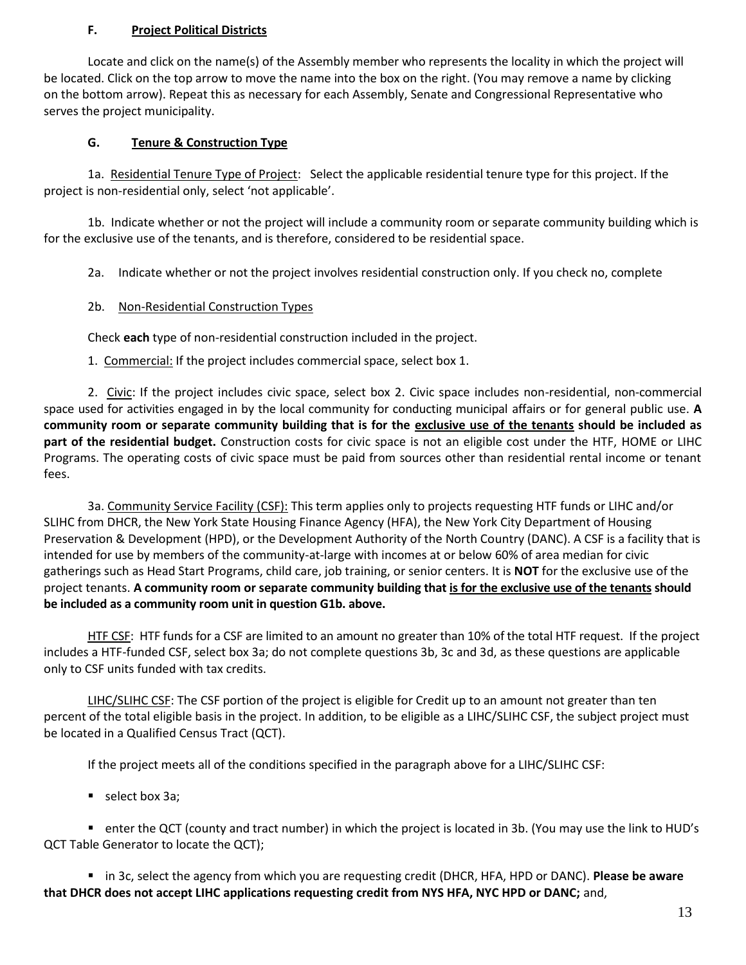### **F. Project Political Districts**

Locate and click on the name(s) of the Assembly member who represents the locality in which the project will be located. Click on the top arrow to move the name into the box on the right. (You may remove a name by clicking on the bottom arrow). Repeat this as necessary for each Assembly, Senate and Congressional Representative who serves the project municipality.

### **G. Tenure & Construction Type**

1a. Residential Tenure Type of Project: Select the applicable residential tenure type for this project. If the project is non-residential only, select 'not applicable'.

1b. Indicate whether or not the project will include a community room or separate community building which is for the exclusive use of the tenants, and is therefore, considered to be residential space.

2a. Indicate whether or not the project involves residential construction only. If you check no, complete

### 2b. Non-Residential Construction Types

Check **each** type of non-residential construction included in the project.

1. Commercial: If the project includes commercial space, select box 1.

2. Civic: If the project includes civic space, select box 2. Civic space includes non-residential, non-commercial space used for activities engaged in by the local community for conducting municipal affairs or for general public use. **A community room or separate community building that is for the exclusive use of the tenants should be included as part of the residential budget.** Construction costs for civic space is not an eligible cost under the HTF, HOME or LIHC Programs. The operating costs of civic space must be paid from sources other than residential rental income or tenant fees.

3a. Community Service Facility (CSF): This term applies only to projects requesting HTF funds or LIHC and/or SLIHC from DHCR, the New York State Housing Finance Agency (HFA), the New York City Department of Housing Preservation & Development (HPD), or the Development Authority of the North Country (DANC). A CSF is a facility that is intended for use by members of the community-at-large with incomes at or below 60% of area median for civic gatherings such as Head Start Programs, child care, job training, or senior centers. It is **NOT** for the exclusive use of the project tenants. **A community room or separate community building that is for the exclusive use of the tenants should be included as a community room unit in question G1b. above.** 

HTF CSF: HTF funds for a CSF are limited to an amount no greater than 10% of the total HTF request. If the project includes a HTF-funded CSF, select box 3a; do not complete questions 3b, 3c and 3d, as these questions are applicable only to CSF units funded with tax credits.

LIHC/SLIHC CSF: The CSF portion of the project is eligible for Credit up to an amount not greater than ten percent of the total eligible basis in the project. In addition, to be eligible as a LIHC/SLIHC CSF, the subject project must be located in a Qualified Census Tract (QCT).

If the project meets all of the conditions specified in the paragraph above for a LIHC/SLIHC CSF:

select box 3a;

 enter the QCT (county and tract number) in which the project is located in 3b. (You may use the link to HUD's QCT Table Generator to locate the QCT);

 in 3c, select the agency from which you are requesting credit (DHCR, HFA, HPD or DANC). **Please be aware that DHCR does not accept LIHC applications requesting credit from NYS HFA, NYC HPD or DANC;** and,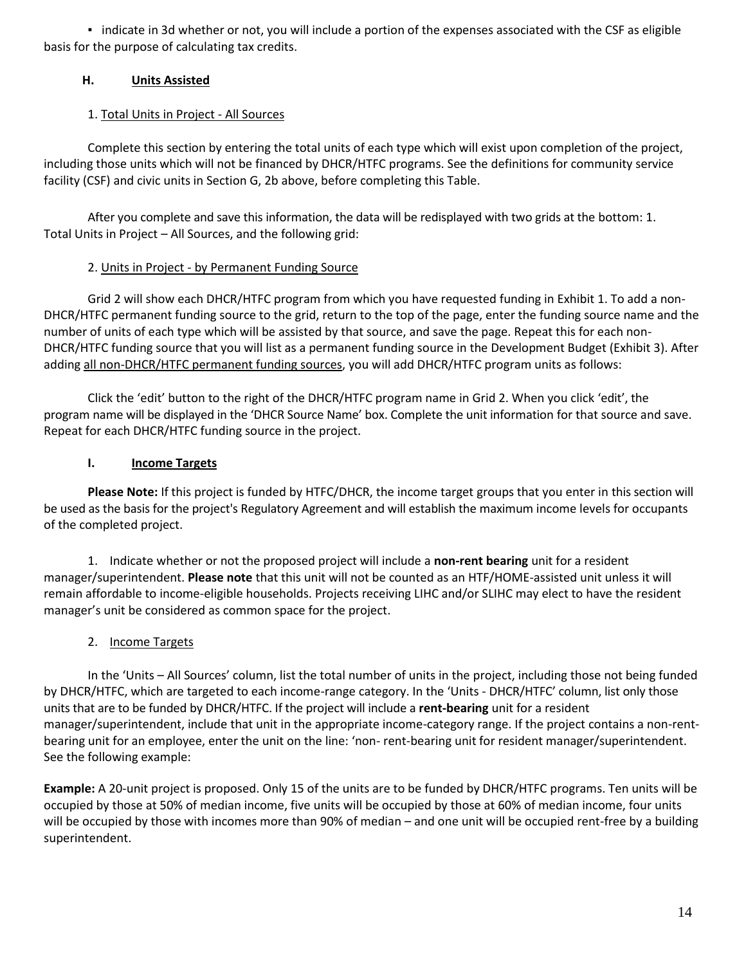▪ indicate in 3d whether or not, you will include a portion of the expenses associated with the CSF as eligible basis for the purpose of calculating tax credits.

# **H. Units Assisted**

# 1. Total Units in Project - All Sources

Complete this section by entering the total units of each type which will exist upon completion of the project, including those units which will not be financed by DHCR/HTFC programs. See the definitions for community service facility (CSF) and civic units in Section G, 2b above, before completing this Table.

After you complete and save this information, the data will be redisplayed with two grids at the bottom: 1. Total Units in Project – All Sources, and the following grid:

# 2. Units in Project - by Permanent Funding Source

Grid 2 will show each DHCR/HTFC program from which you have requested funding in Exhibit 1. To add a non-DHCR/HTFC permanent funding source to the grid, return to the top of the page, enter the funding source name and the number of units of each type which will be assisted by that source, and save the page. Repeat this for each non-DHCR/HTFC funding source that you will list as a permanent funding source in the Development Budget (Exhibit 3). After adding all non-DHCR/HTFC permanent funding sources, you will add DHCR/HTFC program units as follows:

Click the 'edit' button to the right of the DHCR/HTFC program name in Grid 2. When you click 'edit', the program name will be displayed in the 'DHCR Source Name' box. Complete the unit information for that source and save. Repeat for each DHCR/HTFC funding source in the project.

# **I. Income Targets**

**Please Note:** If this project is funded by HTFC/DHCR, the income target groups that you enter in this section will be used as the basis for the project's Regulatory Agreement and will establish the maximum income levels for occupants of the completed project.

1. Indicate whether or not the proposed project will include a **non-rent bearing** unit for a resident manager/superintendent. **Please note** that this unit will not be counted as an HTF/HOME-assisted unit unless it will remain affordable to income-eligible households. Projects receiving LIHC and/or SLIHC may elect to have the resident manager's unit be considered as common space for the project.

# 2. Income Targets

In the 'Units – All Sources' column, list the total number of units in the project, including those not being funded by DHCR/HTFC, which are targeted to each income-range category. In the 'Units - DHCR/HTFC' column, list only those units that are to be funded by DHCR/HTFC. If the project will include a **rent-bearing** unit for a resident manager/superintendent, include that unit in the appropriate income-category range. If the project contains a non-rentbearing unit for an employee, enter the unit on the line: 'non- rent-bearing unit for resident manager/superintendent. See the following example:

**Example:** A 20-unit project is proposed. Only 15 of the units are to be funded by DHCR/HTFC programs. Ten units will be occupied by those at 50% of median income, five units will be occupied by those at 60% of median income, four units will be occupied by those with incomes more than 90% of median – and one unit will be occupied rent-free by a building superintendent.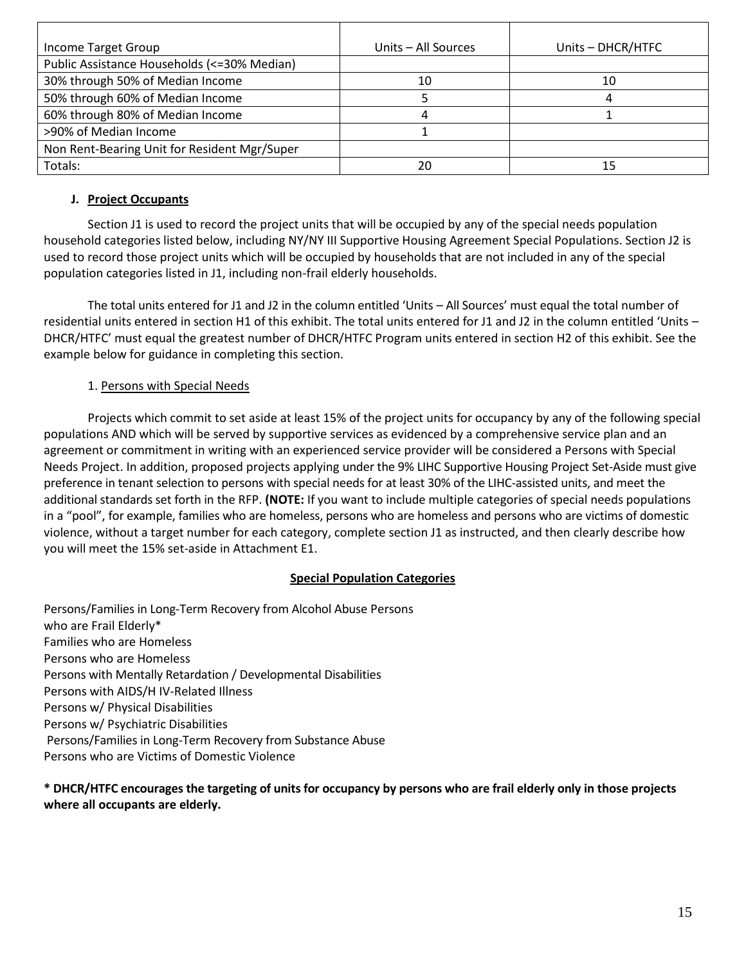| Income Target Group                          | Units – All Sources | Units - DHCR/HTFC |
|----------------------------------------------|---------------------|-------------------|
| Public Assistance Households (<=30% Median)  |                     |                   |
| 30% through 50% of Median Income             | 10                  | 10                |
| 50% through 60% of Median Income             |                     | 4                 |
| 60% through 80% of Median Income             |                     |                   |
| >90% of Median Income                        |                     |                   |
| Non Rent-Bearing Unit for Resident Mgr/Super |                     |                   |
| Totals:                                      | 20                  | 15                |

### **J. Project Occupants**

Section J1 is used to record the project units that will be occupied by any of the special needs population household categories listed below, including NY/NY III Supportive Housing Agreement Special Populations. Section J2 is used to record those project units which will be occupied by households that are not included in any of the special population categories listed in J1, including non-frail elderly households.

The total units entered for J1 and J2 in the column entitled 'Units – All Sources' must equal the total number of residential units entered in section H1 of this exhibit. The total units entered for J1 and J2 in the column entitled 'Units – DHCR/HTFC' must equal the greatest number of DHCR/HTFC Program units entered in section H2 of this exhibit. See the example below for guidance in completing this section.

### 1. Persons with Special Needs

Projects which commit to set aside at least 15% of the project units for occupancy by any of the following special populations AND which will be served by supportive services as evidenced by a comprehensive service plan and an agreement or commitment in writing with an experienced service provider will be considered a Persons with Special Needs Project. In addition, proposed projects applying under the 9% LIHC Supportive Housing Project Set-Aside must give preference in tenant selection to persons with special needs for at least 30% of the LIHC-assisted units, and meet the additional standards set forth in the RFP. **(NOTE:** If you want to include multiple categories of special needs populations in a "pool", for example, families who are homeless, persons who are homeless and persons who are victims of domestic violence, without a target number for each category, complete section J1 as instructed, and then clearly describe how you will meet the 15% set-aside in Attachment E1.

#### **Special Population Categories**

Persons/Families in Long-Term Recovery from Alcohol Abuse Persons who are Frail Elderly\* Families who are Homeless Persons who are Homeless Persons with Mentally Retardation / Developmental Disabilities Persons with AIDS/H IV-Related Illness Persons w/ Physical Disabilities Persons w/ Psychiatric Disabilities Persons/Families in Long-Term Recovery from Substance Abuse Persons who are Victims of Domestic Violence

**\* DHCR/HTFC encourages the targeting of units for occupancy by persons who are frail elderly only in those projects where all occupants are elderly.**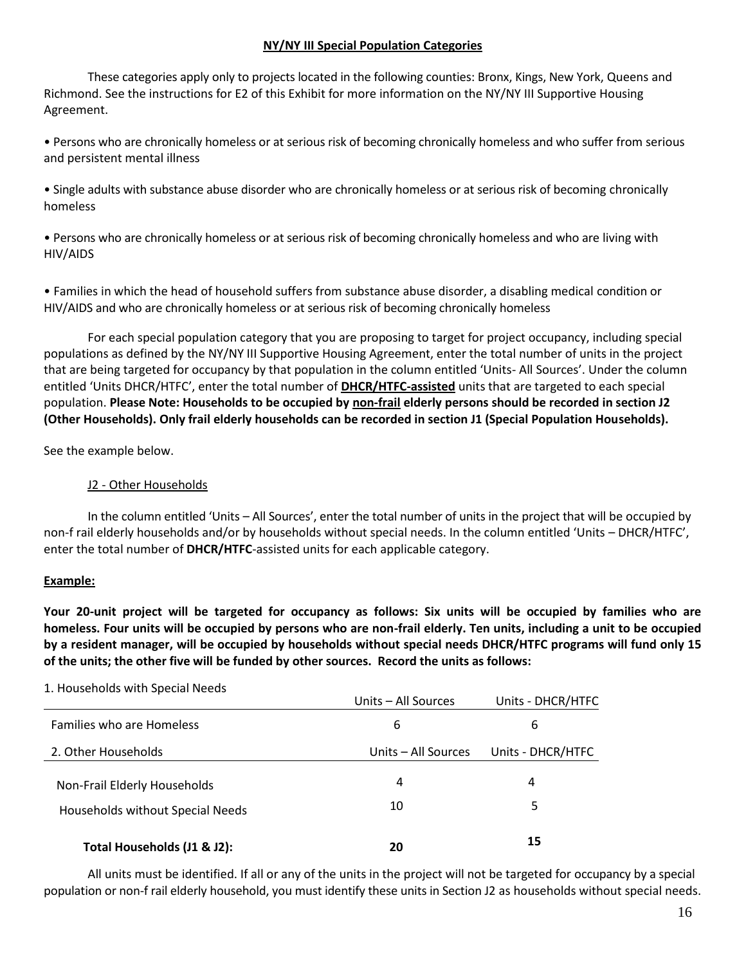#### **NY/NY III Special Population Categories**

These categories apply only to projects located in the following counties: Bronx, Kings, New York, Queens and Richmond. See the instructions for E2 of this Exhibit for more information on the NY/NY III Supportive Housing Agreement.

• Persons who are chronically homeless or at serious risk of becoming chronically homeless and who suffer from serious and persistent mental illness

• Single adults with substance abuse disorder who are chronically homeless or at serious risk of becoming chronically homeless

• Persons who are chronically homeless or at serious risk of becoming chronically homeless and who are living with HIV/AIDS

• Families in which the head of household suffers from substance abuse disorder, a disabling medical condition or HIV/AIDS and who are chronically homeless or at serious risk of becoming chronically homeless

For each special population category that you are proposing to target for project occupancy, including special populations as defined by the NY/NY III Supportive Housing Agreement, enter the total number of units in the project that are being targeted for occupancy by that population in the column entitled 'Units- All Sources'. Under the column entitled 'Units DHCR/HTFC', enter the total number of **DHCR/HTFC-assisted** units that are targeted to each special population. **Please Note: Households to be occupied by non-frail elderly persons should be recorded in section J2 (Other Households). Only frail elderly households can be recorded in section J1 (Special Population Households).**

See the example below.

### J2 - Other Households

In the column entitled 'Units – All Sources', enter the total number of units in the project that will be occupied by non-f rail elderly households and/or by households without special needs. In the column entitled 'Units – DHCR/HTFC', enter the total number of **DHCR/HTFC**-assisted units for each applicable category.

#### **Example:**

**Your 20-unit project will be targeted for occupancy as follows: Six units will be occupied by families who are homeless. Four units will be occupied by persons who are non-frail elderly. Ten units, including a unit to be occupied by a resident manager, will be occupied by households without special needs DHCR/HTFC programs will fund only 15 of the units; the other five will be funded by other sources. Record the units as follows:**

| 1. HOUSENOIUS WILLI SPECIAI NEEUS | Units - All Sources | Units - DHCR/HTFC |
|-----------------------------------|---------------------|-------------------|
| <b>Families who are Homeless</b>  | 6                   | 6                 |
| 2. Other Households               | Units – All Sources | Units - DHCR/HTFC |
| Non-Frail Elderly Households      | 4                   | 4                 |
| Households without Special Needs  | 10                  | 5                 |
| Total Households (J1 & J2):       | 20                  | 15                |

# 1. Households with Special Needs

All units must be identified. If all or any of the units in the project will not be targeted for occupancy by a special population or non-f rail elderly household, you must identify these units in Section J2 as households without special needs.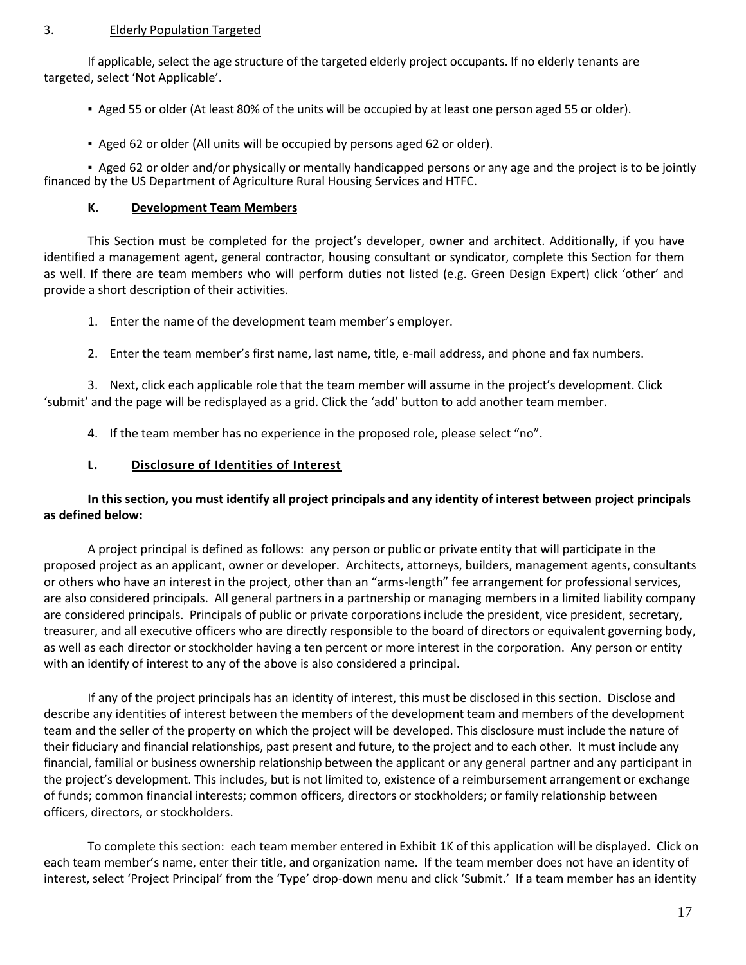### 3. Elderly Population Targeted

If applicable, select the age structure of the targeted elderly project occupants. If no elderly tenants are targeted, select 'Not Applicable'.

- Aged 55 or older (At least 80% of the units will be occupied by at least one person aged 55 or older).
- Aged 62 or older (All units will be occupied by persons aged 62 or older).

▪ Aged 62 or older and/or physically or mentally handicapped persons or any age and the project is to be jointly financed by the US Department of Agriculture Rural Housing Services and HTFC.

### **K. Development Team Members**

This Section must be completed for the project's developer, owner and architect. Additionally, if you have identified a management agent, general contractor, housing consultant or syndicator, complete this Section for them as well. If there are team members who will perform duties not listed (e.g. Green Design Expert) click 'other' and provide a short description of their activities.

- 1. Enter the name of the development team member's employer.
- 2. Enter the team member's first name, last name, title, e-mail address, and phone and fax numbers.

3. Next, click each applicable role that the team member will assume in the project's development. Click 'submit' and the page will be redisplayed as a grid. Click the 'add' button to add another team member.

4. If the team member has no experience in the proposed role, please select "no".

### **L. Disclosure of Identities of Interest**

# **In this section, you must identify all project principals and any identity of interest between project principals as defined below:**

A project principal is defined as follows: any person or public or private entity that will participate in the proposed project as an applicant, owner or developer. Architects, attorneys, builders, management agents, consultants or others who have an interest in the project, other than an "arms-length" fee arrangement for professional services, are also considered principals. All general partners in a partnership or managing members in a limited liability company are considered principals. Principals of public or private corporations include the president, vice president, secretary, treasurer, and all executive officers who are directly responsible to the board of directors or equivalent governing body, as well as each director or stockholder having a ten percent or more interest in the corporation. Any person or entity with an identify of interest to any of the above is also considered a principal.

If any of the project principals has an identity of interest, this must be disclosed in this section. Disclose and describe any identities of interest between the members of the development team and members of the development team and the seller of the property on which the project will be developed. This disclosure must include the nature of their fiduciary and financial relationships, past present and future, to the project and to each other. It must include any financial, familial or business ownership relationship between the applicant or any general partner and any participant in the project's development. This includes, but is not limited to, existence of a reimbursement arrangement or exchange of funds; common financial interests; common officers, directors or stockholders; or family relationship between officers, directors, or stockholders.

To complete this section: each team member entered in Exhibit 1K of this application will be displayed. Click on each team member's name, enter their title, and organization name. If the team member does not have an identity of interest, select 'Project Principal' from the 'Type' drop-down menu and click 'Submit.' If a team member has an identity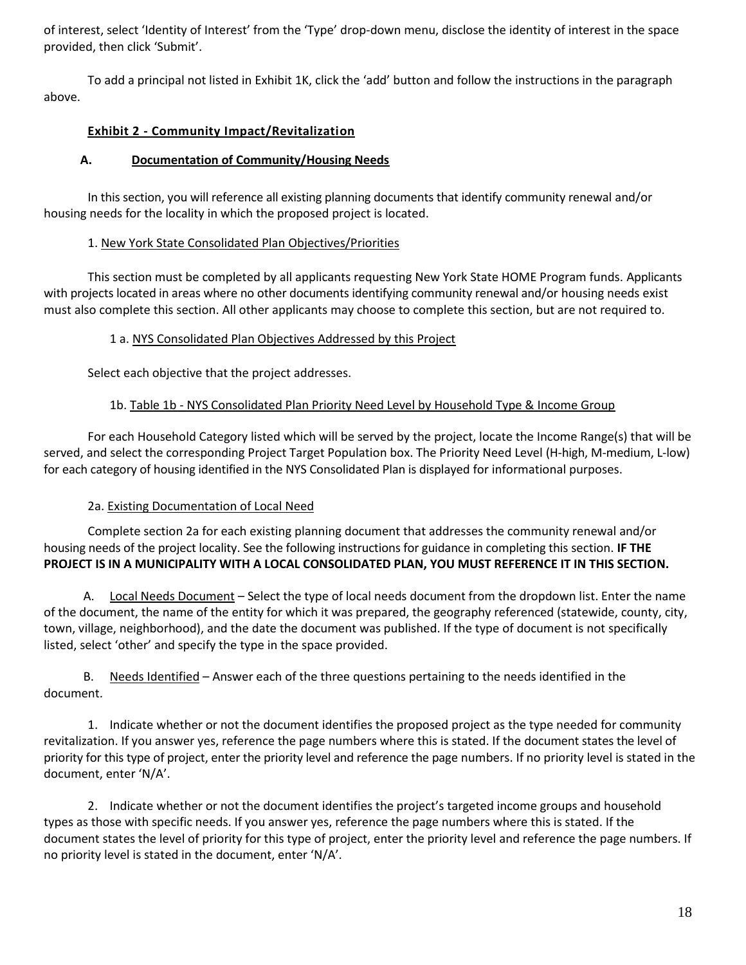of interest, select 'Identity of Interest' from the 'Type' drop-down menu, disclose the identity of interest in the space provided, then click 'Submit'.

To add a principal not listed in Exhibit 1K, click the 'add' button and follow the instructions in the paragraph above.

# **Exhibit 2 - Community Impact/Revitalization**

# **A. Documentation of Community/Housing Needs**

In this section, you will reference all existing planning documents that identify community renewal and/or housing needs for the locality in which the proposed project is located.

### 1. New York State Consolidated Plan Objectives/Priorities

This section must be completed by all applicants requesting New York State HOME Program funds. Applicants with projects located in areas where no other documents identifying community renewal and/or housing needs exist must also complete this section. All other applicants may choose to complete this section, but are not required to.

# 1 a. NYS Consolidated Plan Objectives Addressed by this Project

Select each objective that the project addresses.

# 1b. Table 1b - NYS Consolidated Plan Priority Need Level by Household Type & Income Group

For each Household Category listed which will be served by the project, locate the Income Range(s) that will be served, and select the corresponding Project Target Population box. The Priority Need Level (H-high, M-medium, L-low) for each category of housing identified in the NYS Consolidated Plan is displayed for informational purposes.

# 2a. Existing Documentation of Local Need

Complete section 2a for each existing planning document that addresses the community renewal and/or housing needs of the project locality. See the following instructions for guidance in completing this section. **IF THE PROJECT IS IN A MUNICIPALITY WITH A LOCAL CONSOLIDATED PLAN, YOU MUST REFERENCE IT IN THIS SECTION.**

A. Local Needs Document – Select the type of local needs document from the dropdown list. Enter the name of the document, the name of the entity for which it was prepared, the geography referenced (statewide, county, city, town, village, neighborhood), and the date the document was published. If the type of document is not specifically listed, select 'other' and specify the type in the space provided.

B. Needs Identified – Answer each of the three questions pertaining to the needs identified in the document.

1. Indicate whether or not the document identifies the proposed project as the type needed for community revitalization. If you answer yes, reference the page numbers where this is stated. If the document states the level of priority for this type of project, enter the priority level and reference the page numbers. If no priority level is stated in the document, enter 'N/A'.

2. Indicate whether or not the document identifies the project's targeted income groups and household types as those with specific needs. If you answer yes, reference the page numbers where this is stated. If the document states the level of priority for this type of project, enter the priority level and reference the page numbers. If no priority level is stated in the document, enter 'N/A'.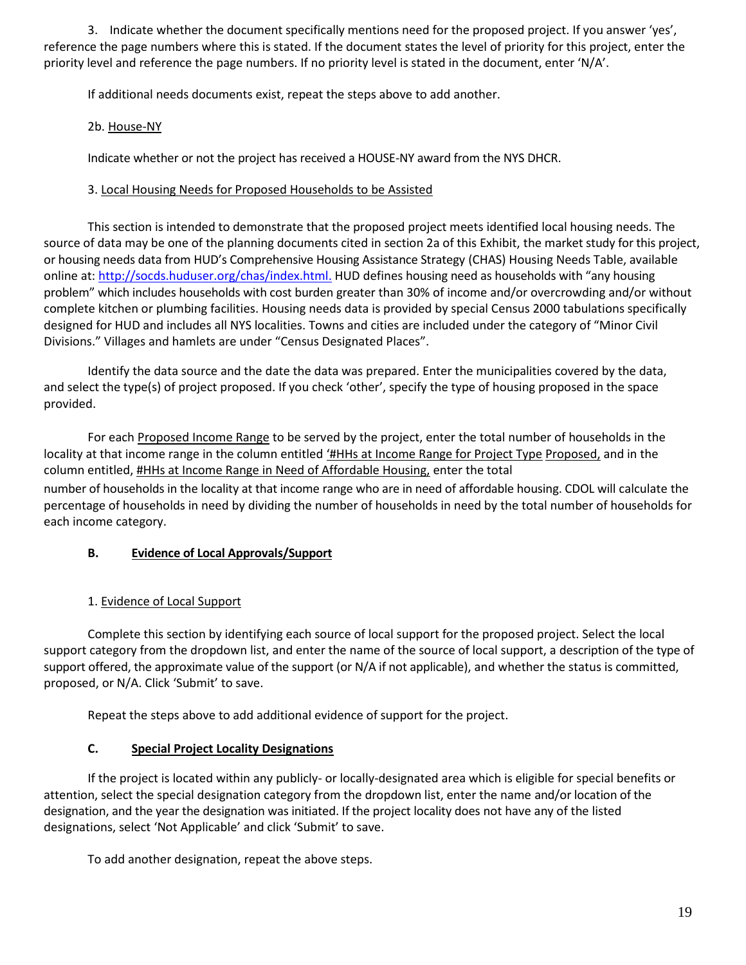3. Indicate whether the document specifically mentions need for the proposed project. If you answer 'yes', reference the page numbers where this is stated. If the document states the level of priority for this project, enter the priority level and reference the page numbers. If no priority level is stated in the document, enter 'N/A'.

If additional needs documents exist, repeat the steps above to add another.

# 2b. House-NY

Indicate whether or not the project has received a HOUSE-NY award from the NYS DHCR.

# 3. Local Housing Needs for Proposed Households to be Assisted

This section is intended to demonstrate that the proposed project meets identified local housing needs. The source of data may be one of the planning documents cited in section 2a of this Exhibit, the market study for this project, or housing needs data from HUD's Comprehensive Housing Assistance Strategy (CHAS) Housing Needs Table, available online at: [http://socds.huduser.org/chas/index.html.](http://socds.huduser.org/chas/index.html) HUD defines housing need as households with "any housing problem" which includes households with cost burden greater than 30% of income and/or overcrowding and/or without complete kitchen or plumbing facilities. Housing needs data is provided by special Census 2000 tabulations specifically designed for HUD and includes all NYS localities. Towns and cities are included under the category of "Minor Civil Divisions." Villages and hamlets are under "Census Designated Places".

Identify the data source and the date the data was prepared. Enter the municipalities covered by the data, and select the type(s) of project proposed. If you check 'other', specify the type of housing proposed in the space provided.

For each Proposed Income Range to be served by the project, enter the total number of households in the locality at that income range in the column entitled '#HHs at Income Range for Project Type Proposed, and in the column entitled, #HHs at Income Range in Need of Affordable Housing, enter the total number of households in the locality at that income range who are in need of affordable housing. CDOL will calculate the percentage of households in need by dividing the number of households in need by the total number of households for each income category.

# **B. Evidence of Local Approvals/Support**

# 1. Evidence of Local Support

Complete this section by identifying each source of local support for the proposed project. Select the local support category from the dropdown list, and enter the name of the source of local support, a description of the type of support offered, the approximate value of the support (or N/A if not applicable), and whether the status is committed, proposed, or N/A. Click 'Submit' to save.

Repeat the steps above to add additional evidence of support for the project.

# **C. Special Project Locality Designations**

If the project is located within any publicly- or locally-designated area which is eligible for special benefits or attention, select the special designation category from the dropdown list, enter the name and/or location of the designation, and the year the designation was initiated. If the project locality does not have any of the listed designations, select 'Not Applicable' and click 'Submit' to save.

To add another designation, repeat the above steps.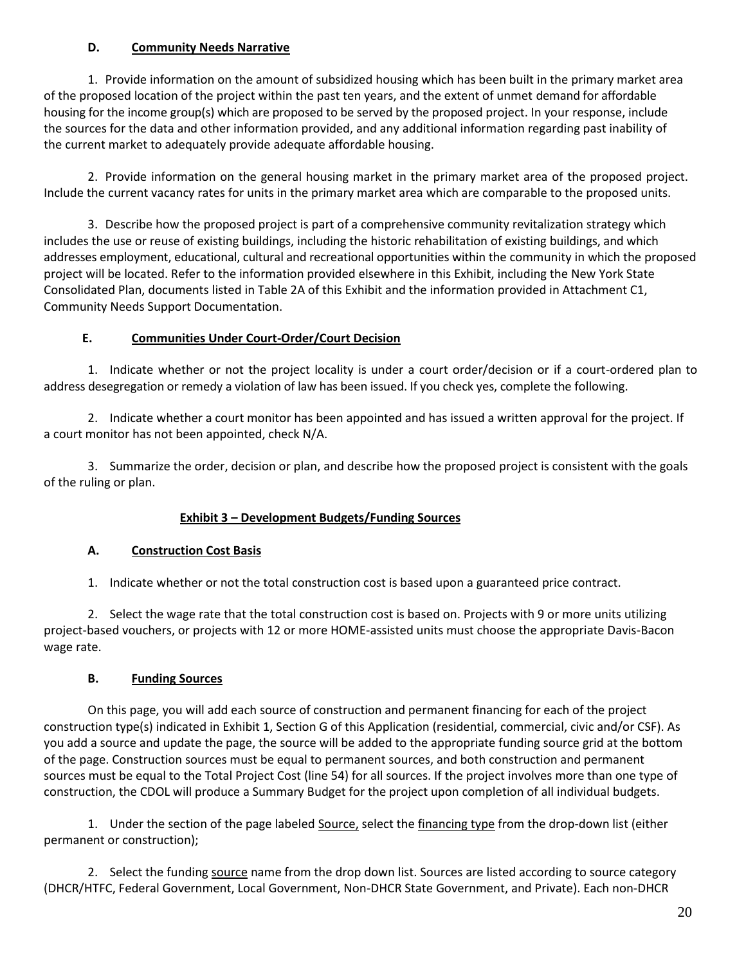# **D. Community Needs Narrative**

1. Provide information on the amount of subsidized housing which has been built in the primary market area of the proposed location of the project within the past ten years, and the extent of unmet demand for affordable housing for the income group(s) which are proposed to be served by the proposed project. In your response, include the sources for the data and other information provided, and any additional information regarding past inability of the current market to adequately provide adequate affordable housing.

2. Provide information on the general housing market in the primary market area of the proposed project. Include the current vacancy rates for units in the primary market area which are comparable to the proposed units.

3. Describe how the proposed project is part of a comprehensive community revitalization strategy which includes the use or reuse of existing buildings, including the historic rehabilitation of existing buildings, and which addresses employment, educational, cultural and recreational opportunities within the community in which the proposed project will be located. Refer to the information provided elsewhere in this Exhibit, including the New York State Consolidated Plan, documents listed in Table 2A of this Exhibit and the information provided in Attachment C1, Community Needs Support Documentation.

# **E. Communities Under Court-Order/Court Decision**

1. Indicate whether or not the project locality is under a court order/decision or if a court-ordered plan to address desegregation or remedy a violation of law has been issued. If you check yes, complete the following.

2. Indicate whether a court monitor has been appointed and has issued a written approval for the project. If a court monitor has not been appointed, check N/A.

3. Summarize the order, decision or plan, and describe how the proposed project is consistent with the goals of the ruling or plan.

# **Exhibit 3 – Development Budgets/Funding Sources**

# **A. Construction Cost Basis**

1. Indicate whether or not the total construction cost is based upon a guaranteed price contract.

2. Select the wage rate that the total construction cost is based on. Projects with 9 or more units utilizing project-based vouchers, or projects with 12 or more HOME-assisted units must choose the appropriate Davis-Bacon wage rate.

# **B. Funding Sources**

On this page, you will add each source of construction and permanent financing for each of the project construction type(s) indicated in Exhibit 1, Section G of this Application (residential, commercial, civic and/or CSF). As you add a source and update the page, the source will be added to the appropriate funding source grid at the bottom of the page. Construction sources must be equal to permanent sources, and both construction and permanent sources must be equal to the Total Project Cost (line 54) for all sources. If the project involves more than one type of construction, the CDOL will produce a Summary Budget for the project upon completion of all individual budgets.

1. Under the section of the page labeled Source, select the financing type from the drop-down list (either permanent or construction);

2. Select the funding source name from the drop down list. Sources are listed according to source category (DHCR/HTFC, Federal Government, Local Government, Non-DHCR State Government, and Private). Each non-DHCR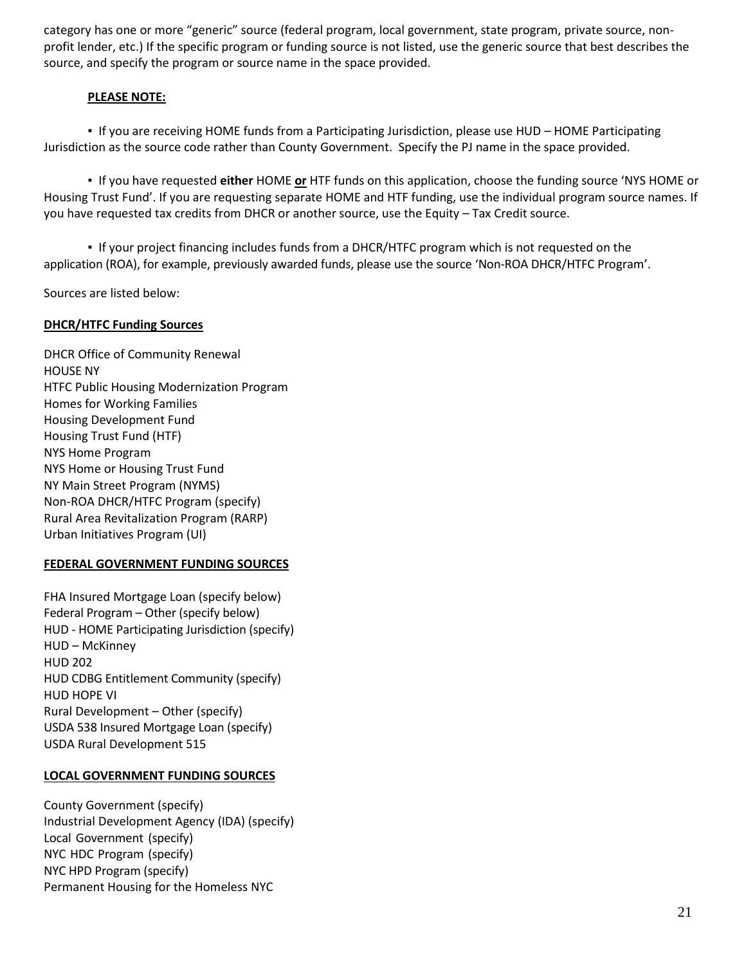category has one or more "generic" source (federal program, local government, state program, private source, nonprofit lender, etc.) If the specific program or funding source is not listed, use the generic source that best describes the source, and specify the program or source name in the space provided.

### **PLEASE NOTE:**

**▪** If you are receiving HOME funds from a Participating Jurisdiction, please use HUD – HOME Participating Jurisdiction as the source code rather than County Government. Specify the PJ name in the space provided.

▪ If you have requested **either** HOME **or** HTF funds on this application, choose the funding source 'NYS HOME or Housing Trust Fund'. If you are requesting separate HOME and HTF funding, use the individual program source names. If you have requested tax credits from DHCR or another source, use the Equity – Tax Credit source.

▪ If your project financing includes funds from a DHCR/HTFC program which is not requested on the application (ROA), for example, previously awarded funds, please use the source 'Non-ROA DHCR/HTFC Program'.

Sources are listed below:

### **DHCR/HTFC Funding Sources**

DHCR Office of Community Renewal HOUSE NY HTFC Public Housing Modernization Program Homes for Working Families Housing Development Fund Housing Trust Fund (HTF) NYS Home Program NYS Home or Housing Trust Fund NY Main Street Program (NYMS) Non-ROA DHCR/HTFC Program (specify) Rural Area Revitalization Program (RARP) Urban Initiatives Program (UI)

#### **FEDERAL GOVERNMENT FUNDING SOURCES**

FHA Insured Mortgage Loan (specify below) Federal Program – Other (specify below) HUD - HOME Participating Jurisdiction (specify) HUD – McKinney HUD 202 HUD CDBG Entitlement Community (specify) HUD HOPE VI Rural Development – Other (specify) USDA 538 Insured Mortgage Loan (specify) USDA Rural Development 515

#### **LOCAL GOVERNMENT FUNDING SOURCES**

County Government (specify) Industrial Development Agency (IDA) (specify) Local Government (specify) NYC HDC Program (specify) NYC HPD Program (specify) Permanent Housing for the Homeless NYC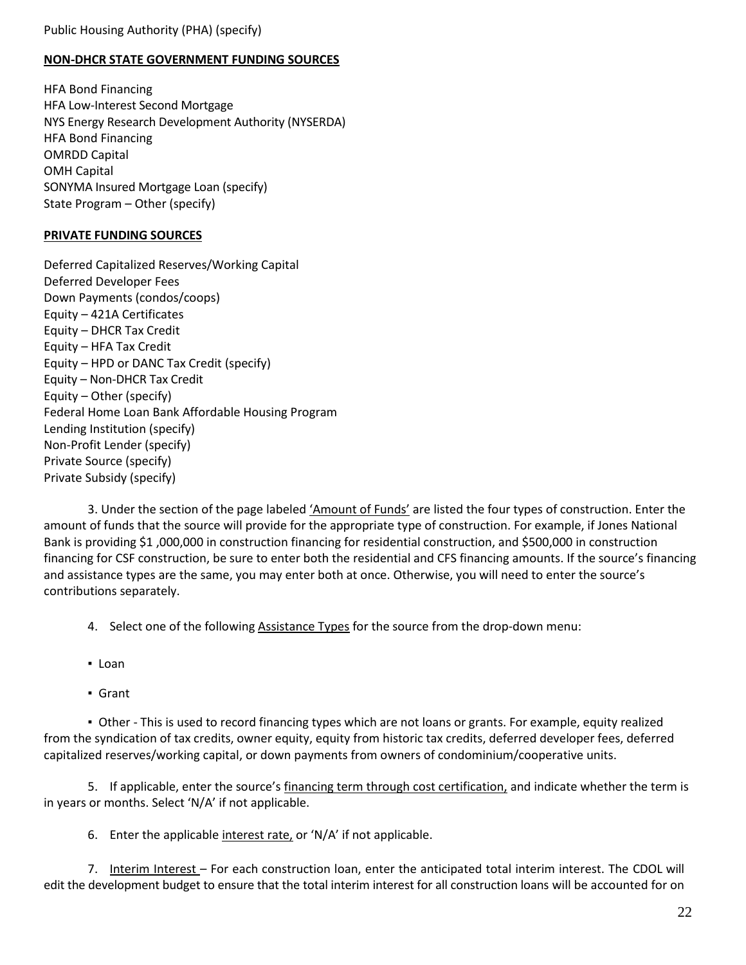Public Housing Authority (PHA) (specify)

#### **NON-DHCR STATE GOVERNMENT FUNDING SOURCES**

HFA Bond Financing HFA Low-Interest Second Mortgage NYS Energy Research Development Authority (NYSERDA) HFA Bond Financing OMRDD Capital OMH Capital SONYMA Insured Mortgage Loan (specify) State Program – Other (specify)

#### **PRIVATE FUNDING SOURCES**

Deferred Capitalized Reserves/Working Capital Deferred Developer Fees Down Payments (condos/coops) Equity – 421A Certificates Equity – DHCR Tax Credit Equity – HFA Tax Credit Equity – HPD or DANC Tax Credit (specify) Equity – Non-DHCR Tax Credit Equity – Other (specify) Federal Home Loan Bank Affordable Housing Program Lending Institution (specify) Non-Profit Lender (specify) Private Source (specify) Private Subsidy (specify)

3. Under the section of the page labeled 'Amount of Funds' are listed the four types of construction. Enter the amount of funds that the source will provide for the appropriate type of construction. For example, if Jones National Bank is providing \$1 ,000,000 in construction financing for residential construction, and \$500,000 in construction financing for CSF construction, be sure to enter both the residential and CFS financing amounts. If the source's financing and assistance types are the same, you may enter both at once. Otherwise, you will need to enter the source's contributions separately.

4. Select one of the following Assistance Types for the source from the drop-down menu:

- Loan
- Grant

▪ Other - This is used to record financing types which are not loans or grants. For example, equity realized from the syndication of tax credits, owner equity, equity from historic tax credits, deferred developer fees, deferred capitalized reserves/working capital, or down payments from owners of condominium/cooperative units.

5. If applicable, enter the source's financing term through cost certification, and indicate whether the term is in years or months. Select 'N/A' if not applicable.

6. Enter the applicable interest rate, or 'N/A' if not applicable.

7. Interim Interest – For each construction loan, enter the anticipated total interim interest. The CDOL will edit the development budget to ensure that the total interim interest for all construction loans will be accounted for on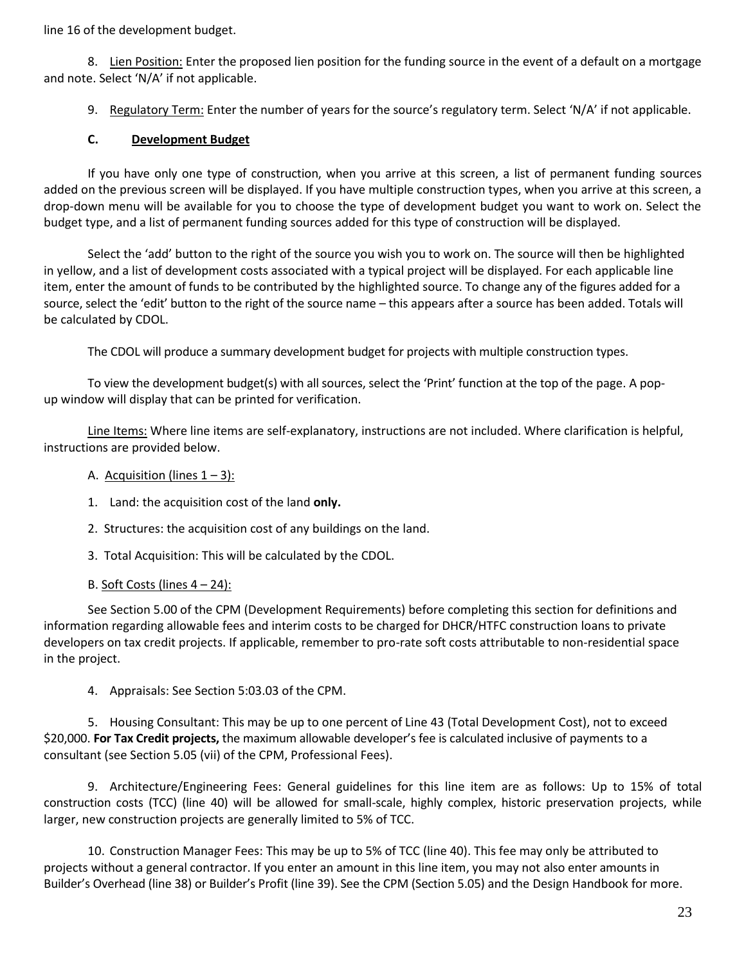line 16 of the development budget.

8. Lien Position: Enter the proposed lien position for the funding source in the event of a default on a mortgage and note. Select 'N/A' if not applicable.

9. Regulatory Term: Enter the number of years for the source's regulatory term. Select 'N/A' if not applicable.

### **C. Development Budget**

If you have only one type of construction, when you arrive at this screen, a list of permanent funding sources added on the previous screen will be displayed. If you have multiple construction types, when you arrive at this screen, a drop-down menu will be available for you to choose the type of development budget you want to work on. Select the budget type, and a list of permanent funding sources added for this type of construction will be displayed.

Select the 'add' button to the right of the source you wish you to work on. The source will then be highlighted in yellow, and a list of development costs associated with a typical project will be displayed. For each applicable line item, enter the amount of funds to be contributed by the highlighted source. To change any of the figures added for a source, select the 'edit' button to the right of the source name – this appears after a source has been added. Totals will be calculated by CDOL.

The CDOL will produce a summary development budget for projects with multiple construction types.

To view the development budget(s) with all sources, select the 'Print' function at the top of the page. A popup window will display that can be printed for verification.

Line Items: Where line items are self-explanatory, instructions are not included. Where clarification is helpful, instructions are provided below.

- A. Acquisition (lines  $1 3$ ):
- 1. Land: the acquisition cost of the land **only.**
- 2. Structures: the acquisition cost of any buildings on the land.
- 3. Total Acquisition: This will be calculated by the CDOL.
- B. Soft Costs (lines  $4 24$ ):

See Section 5.00 of the CPM (Development Requirements) before completing this section for definitions and information regarding allowable fees and interim costs to be charged for DHCR/HTFC construction loans to private developers on tax credit projects. If applicable, remember to pro-rate soft costs attributable to non-residential space in the project.

4. Appraisals: See Section 5:03.03 of the CPM.

5. Housing Consultant: This may be up to one percent of Line 43 (Total Development Cost), not to exceed \$20,000. **For Tax Credit projects,** the maximum allowable developer's fee is calculated inclusive of payments to a consultant (see Section 5.05 (vii) of the CPM, Professional Fees).

9. Architecture/Engineering Fees: General guidelines for this line item are as follows: Up to 15% of total construction costs (TCC) (line 40) will be allowed for small-scale, highly complex, historic preservation projects, while larger, new construction projects are generally limited to 5% of TCC.

10. Construction Manager Fees: This may be up to 5% of TCC (line 40). This fee may only be attributed to projects without a general contractor. If you enter an amount in this line item, you may not also enter amounts in Builder's Overhead (line 38) or Builder's Profit (line 39). See the CPM (Section 5.05) and the Design Handbook for more.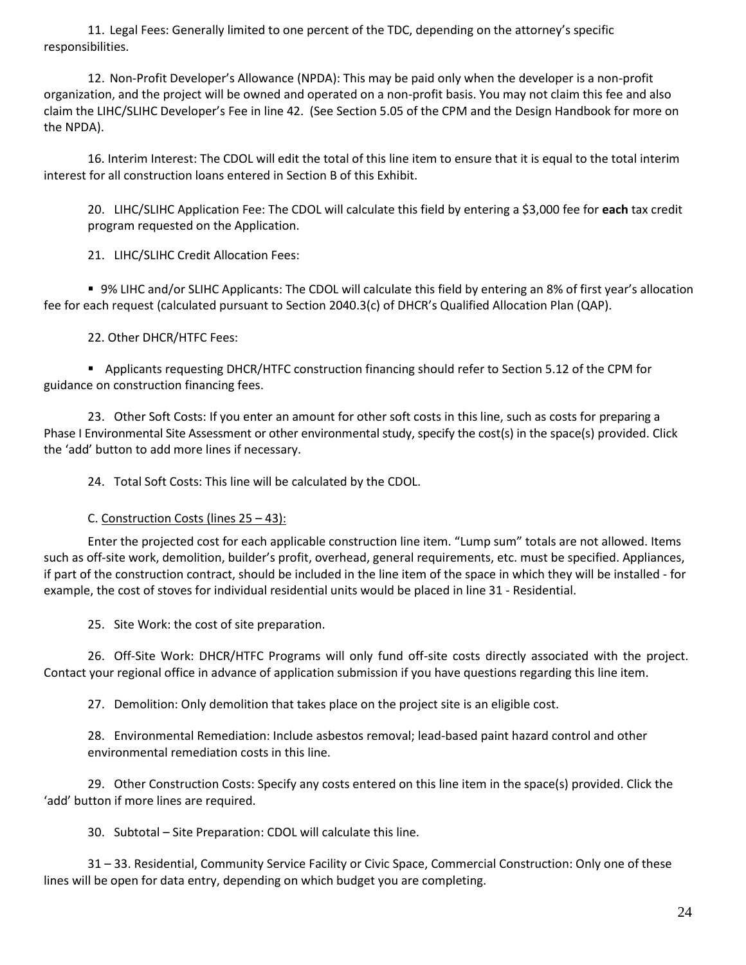11. Legal Fees: Generally limited to one percent of the TDC, depending on the attorney's specific responsibilities.

12. Non-Profit Developer's Allowance (NPDA): This may be paid only when the developer is a non-profit organization, and the project will be owned and operated on a non-profit basis. You may not claim this fee and also claim the LIHC/SLIHC Developer's Fee in line 42. (See Section 5.05 of the CPM and the Design Handbook for more on the NPDA).

16. Interim Interest: The CDOL will edit the total of this line item to ensure that it is equal to the total interim interest for all construction loans entered in Section B of this Exhibit.

20. LIHC/SLIHC Application Fee: The CDOL will calculate this field by entering a \$3,000 fee for **each** tax credit program requested on the Application.

21. LIHC/SLIHC Credit Allocation Fees:

 9% LIHC and/or SLIHC Applicants: The CDOL will calculate this field by entering an 8% of first year's allocation fee for each request (calculated pursuant to Section 2040.3(c) of DHCR's Qualified Allocation Plan (QAP).

22. Other DHCR/HTFC Fees:

**Applicants requesting DHCR/HTFC construction financing should refer to Section 5.12 of the CPM for** guidance on construction financing fees.

23. Other Soft Costs: If you enter an amount for other soft costs in this line, such as costs for preparing a Phase I Environmental Site Assessment or other environmental study, specify the cost(s) in the space(s) provided. Click the 'add' button to add more lines if necessary.

24. Total Soft Costs: This line will be calculated by the CDOL.

C. Construction Costs (lines 25 – 43):

Enter the projected cost for each applicable construction line item. "Lump sum" totals are not allowed. Items such as off-site work, demolition, builder's profit, overhead, general requirements, etc. must be specified. Appliances, if part of the construction contract, should be included in the line item of the space in which they will be installed - for example, the cost of stoves for individual residential units would be placed in line 31 - Residential.

25. Site Work: the cost of site preparation.

26. Off-Site Work: DHCR/HTFC Programs will only fund off-site costs directly associated with the project. Contact your regional office in advance of application submission if you have questions regarding this line item.

27. Demolition: Only demolition that takes place on the project site is an eligible cost.

28. Environmental Remediation: Include asbestos removal; lead-based paint hazard control and other environmental remediation costs in this line.

29. Other Construction Costs: Specify any costs entered on this line item in the space(s) provided. Click the 'add' button if more lines are required.

30. Subtotal – Site Preparation: CDOL will calculate this line.

31 – 33. Residential, Community Service Facility or Civic Space, Commercial Construction: Only one of these lines will be open for data entry, depending on which budget you are completing.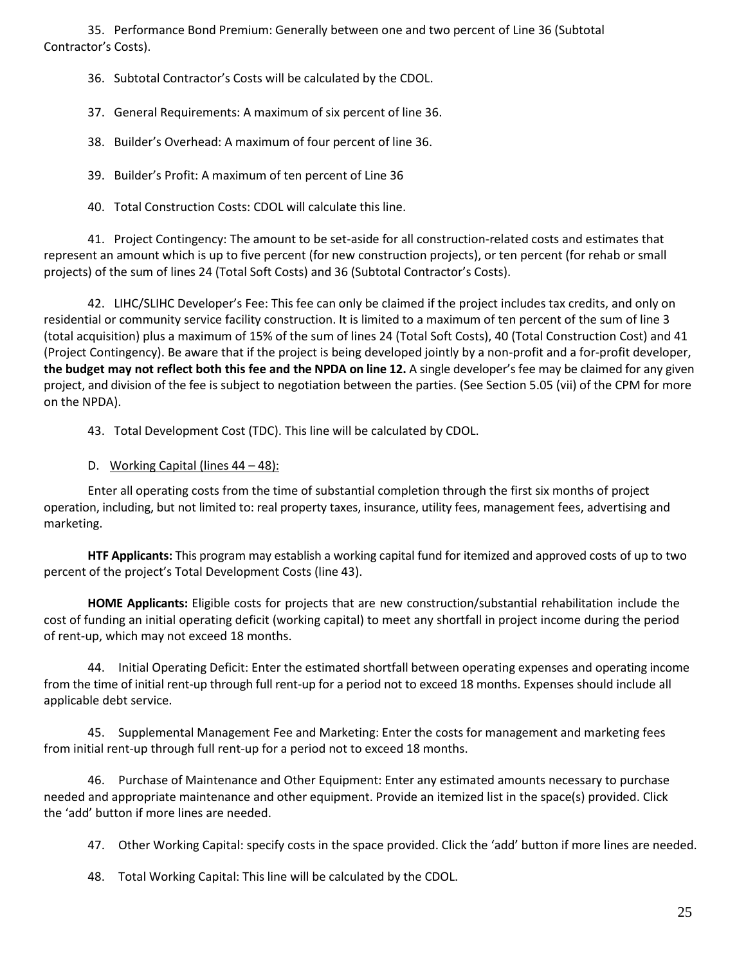35. Performance Bond Premium: Generally between one and two percent of Line 36 (Subtotal Contractor's Costs).

36. Subtotal Contractor's Costs will be calculated by the CDOL.

37. General Requirements: A maximum of six percent of line 36.

38. Builder's Overhead: A maximum of four percent of line 36.

39. Builder's Profit: A maximum of ten percent of Line 36

40. Total Construction Costs: CDOL will calculate this line.

41. Project Contingency: The amount to be set-aside for all construction-related costs and estimates that represent an amount which is up to five percent (for new construction projects), or ten percent (for rehab or small projects) of the sum of lines 24 (Total Soft Costs) and 36 (Subtotal Contractor's Costs).

42. LIHC/SLIHC Developer's Fee: This fee can only be claimed if the project includes tax credits, and only on residential or community service facility construction. It is limited to a maximum of ten percent of the sum of line 3 (total acquisition) plus a maximum of 15% of the sum of lines 24 (Total Soft Costs), 40 (Total Construction Cost) and 41 (Project Contingency). Be aware that if the project is being developed jointly by a non-profit and a for-profit developer, **the budget may not reflect both this fee and the NPDA on line 12.** A single developer's fee may be claimed for any given project, and division of the fee is subject to negotiation between the parties. (See Section 5.05 (vii) of the CPM for more on the NPDA).

43. Total Development Cost (TDC). This line will be calculated by CDOL.

D. Working Capital (lines 44 – 48):

Enter all operating costs from the time of substantial completion through the first six months of project operation, including, but not limited to: real property taxes, insurance, utility fees, management fees, advertising and marketing.

**HTF Applicants:** This program may establish a working capital fund for itemized and approved costs of up to two percent of the project's Total Development Costs (line 43).

**HOME Applicants:** Eligible costs for projects that are new construction/substantial rehabilitation include the cost of funding an initial operating deficit (working capital) to meet any shortfall in project income during the period of rent-up, which may not exceed 18 months.

44. Initial Operating Deficit: Enter the estimated shortfall between operating expenses and operating income from the time of initial rent-up through full rent-up for a period not to exceed 18 months. Expenses should include all applicable debt service.

45. Supplemental Management Fee and Marketing: Enter the costs for management and marketing fees from initial rent-up through full rent-up for a period not to exceed 18 months.

46. Purchase of Maintenance and Other Equipment: Enter any estimated amounts necessary to purchase needed and appropriate maintenance and other equipment. Provide an itemized list in the space(s) provided. Click the 'add' button if more lines are needed.

47. Other Working Capital: specify costs in the space provided. Click the 'add' button if more lines are needed.

48. Total Working Capital: This line will be calculated by the CDOL.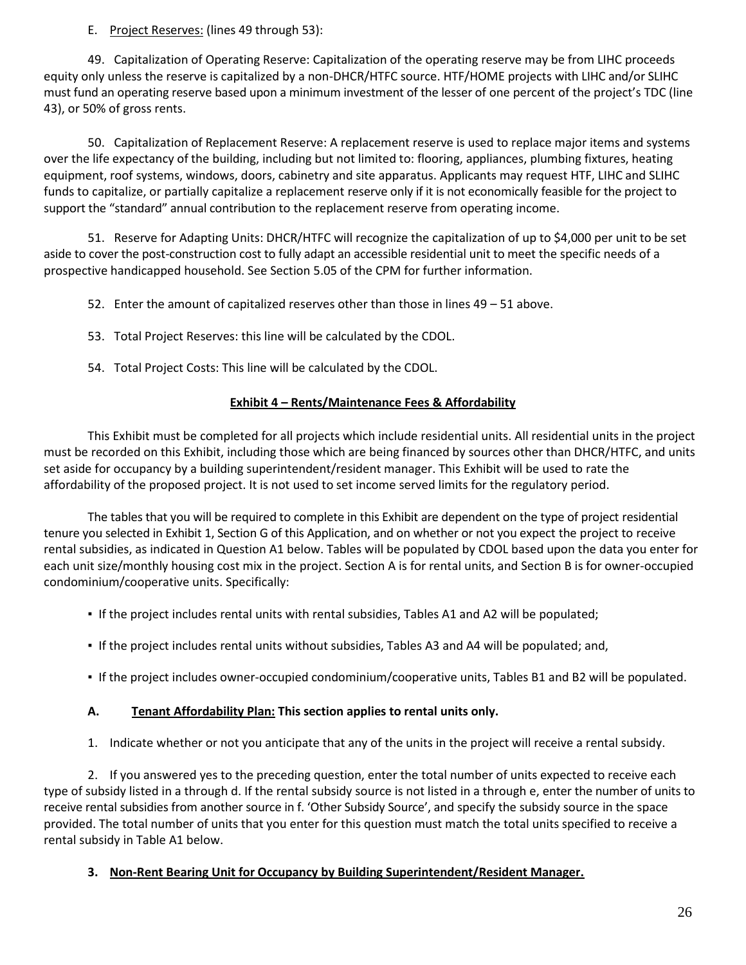E. Project Reserves: (lines 49 through 53):

49. Capitalization of Operating Reserve: Capitalization of the operating reserve may be from LIHC proceeds equity only unless the reserve is capitalized by a non-DHCR/HTFC source. HTF/HOME projects with LIHC and/or SLIHC must fund an operating reserve based upon a minimum investment of the lesser of one percent of the project's TDC (line 43), or 50% of gross rents.

50. Capitalization of Replacement Reserve: A replacement reserve is used to replace major items and systems over the life expectancy of the building, including but not limited to: flooring, appliances, plumbing fixtures, heating equipment, roof systems, windows, doors, cabinetry and site apparatus. Applicants may request HTF, LIHC and SLIHC funds to capitalize, or partially capitalize a replacement reserve only if it is not economically feasible for the project to support the "standard" annual contribution to the replacement reserve from operating income.

51. Reserve for Adapting Units: DHCR/HTFC will recognize the capitalization of up to \$4,000 per unit to be set aside to cover the post-construction cost to fully adapt an accessible residential unit to meet the specific needs of a prospective handicapped household. See Section 5.05 of the CPM for further information.

52. Enter the amount of capitalized reserves other than those in lines 49 – 51 above.

- 53. Total Project Reserves: this line will be calculated by the CDOL.
- 54. Total Project Costs: This line will be calculated by the CDOL.

### **Exhibit 4 – Rents/Maintenance Fees & Affordability**

This Exhibit must be completed for all projects which include residential units. All residential units in the project must be recorded on this Exhibit, including those which are being financed by sources other than DHCR/HTFC, and units set aside for occupancy by a building superintendent/resident manager. This Exhibit will be used to rate the affordability of the proposed project. It is not used to set income served limits for the regulatory period.

The tables that you will be required to complete in this Exhibit are dependent on the type of project residential tenure you selected in Exhibit 1, Section G of this Application, and on whether or not you expect the project to receive rental subsidies, as indicated in Question A1 below. Tables will be populated by CDOL based upon the data you enter for each unit size/monthly housing cost mix in the project. Section A is for rental units, and Section B is for owner-occupied condominium/cooperative units. Specifically:

- If the project includes rental units with rental subsidies, Tables A1 and A2 will be populated;
- If the project includes rental units without subsidies, Tables A3 and A4 will be populated; and,
- If the project includes owner-occupied condominium/cooperative units, Tables B1 and B2 will be populated.

#### **A. Tenant Affordability Plan: This section applies to rental units only.**

1. Indicate whether or not you anticipate that any of the units in the project will receive a rental subsidy.

2. If you answered yes to the preceding question, enter the total number of units expected to receive each type of subsidy listed in a through d. If the rental subsidy source is not listed in a through e, enter the number of units to receive rental subsidies from another source in f. 'Other Subsidy Source', and specify the subsidy source in the space provided. The total number of units that you enter for this question must match the total units specified to receive a rental subsidy in Table A1 below.

#### **3. Non-Rent Bearing Unit for Occupancy by Building Superintendent/Resident Manager.**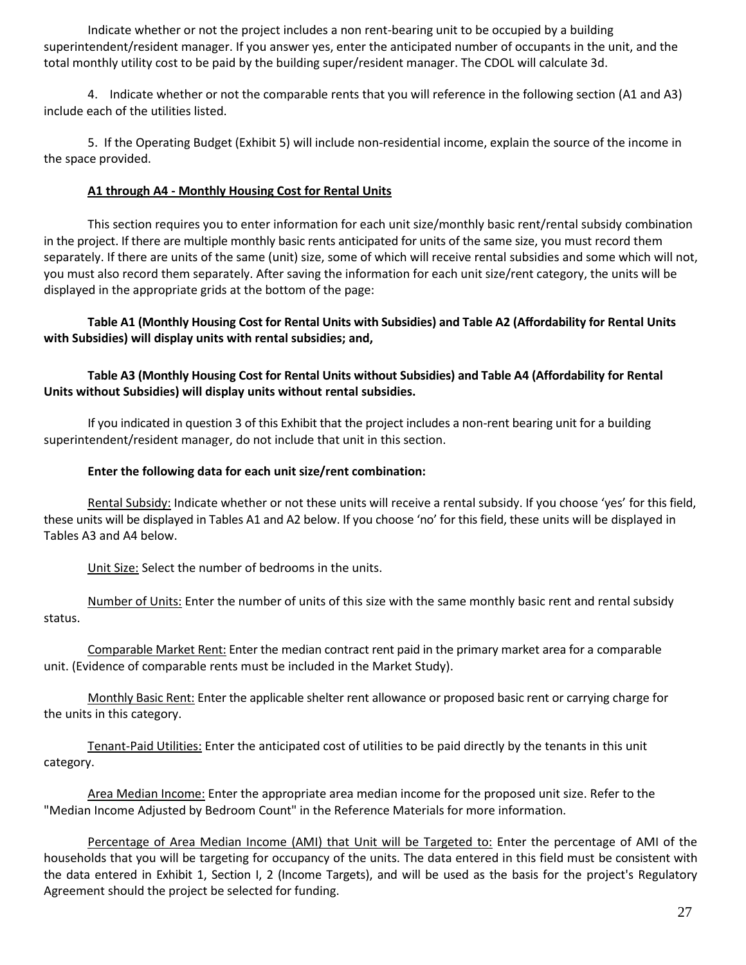Indicate whether or not the project includes a non rent-bearing unit to be occupied by a building superintendent/resident manager. If you answer yes, enter the anticipated number of occupants in the unit, and the total monthly utility cost to be paid by the building super/resident manager. The CDOL will calculate 3d.

4. Indicate whether or not the comparable rents that you will reference in the following section (A1 and A3) include each of the utilities listed.

5. If the Operating Budget (Exhibit 5) will include non-residential income, explain the source of the income in the space provided.

# **A1 through A4 - Monthly Housing Cost for Rental Units**

This section requires you to enter information for each unit size/monthly basic rent/rental subsidy combination in the project. If there are multiple monthly basic rents anticipated for units of the same size, you must record them separately. If there are units of the same (unit) size, some of which will receive rental subsidies and some which will not, you must also record them separately. After saving the information for each unit size/rent category, the units will be displayed in the appropriate grids at the bottom of the page:

**Table A1 (Monthly Housing Cost for Rental Units with Subsidies) and Table A2 (Affordability for Rental Units with Subsidies) will display units with rental subsidies; and,**

# **Table A3 (Monthly Housing Cost for Rental Units without Subsidies) and Table A4 (Affordability for Rental Units without Subsidies) will display units without rental subsidies.**

If you indicated in question 3 of this Exhibit that the project includes a non-rent bearing unit for a building superintendent/resident manager, do not include that unit in this section.

# **Enter the following data for each unit size/rent combination:**

Rental Subsidy: Indicate whether or not these units will receive a rental subsidy. If you choose 'yes' for this field, these units will be displayed in Tables A1 and A2 below. If you choose 'no' for this field, these units will be displayed in Tables A3 and A4 below.

Unit Size: Select the number of bedrooms in the units.

Number of Units: Enter the number of units of this size with the same monthly basic rent and rental subsidy status.

Comparable Market Rent: Enter the median contract rent paid in the primary market area for a comparable unit. (Evidence of comparable rents must be included in the Market Study).

Monthly Basic Rent: Enter the applicable shelter rent allowance or proposed basic rent or carrying charge for the units in this category.

Tenant-Paid Utilities: Enter the anticipated cost of utilities to be paid directly by the tenants in this unit category.

Area Median Income: Enter the appropriate area median income for the proposed unit size. Refer to the "Median Income Adjusted by Bedroom Count" in the Reference Materials for more information.

Percentage of Area Median Income (AMI) that Unit will be Targeted to: Enter the percentage of AMI of the households that you will be targeting for occupancy of the units. The data entered in this field must be consistent with the data entered in Exhibit 1, Section I, 2 (Income Targets), and will be used as the basis for the project's Regulatory Agreement should the project be selected for funding.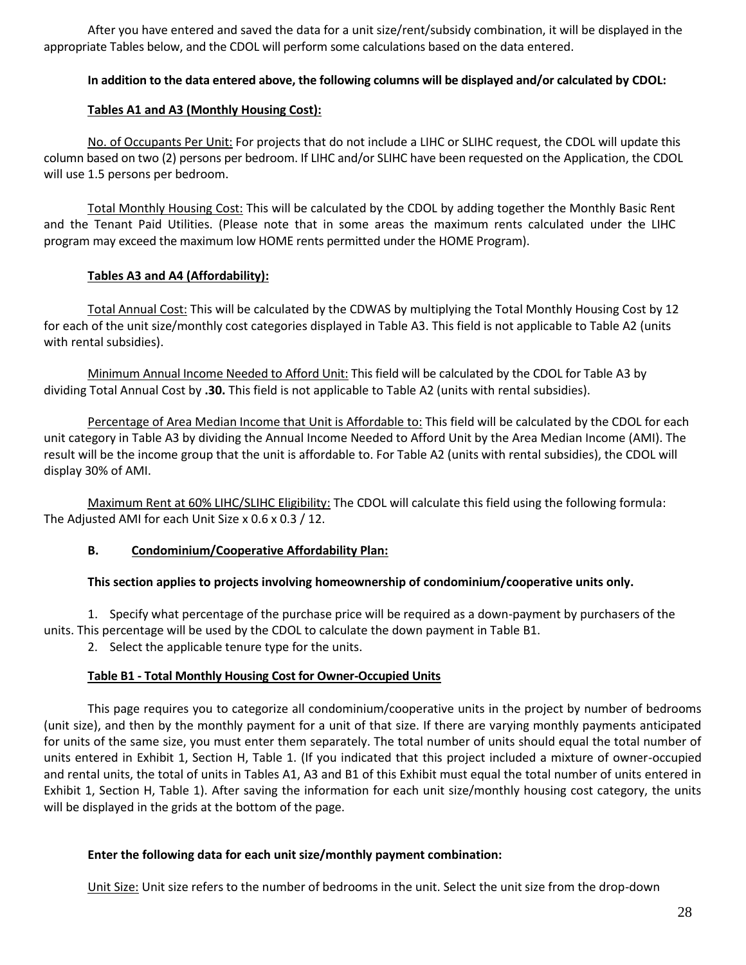After you have entered and saved the data for a unit size/rent/subsidy combination, it will be displayed in the appropriate Tables below, and the CDOL will perform some calculations based on the data entered.

# **In addition to the data entered above, the following columns will be displayed and/or calculated by CDOL:**

### **Tables A1 and A3 (Monthly Housing Cost):**

No. of Occupants Per Unit: For projects that do not include a LIHC or SLIHC request, the CDOL will update this column based on two (2) persons per bedroom. If LIHC and/or SLIHC have been requested on the Application, the CDOL will use 1.5 persons per bedroom.

Total Monthly Housing Cost: This will be calculated by the CDOL by adding together the Monthly Basic Rent and the Tenant Paid Utilities. (Please note that in some areas the maximum rents calculated under the LIHC program may exceed the maximum low HOME rents permitted under the HOME Program).

# **Tables A3 and A4 (Affordability):**

Total Annual Cost: This will be calculated by the CDWAS by multiplying the Total Monthly Housing Cost by 12 for each of the unit size/monthly cost categories displayed in Table A3. This field is not applicable to Table A2 (units with rental subsidies).

Minimum Annual Income Needed to Afford Unit: This field will be calculated by the CDOL for Table A3 by dividing Total Annual Cost by **.30.** This field is not applicable to Table A2 (units with rental subsidies).

Percentage of Area Median Income that Unit is Affordable to: This field will be calculated by the CDOL for each unit category in Table A3 by dividing the Annual Income Needed to Afford Unit by the Area Median Income (AMI). The result will be the income group that the unit is affordable to. For Table A2 (units with rental subsidies), the CDOL will display 30% of AMI.

Maximum Rent at 60% LIHC/SLIHC Eligibility: The CDOL will calculate this field using the following formula: The Adjusted AMI for each Unit Size x 0.6 x 0.3 / 12.

#### **B. Condominium/Cooperative Affordability Plan:**

#### **This section applies to projects involving homeownership of condominium/cooperative units only.**

1. Specify what percentage of the purchase price will be required as a down-payment by purchasers of the units. This percentage will be used by the CDOL to calculate the down payment in Table B1.

2. Select the applicable tenure type for the units.

# **Table B1 - Total Monthly Housing Cost for Owner-Occupied Units**

This page requires you to categorize all condominium/cooperative units in the project by number of bedrooms (unit size), and then by the monthly payment for a unit of that size. If there are varying monthly payments anticipated for units of the same size, you must enter them separately. The total number of units should equal the total number of units entered in Exhibit 1, Section H, Table 1. (If you indicated that this project included a mixture of owner-occupied and rental units, the total of units in Tables A1, A3 and B1 of this Exhibit must equal the total number of units entered in Exhibit 1, Section H, Table 1). After saving the information for each unit size/monthly housing cost category, the units will be displayed in the grids at the bottom of the page.

#### **Enter the following data for each unit size/monthly payment combination:**

Unit Size: Unit size refers to the number of bedrooms in the unit. Select the unit size from the drop-down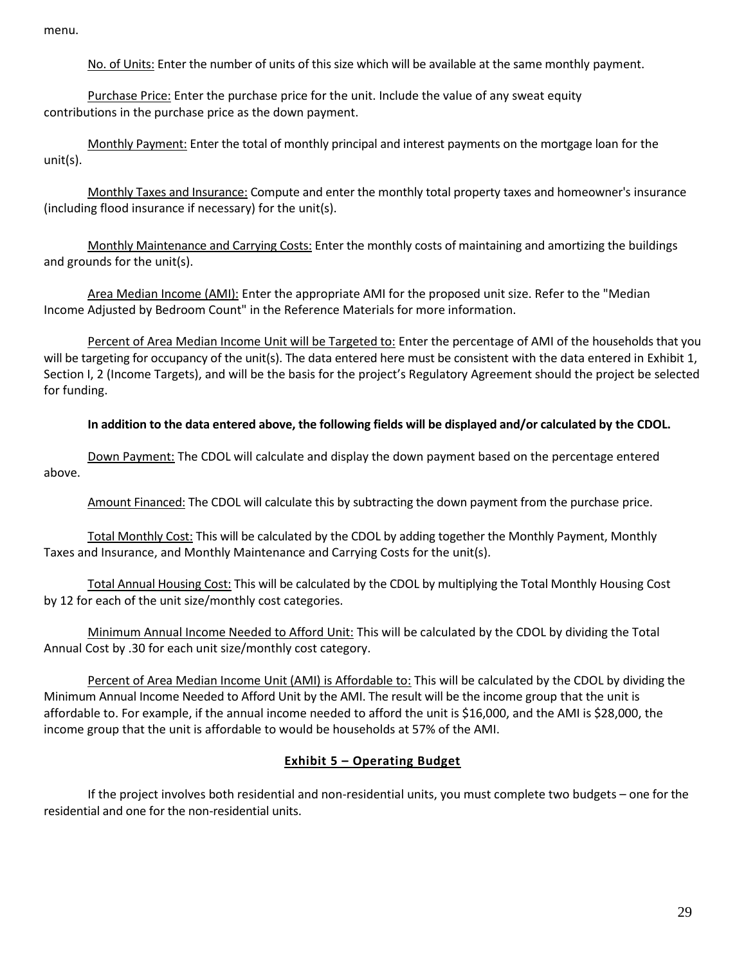menu.

No. of Units: Enter the number of units of this size which will be available at the same monthly payment.

Purchase Price: Enter the purchase price for the unit. Include the value of any sweat equity contributions in the purchase price as the down payment.

Monthly Payment: Enter the total of monthly principal and interest payments on the mortgage loan for the unit(s).

Monthly Taxes and Insurance: Compute and enter the monthly total property taxes and homeowner's insurance (including flood insurance if necessary) for the unit(s).

Monthly Maintenance and Carrying Costs: Enter the monthly costs of maintaining and amortizing the buildings and grounds for the unit(s).

Area Median Income (AMI): Enter the appropriate AMI for the proposed unit size. Refer to the "Median Income Adjusted by Bedroom Count" in the Reference Materials for more information.

Percent of Area Median Income Unit will be Targeted to: Enter the percentage of AMI of the households that you will be targeting for occupancy of the unit(s). The data entered here must be consistent with the data entered in Exhibit 1, Section I, 2 (Income Targets), and will be the basis for the project's Regulatory Agreement should the project be selected for funding.

### **In addition to the data entered above, the following fields will be displayed and/or calculated by the CDOL.**

Down Payment: The CDOL will calculate and display the down payment based on the percentage entered above.

Amount Financed: The CDOL will calculate this by subtracting the down payment from the purchase price.

Total Monthly Cost: This will be calculated by the CDOL by adding together the Monthly Payment, Monthly Taxes and Insurance, and Monthly Maintenance and Carrying Costs for the unit(s).

Total Annual Housing Cost: This will be calculated by the CDOL by multiplying the Total Monthly Housing Cost by 12 for each of the unit size/monthly cost categories.

Minimum Annual Income Needed to Afford Unit: This will be calculated by the CDOL by dividing the Total Annual Cost by .30 for each unit size/monthly cost category.

Percent of Area Median Income Unit (AMI) is Affordable to: This will be calculated by the CDOL by dividing the Minimum Annual Income Needed to Afford Unit by the AMI. The result will be the income group that the unit is affordable to. For example, if the annual income needed to afford the unit is \$16,000, and the AMI is \$28,000, the income group that the unit is affordable to would be households at 57% of the AMI.

# **Exhibit 5 – Operating Budget**

If the project involves both residential and non-residential units, you must complete two budgets – one for the residential and one for the non-residential units.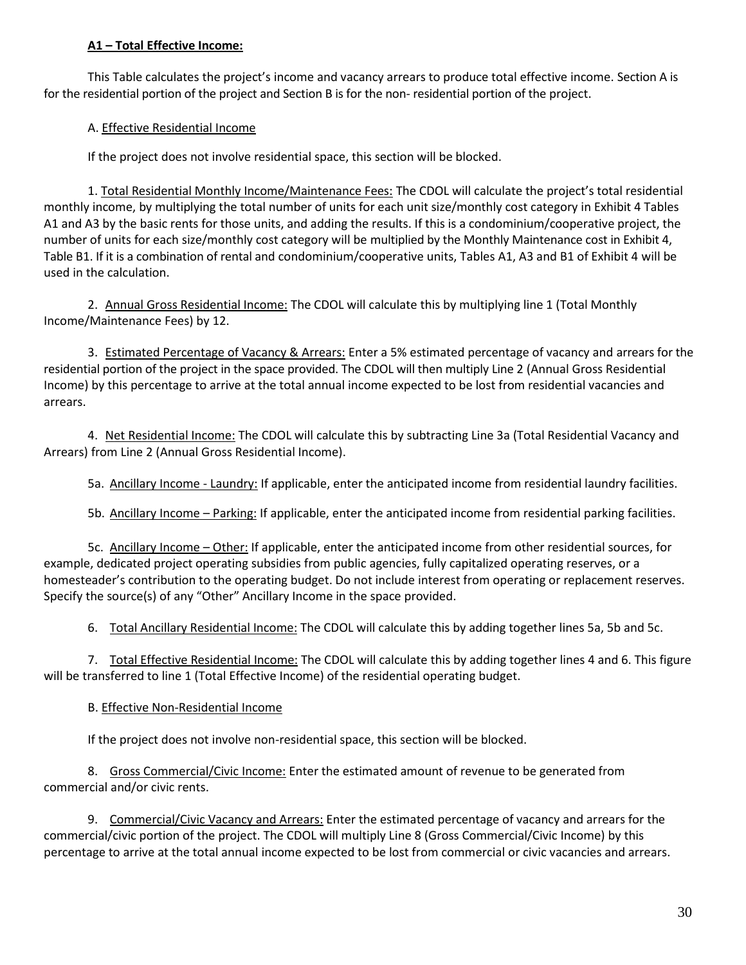# **A1 – Total Effective Income:**

This Table calculates the project's income and vacancy arrears to produce total effective income. Section A is for the residential portion of the project and Section B is for the non- residential portion of the project.

### A. Effective Residential Income

If the project does not involve residential space, this section will be blocked.

1. Total Residential Monthly Income/Maintenance Fees: The CDOL will calculate the project's total residential monthly income, by multiplying the total number of units for each unit size/monthly cost category in Exhibit 4 Tables A1 and A3 by the basic rents for those units, and adding the results. If this is a condominium/cooperative project, the number of units for each size/monthly cost category will be multiplied by the Monthly Maintenance cost in Exhibit 4, Table B1. If it is a combination of rental and condominium/cooperative units, Tables A1, A3 and B1 of Exhibit 4 will be used in the calculation.

2. Annual Gross Residential Income: The CDOL will calculate this by multiplying line 1 (Total Monthly Income/Maintenance Fees) by 12.

3. Estimated Percentage of Vacancy & Arrears: Enter a 5% estimated percentage of vacancy and arrears for the residential portion of the project in the space provided. The CDOL will then multiply Line 2 (Annual Gross Residential Income) by this percentage to arrive at the total annual income expected to be lost from residential vacancies and arrears.

4. Net Residential Income: The CDOL will calculate this by subtracting Line 3a (Total Residential Vacancy and Arrears) from Line 2 (Annual Gross Residential Income).

5a. Ancillary Income - Laundry: If applicable, enter the anticipated income from residential laundry facilities.

5b. Ancillary Income – Parking: If applicable, enter the anticipated income from residential parking facilities.

5c. Ancillary Income – Other: If applicable, enter the anticipated income from other residential sources, for example, dedicated project operating subsidies from public agencies, fully capitalized operating reserves, or a homesteader's contribution to the operating budget. Do not include interest from operating or replacement reserves. Specify the source(s) of any "Other" Ancillary Income in the space provided.

6. Total Ancillary Residential Income: The CDOL will calculate this by adding together lines 5a, 5b and 5c.

7. Total Effective Residential Income: The CDOL will calculate this by adding together lines 4 and 6. This figure will be transferred to line 1 (Total Effective Income) of the residential operating budget.

#### B. Effective Non-Residential Income

If the project does not involve non-residential space, this section will be blocked.

8. Gross Commercial/Civic Income: Enter the estimated amount of revenue to be generated from commercial and/or civic rents.

9. Commercial/Civic Vacancy and Arrears: Enter the estimated percentage of vacancy and arrears for the commercial/civic portion of the project. The CDOL will multiply Line 8 (Gross Commercial/Civic Income) by this percentage to arrive at the total annual income expected to be lost from commercial or civic vacancies and arrears.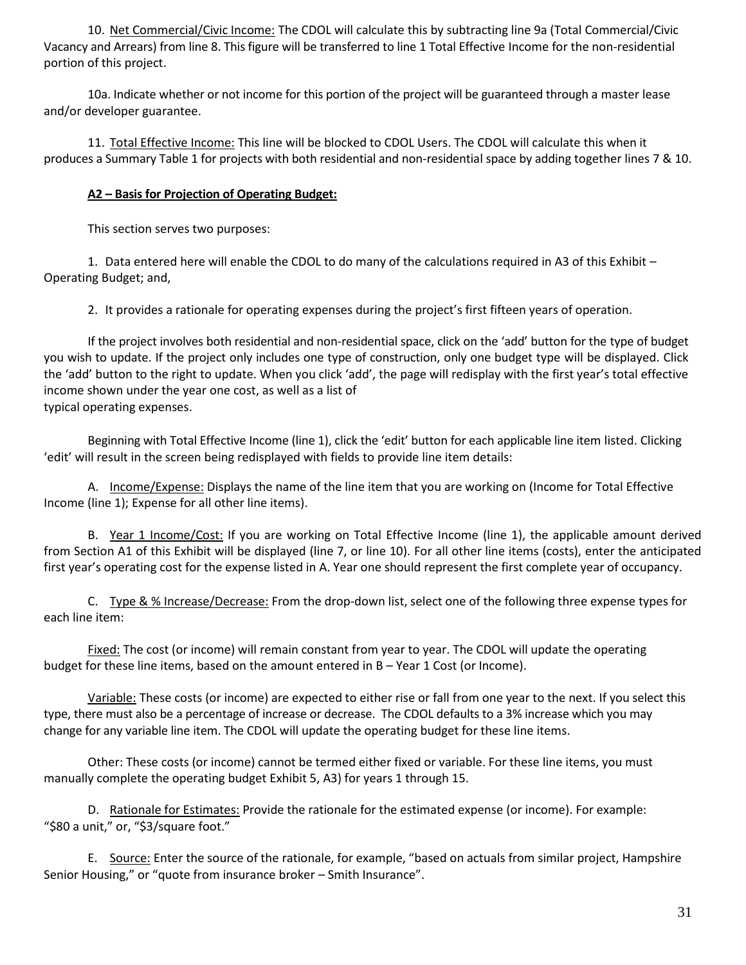10. Net Commercial/Civic Income: The CDOL will calculate this by subtracting line 9a (Total Commercial/Civic Vacancy and Arrears) from line 8. This figure will be transferred to line 1 Total Effective Income for the non-residential portion of this project.

10a. Indicate whether or not income for this portion of the project will be guaranteed through a master lease and/or developer guarantee.

11. Total Effective Income: This line will be blocked to CDOL Users. The CDOL will calculate this when it produces a Summary Table 1 for projects with both residential and non-residential space by adding together lines 7 & 10.

# **A2 – Basis for Projection of Operating Budget:**

This section serves two purposes:

1. Data entered here will enable the CDOL to do many of the calculations required in A3 of this Exhibit – Operating Budget; and,

2. It provides a rationale for operating expenses during the project's first fifteen years of operation.

If the project involves both residential and non-residential space, click on the 'add' button for the type of budget you wish to update. If the project only includes one type of construction, only one budget type will be displayed. Click the 'add' button to the right to update. When you click 'add', the page will redisplay with the first year's total effective income shown under the year one cost, as well as a list of typical operating expenses.

Beginning with Total Effective Income (line 1), click the 'edit' button for each applicable line item listed. Clicking 'edit' will result in the screen being redisplayed with fields to provide line item details:

A. Income/Expense: Displays the name of the line item that you are working on (Income for Total Effective Income (line 1); Expense for all other line items).

B. Year 1 Income/Cost: If you are working on Total Effective Income (line 1), the applicable amount derived from Section A1 of this Exhibit will be displayed (line 7, or line 10). For all other line items (costs), enter the anticipated first year's operating cost for the expense listed in A. Year one should represent the first complete year of occupancy.

C. Type & % Increase/Decrease: From the drop-down list, select one of the following three expense types for each line item:

Fixed: The cost (or income) will remain constant from year to year. The CDOL will update the operating budget for these line items, based on the amount entered in B – Year 1 Cost (or Income).

Variable: These costs (or income) are expected to either rise or fall from one year to the next. If you select this type, there must also be a percentage of increase or decrease. The CDOL defaults to a 3% increase which you may change for any variable line item. The CDOL will update the operating budget for these line items.

Other: These costs (or income) cannot be termed either fixed or variable. For these line items, you must manually complete the operating budget Exhibit 5, A3) for years 1 through 15.

D. Rationale for Estimates: Provide the rationale for the estimated expense (or income). For example: "\$80 a unit," or, "\$3/square foot."

E. Source: Enter the source of the rationale, for example, "based on actuals from similar project, Hampshire Senior Housing," or "quote from insurance broker – Smith Insurance".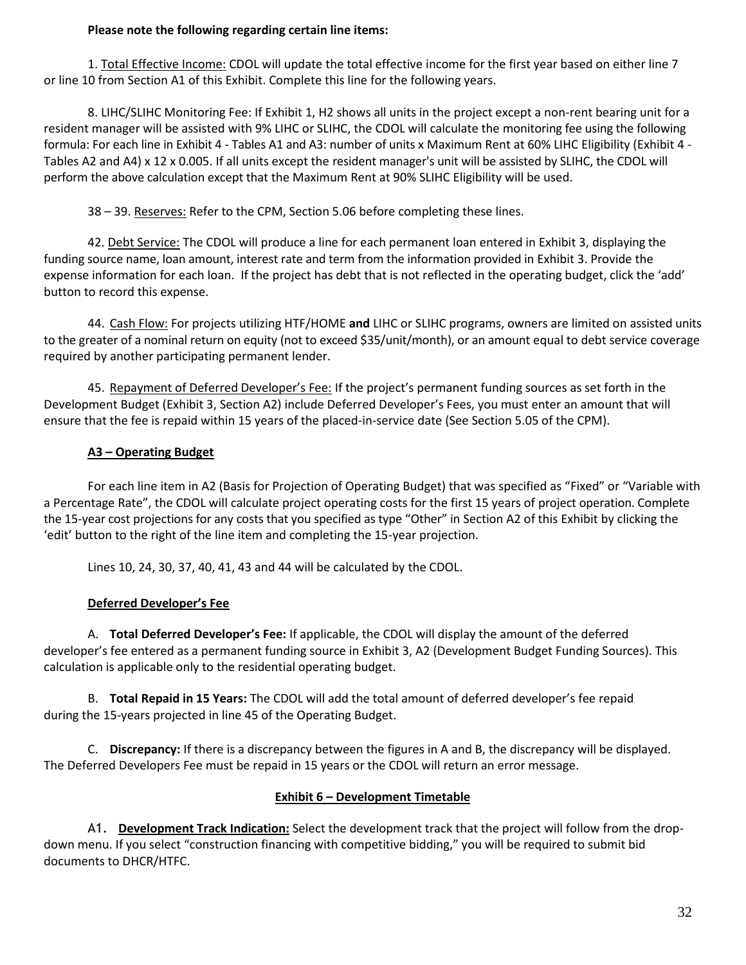### **Please note the following regarding certain line items:**

1. Total Effective Income: CDOL will update the total effective income for the first year based on either line 7 or line 10 from Section A1 of this Exhibit. Complete this line for the following years.

8. LIHC/SLIHC Monitoring Fee: If Exhibit 1, H2 shows all units in the project except a non-rent bearing unit for a resident manager will be assisted with 9% LIHC or SLIHC, the CDOL will calculate the monitoring fee using the following formula: For each line in Exhibit 4 - Tables A1 and A3: number of units x Maximum Rent at 60% LIHC Eligibility (Exhibit 4 - Tables A2 and A4) x 12 x 0.005. If all units except the resident manager's unit will be assisted by SLIHC, the CDOL will perform the above calculation except that the Maximum Rent at 90% SLIHC Eligibility will be used.

38 – 39. Reserves: Refer to the CPM, Section 5.06 before completing these lines.

42. Debt Service: The CDOL will produce a line for each permanent loan entered in Exhibit 3, displaying the funding source name, loan amount, interest rate and term from the information provided in Exhibit 3. Provide the expense information for each loan. If the project has debt that is not reflected in the operating budget, click the 'add' button to record this expense.

44. Cash Flow: For projects utilizing HTF/HOME **and** LIHC or SLIHC programs, owners are limited on assisted units to the greater of a nominal return on equity (not to exceed \$35/unit/month), or an amount equal to debt service coverage required by another participating permanent lender.

45. Repayment of Deferred Developer's Fee: If the project's permanent funding sources as set forth in the Development Budget (Exhibit 3, Section A2) include Deferred Developer's Fees, you must enter an amount that will ensure that the fee is repaid within 15 years of the placed-in-service date (See Section 5.05 of the CPM).

# **A3 – Operating Budget**

For each line item in A2 (Basis for Projection of Operating Budget) that was specified as "Fixed" or "Variable with a Percentage Rate", the CDOL will calculate project operating costs for the first 15 years of project operation. Complete the 15-year cost projections for any costs that you specified as type "Other" in Section A2 of this Exhibit by clicking the 'edit' button to the right of the line item and completing the 15-year projection.

Lines 10, 24, 30, 37, 40, 41, 43 and 44 will be calculated by the CDOL.

# **Deferred Developer's Fee**

A. **Total Deferred Developer's Fee:** If applicable, the CDOL will display the amount of the deferred developer's fee entered as a permanent funding source in Exhibit 3, A2 (Development Budget Funding Sources). This calculation is applicable only to the residential operating budget.

B. **Total Repaid in 15 Years:** The CDOL will add the total amount of deferred developer's fee repaid during the 15-years projected in line 45 of the Operating Budget.

C. **Discrepancy:** If there is a discrepancy between the figures in A and B, the discrepancy will be displayed. The Deferred Developers Fee must be repaid in 15 years or the CDOL will return an error message.

# **Exhibit 6 – Development Timetable**

A1. **Development Track Indication:** Select the development track that the project will follow from the dropdown menu. If you select "construction financing with competitive bidding," you will be required to submit bid documents to DHCR/HTFC.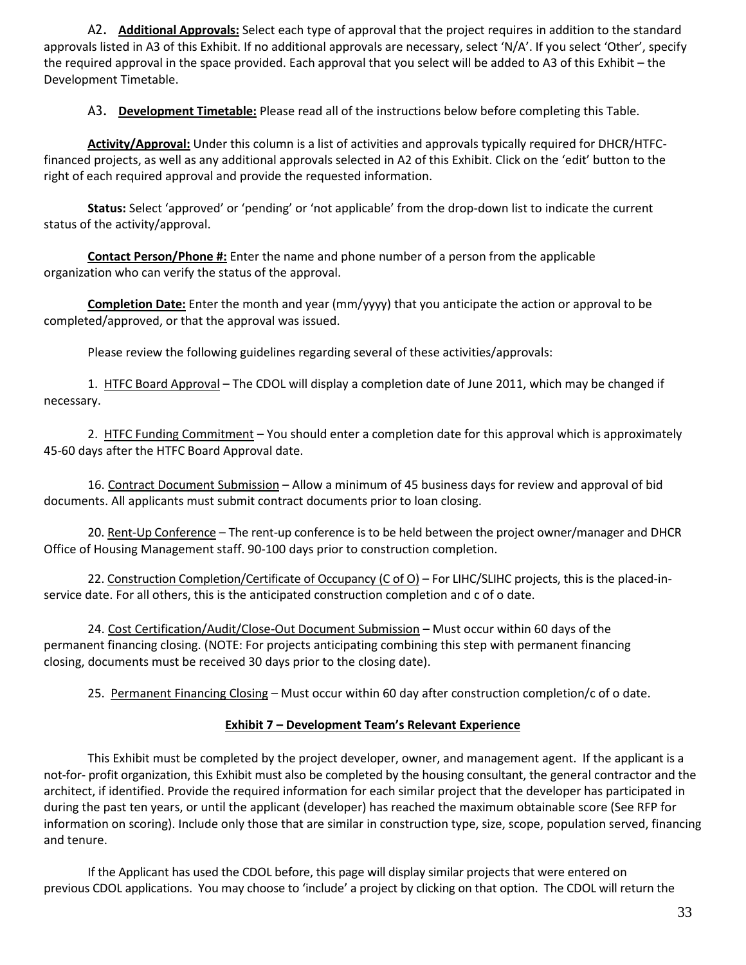A2. **Additional Approvals:** Select each type of approval that the project requires in addition to the standard approvals listed in A3 of this Exhibit. If no additional approvals are necessary, select 'N/A'. If you select 'Other', specify the required approval in the space provided. Each approval that you select will be added to A3 of this Exhibit – the Development Timetable.

A3. **Development Timetable:** Please read all of the instructions below before completing this Table.

**Activity/Approval:** Under this column is a list of activities and approvals typically required for DHCR/HTFCfinanced projects, as well as any additional approvals selected in A2 of this Exhibit. Click on the 'edit' button to the right of each required approval and provide the requested information.

**Status:** Select 'approved' or 'pending' or 'not applicable' from the drop-down list to indicate the current status of the activity/approval.

**Contact Person/Phone #:** Enter the name and phone number of a person from the applicable organization who can verify the status of the approval.

**Completion Date:** Enter the month and year (mm/yyyy) that you anticipate the action or approval to be completed/approved, or that the approval was issued.

Please review the following guidelines regarding several of these activities/approvals:

1. HTFC Board Approval – The CDOL will display a completion date of June 2011, which may be changed if necessary.

2. HTFC Funding Commitment - You should enter a completion date for this approval which is approximately 45-60 days after the HTFC Board Approval date.

16. Contract Document Submission – Allow a minimum of 45 business days for review and approval of bid documents. All applicants must submit contract documents prior to loan closing.

20. Rent-Up Conference - The rent-up conference is to be held between the project owner/manager and DHCR Office of Housing Management staff. 90-100 days prior to construction completion.

22. Construction Completion/Certificate of Occupancy (C of O) – For LIHC/SLIHC projects, this is the placed-inservice date. For all others, this is the anticipated construction completion and c of o date.

24. Cost Certification/Audit/Close-Out Document Submission – Must occur within 60 days of the permanent financing closing. (NOTE: For projects anticipating combining this step with permanent financing closing, documents must be received 30 days prior to the closing date).

25. Permanent Financing Closing – Must occur within 60 day after construction completion/c of o date.

#### **Exhibit 7 – Development Team's Relevant Experience**

This Exhibit must be completed by the project developer, owner, and management agent. If the applicant is a not-for- profit organization, this Exhibit must also be completed by the housing consultant, the general contractor and the architect, if identified. Provide the required information for each similar project that the developer has participated in during the past ten years, or until the applicant (developer) has reached the maximum obtainable score (See RFP for information on scoring). Include only those that are similar in construction type, size, scope, population served, financing and tenure.

If the Applicant has used the CDOL before, this page will display similar projects that were entered on previous CDOL applications. You may choose to 'include' a project by clicking on that option. The CDOL will return the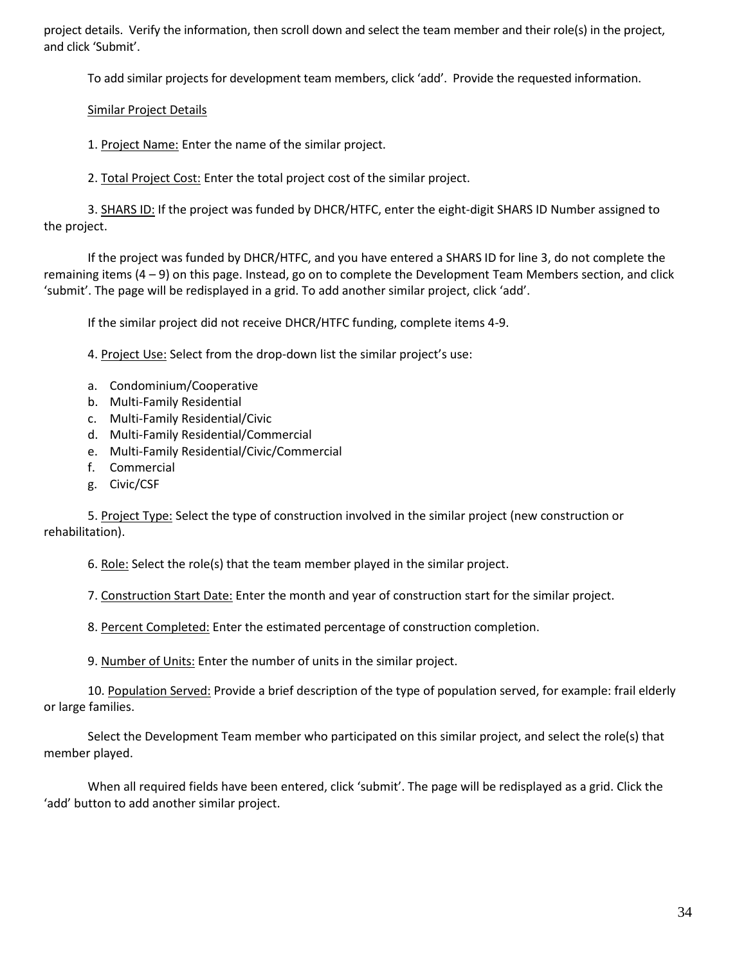project details. Verify the information, then scroll down and select the team member and their role(s) in the project, and click 'Submit'.

To add similar projects for development team members, click 'add'. Provide the requested information.

# Similar Project Details

1. Project Name: Enter the name of the similar project.

2. Total Project Cost: Enter the total project cost of the similar project.

3. SHARS ID: If the project was funded by DHCR/HTFC, enter the eight-digit SHARS ID Number assigned to the project.

If the project was funded by DHCR/HTFC, and you have entered a SHARS ID for line 3, do not complete the remaining items (4 – 9) on this page. Instead, go on to complete the Development Team Members section, and click 'submit'. The page will be redisplayed in a grid. To add another similar project, click 'add'.

If the similar project did not receive DHCR/HTFC funding, complete items 4-9.

4. Project Use: Select from the drop-down list the similar project's use:

- a. Condominium/Cooperative
- b. Multi-Family Residential
- c. Multi-Family Residential/Civic
- d. Multi-Family Residential/Commercial
- e. Multi-Family Residential/Civic/Commercial
- f. Commercial
- g. Civic/CSF

5. Project Type: Select the type of construction involved in the similar project (new construction or rehabilitation).

6. Role: Select the role(s) that the team member played in the similar project.

7. Construction Start Date: Enter the month and year of construction start for the similar project.

8. Percent Completed: Enter the estimated percentage of construction completion.

9. Number of Units: Enter the number of units in the similar project.

10. Population Served: Provide a brief description of the type of population served, for example: frail elderly or large families.

Select the Development Team member who participated on this similar project, and select the role(s) that member played.

When all required fields have been entered, click 'submit'. The page will be redisplayed as a grid. Click the 'add' button to add another similar project.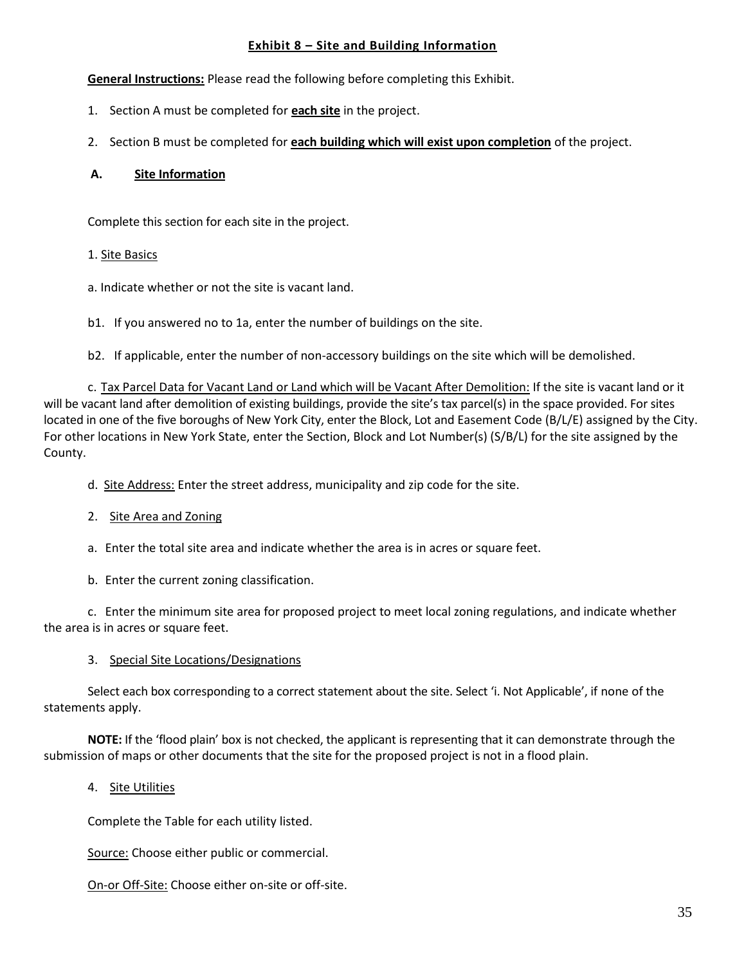### **Exhibit 8 – Site and Building Information**

**General Instructions:** Please read the following before completing this Exhibit.

- 1. Section A must be completed for **each site** in the project.
- 2. Section B must be completed for **each building which will exist upon completion** of the project.

### **A. Site Information**

Complete this section for each site in the project.

### 1. Site Basics

a. Indicate whether or not the site is vacant land.

b1. If you answered no to 1a, enter the number of buildings on the site.

b2. If applicable, enter the number of non-accessory buildings on the site which will be demolished.

c. Tax Parcel Data for Vacant Land or Land which will be Vacant After Demolition: If the site is vacant land or it will be vacant land after demolition of existing buildings, provide the site's tax parcel(s) in the space provided. For sites located in one of the five boroughs of New York City, enter the Block, Lot and Easement Code (B/L/E) assigned by the City. For other locations in New York State, enter the Section, Block and Lot Number(s) (S/B/L) for the site assigned by the County.

d. Site Address: Enter the street address, municipality and zip code for the site.

- 2. Site Area and Zoning
- a. Enter the total site area and indicate whether the area is in acres or square feet.
- b. Enter the current zoning classification.

c. Enter the minimum site area for proposed project to meet local zoning regulations, and indicate whether the area is in acres or square feet.

#### 3. Special Site Locations/Designations

Select each box corresponding to a correct statement about the site. Select 'i. Not Applicable', if none of the statements apply.

**NOTE:** If the 'flood plain' box is not checked, the applicant is representing that it can demonstrate through the submission of maps or other documents that the site for the proposed project is not in a flood plain.

4. Site Utilities

Complete the Table for each utility listed.

Source: Choose either public or commercial.

On-or Off-Site: Choose either on-site or off-site.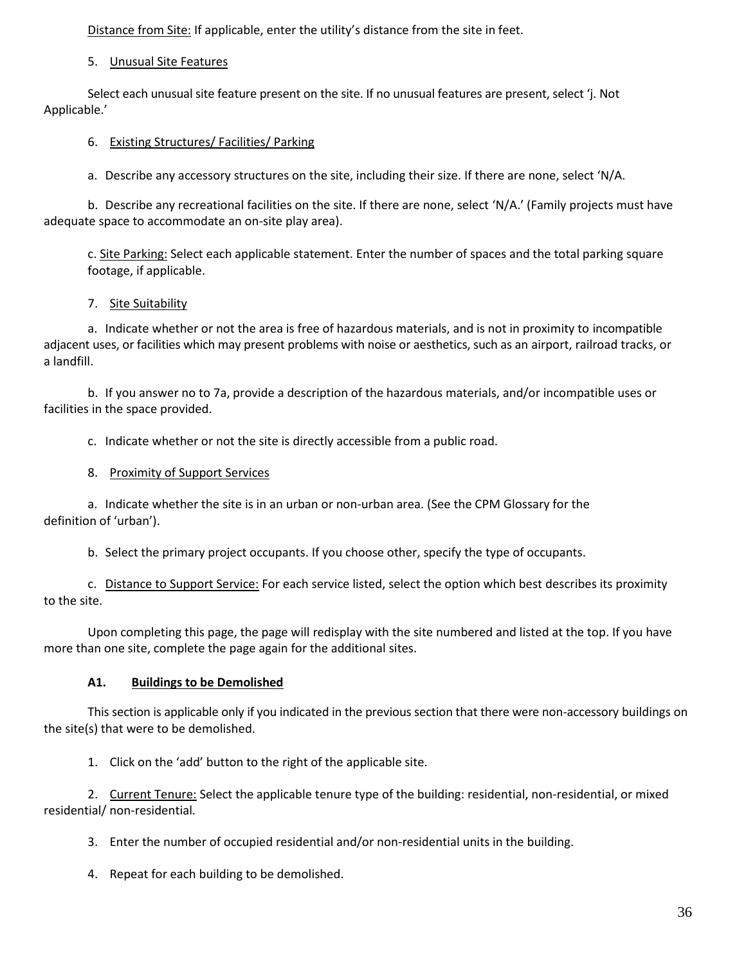Distance from Site: If applicable, enter the utility's distance from the site in feet.

#### 5. Unusual Site Features

Select each unusual site feature present on the site. If no unusual features are present, select 'j. Not Applicable.'

### 6. Existing Structures/ Facilities/ Parking

a. Describe any accessory structures on the site, including their size. If there are none, select 'N/A.

b. Describe any recreational facilities on the site. If there are none, select 'N/A.' (Family projects must have adequate space to accommodate an on-site play area).

c. Site Parking: Select each applicable statement. Enter the number of spaces and the total parking square footage, if applicable.

### 7. Site Suitability

a. Indicate whether or not the area is free of hazardous materials, and is not in proximity to incompatible adjacent uses, or facilities which may present problems with noise or aesthetics, such as an airport, railroad tracks, or a landfill.

b. If you answer no to 7a, provide a description of the hazardous materials, and/or incompatible uses or facilities in the space provided.

c. Indicate whether or not the site is directly accessible from a public road.

### 8. Proximity of Support Services

a. Indicate whether the site is in an urban or non-urban area. (See the CPM Glossary for the definition of 'urban').

b. Select the primary project occupants. If you choose other, specify the type of occupants.

c. Distance to Support Service: For each service listed, select the option which best describes its proximity to the site.

Upon completing this page, the page will redisplay with the site numbered and listed at the top. If you have more than one site, complete the page again for the additional sites.

# **A1. Buildings to be Demolished**

This section is applicable only if you indicated in the previous section that there were non-accessory buildings on the site(s) that were to be demolished.

1. Click on the 'add' button to the right of the applicable site.

2. Current Tenure: Select the applicable tenure type of the building: residential, non-residential, or mixed residential/ non-residential.

3. Enter the number of occupied residential and/or non-residential units in the building.

4. Repeat for each building to be demolished.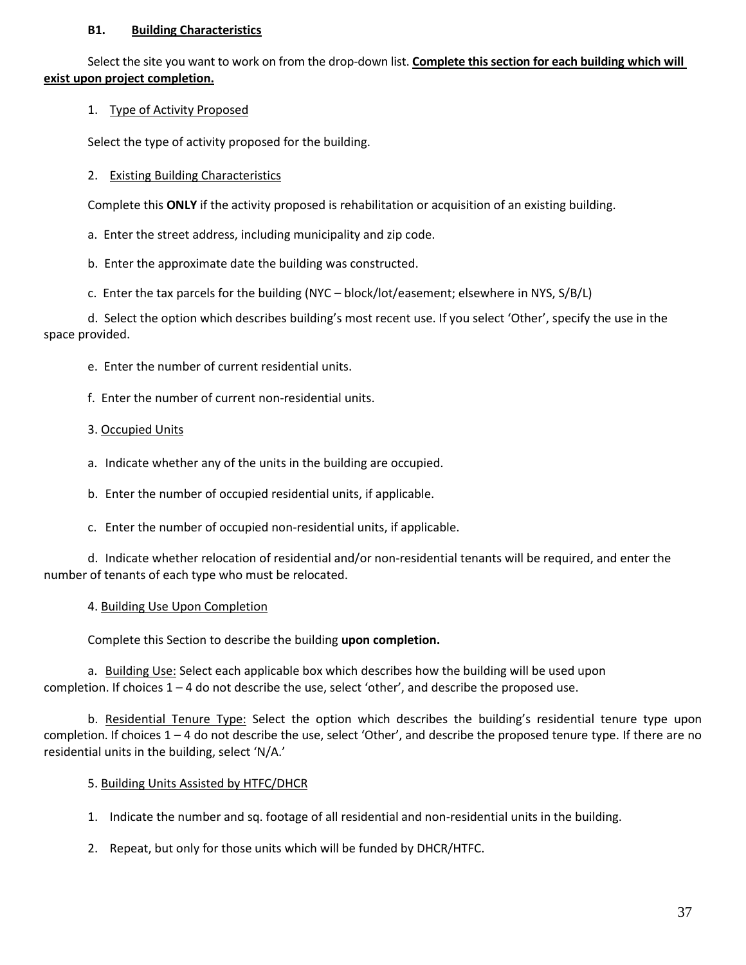#### **B1. Building Characteristics**

Select the site you want to work on from the drop-down list. **Complete this section for each building which will exist upon project completion.**

### 1. Type of Activity Proposed

Select the type of activity proposed for the building.

### 2. Existing Building Characteristics

Complete this **ONLY** if the activity proposed is rehabilitation or acquisition of an existing building.

a. Enter the street address, including municipality and zip code.

b. Enter the approximate date the building was constructed.

c. Enter the tax parcels for the building (NYC – block/lot/easement; elsewhere in NYS, S/B/L)

d. Select the option which describes building's most recent use. If you select 'Other', specify the use in the space provided.

- e. Enter the number of current residential units.
- f. Enter the number of current non-residential units.

### 3. Occupied Units

a. Indicate whether any of the units in the building are occupied.

b. Enter the number of occupied residential units, if applicable.

c. Enter the number of occupied non-residential units, if applicable.

d. Indicate whether relocation of residential and/or non-residential tenants will be required, and enter the number of tenants of each type who must be relocated.

# 4. Building Use Upon Completion

Complete this Section to describe the building **upon completion.**

a. Building Use: Select each applicable box which describes how the building will be used upon completion. If choices 1 – 4 do not describe the use, select 'other', and describe the proposed use.

b. Residential Tenure Type: Select the option which describes the building's residential tenure type upon completion. If choices  $1 - 4$  do not describe the use, select 'Other', and describe the proposed tenure type. If there are no residential units in the building, select 'N/A.'

# 5. Building Units Assisted by HTFC/DHCR

1. Indicate the number and sq. footage of all residential and non-residential units in the building.

2. Repeat, but only for those units which will be funded by DHCR/HTFC.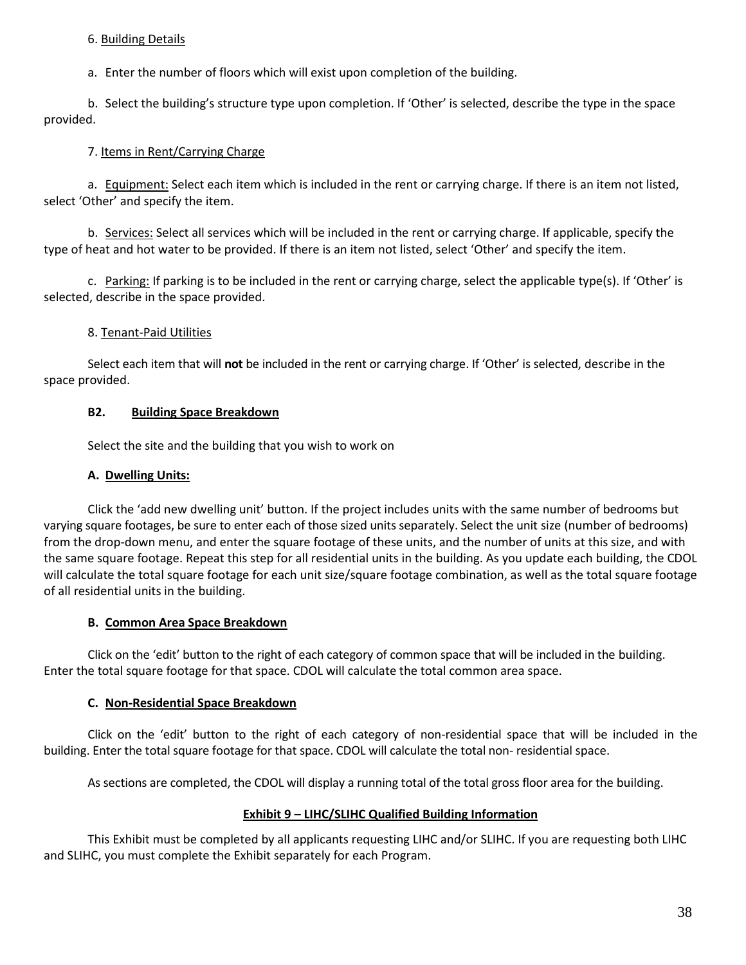#### 6. Building Details

a. Enter the number of floors which will exist upon completion of the building.

b. Select the building's structure type upon completion. If 'Other' is selected, describe the type in the space provided.

# 7. Items in Rent/Carrying Charge

a. Equipment: Select each item which is included in the rent or carrying charge. If there is an item not listed, select 'Other' and specify the item.

b. Services: Select all services which will be included in the rent or carrying charge. If applicable, specify the type of heat and hot water to be provided. If there is an item not listed, select 'Other' and specify the item.

c. Parking: If parking is to be included in the rent or carrying charge, select the applicable type(s). If 'Other' is selected, describe in the space provided.

### 8. Tenant-Paid Utilities

Select each item that will **not** be included in the rent or carrying charge. If 'Other' is selected, describe in the space provided.

### **B2. Building Space Breakdown**

Select the site and the building that you wish to work on

### **A. Dwelling Units:**

Click the 'add new dwelling unit' button. If the project includes units with the same number of bedrooms but varying square footages, be sure to enter each of those sized units separately. Select the unit size (number of bedrooms) from the drop-down menu, and enter the square footage of these units, and the number of units at this size, and with the same square footage. Repeat this step for all residential units in the building. As you update each building, the CDOL will calculate the total square footage for each unit size/square footage combination, as well as the total square footage of all residential units in the building.

# **B. Common Area Space Breakdown**

Click on the 'edit' button to the right of each category of common space that will be included in the building. Enter the total square footage for that space. CDOL will calculate the total common area space.

#### **C. Non-Residential Space Breakdown**

Click on the 'edit' button to the right of each category of non-residential space that will be included in the building. Enter the total square footage for that space. CDOL will calculate the total non- residential space.

As sections are completed, the CDOL will display a running total of the total gross floor area for the building.

# **Exhibit 9 – LIHC/SLIHC Qualified Building Information**

This Exhibit must be completed by all applicants requesting LIHC and/or SLIHC. If you are requesting both LIHC and SLIHC, you must complete the Exhibit separately for each Program.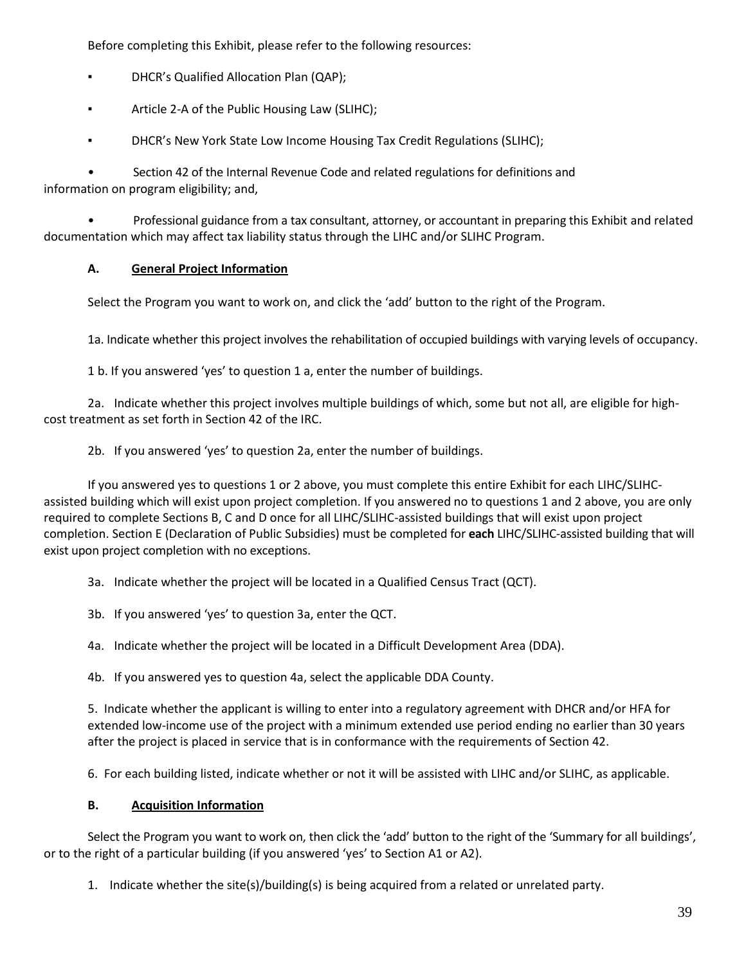Before completing this Exhibit, please refer to the following resources:

- DHCR's Qualified Allocation Plan (QAP);
- Article 2-A of the Public Housing Law (SLIHC);
- **DHCR's New York State Low Income Housing Tax Credit Regulations (SLIHC);**

• Section 42 of the Internal Revenue Code and related regulations for definitions and information on program eligibility; and,

• Professional guidance from a tax consultant, attorney, or accountant in preparing this Exhibit and related documentation which may affect tax liability status through the LIHC and/or SLIHC Program.

# **A. General Project Information**

Select the Program you want to work on, and click the 'add' button to the right of the Program.

1a. Indicate whether this project involves the rehabilitation of occupied buildings with varying levels of occupancy.

1 b. If you answered 'yes' to question 1 a, enter the number of buildings.

2a. Indicate whether this project involves multiple buildings of which, some but not all, are eligible for highcost treatment as set forth in Section 42 of the IRC.

2b. If you answered 'yes' to question 2a, enter the number of buildings.

If you answered yes to questions 1 or 2 above, you must complete this entire Exhibit for each LIHC/SLIHCassisted building which will exist upon project completion. If you answered no to questions 1 and 2 above, you are only required to complete Sections B, C and D once for all LIHC/SLIHC-assisted buildings that will exist upon project completion. Section E (Declaration of Public Subsidies) must be completed for **each** LIHC/SLIHC-assisted building that will exist upon project completion with no exceptions.

3a. Indicate whether the project will be located in a Qualified Census Tract (QCT).

3b. If you answered 'yes' to question 3a, enter the QCT.

4a. Indicate whether the project will be located in a Difficult Development Area (DDA).

4b. If you answered yes to question 4a, select the applicable DDA County.

5. Indicate whether the applicant is willing to enter into a regulatory agreement with DHCR and/or HFA for extended low-income use of the project with a minimum extended use period ending no earlier than 30 years after the project is placed in service that is in conformance with the requirements of Section 42.

6. For each building listed, indicate whether or not it will be assisted with LIHC and/or SLIHC, as applicable.

#### **B. Acquisition Information**

Select the Program you want to work on, then click the 'add' button to the right of the 'Summary for all buildings', or to the right of a particular building (if you answered 'yes' to Section A1 or A2).

1. Indicate whether the site(s)/building(s) is being acquired from a related or unrelated party.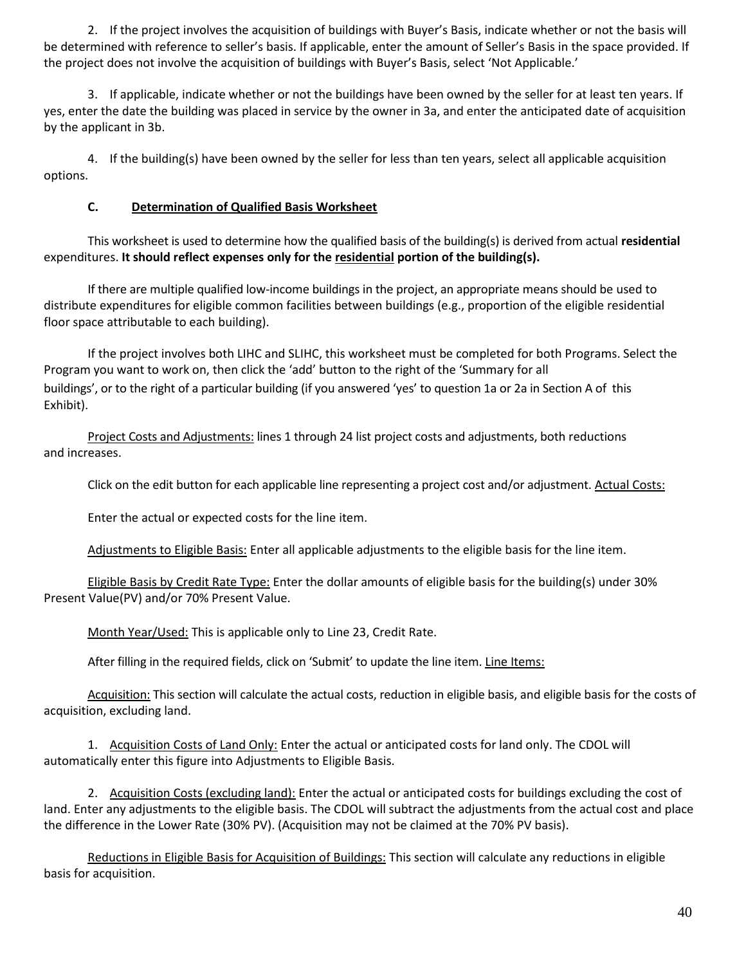2. If the project involves the acquisition of buildings with Buyer's Basis, indicate whether or not the basis will be determined with reference to seller's basis. If applicable, enter the amount of Seller's Basis in the space provided. If the project does not involve the acquisition of buildings with Buyer's Basis, select 'Not Applicable.'

3. If applicable, indicate whether or not the buildings have been owned by the seller for at least ten years. If yes, enter the date the building was placed in service by the owner in 3a, and enter the anticipated date of acquisition by the applicant in 3b.

4. If the building(s) have been owned by the seller for less than ten years, select all applicable acquisition options.

# **C. Determination of Qualified Basis Worksheet**

This worksheet is used to determine how the qualified basis of the building(s) is derived from actual **residential**  expenditures. **It should reflect expenses only for the residential portion of the building(s).**

If there are multiple qualified low-income buildings in the project, an appropriate means should be used to distribute expenditures for eligible common facilities between buildings (e.g., proportion of the eligible residential floor space attributable to each building).

If the project involves both LIHC and SLIHC, this worksheet must be completed for both Programs. Select the Program you want to work on, then click the 'add' button to the right of the 'Summary for all buildings', or to the right of a particular building (if you answered 'yes' to question 1a or 2a in Section A of this Exhibit).

Project Costs and Adjustments: lines 1 through 24 list project costs and adjustments, both reductions and increases.

Click on the edit button for each applicable line representing a project cost and/or adjustment. Actual Costs:

Enter the actual or expected costs for the line item.

Adjustments to Eligible Basis: Enter all applicable adjustments to the eligible basis for the line item.

Eligible Basis by Credit Rate Type: Enter the dollar amounts of eligible basis for the building(s) under 30% Present Value(PV) and/or 70% Present Value.

Month Year/Used: This is applicable only to Line 23, Credit Rate.

After filling in the required fields, click on 'Submit' to update the line item. Line Items:

Acquisition: This section will calculate the actual costs, reduction in eligible basis, and eligible basis for the costs of acquisition, excluding land.

1. Acquisition Costs of Land Only: Enter the actual or anticipated costs for land only. The CDOL will automatically enter this figure into Adjustments to Eligible Basis.

2. Acquisition Costs (excluding land): Enter the actual or anticipated costs for buildings excluding the cost of land. Enter any adjustments to the eligible basis. The CDOL will subtract the adjustments from the actual cost and place the difference in the Lower Rate (30% PV). (Acquisition may not be claimed at the 70% PV basis).

Reductions in Eligible Basis for Acquisition of Buildings: This section will calculate any reductions in eligible basis for acquisition.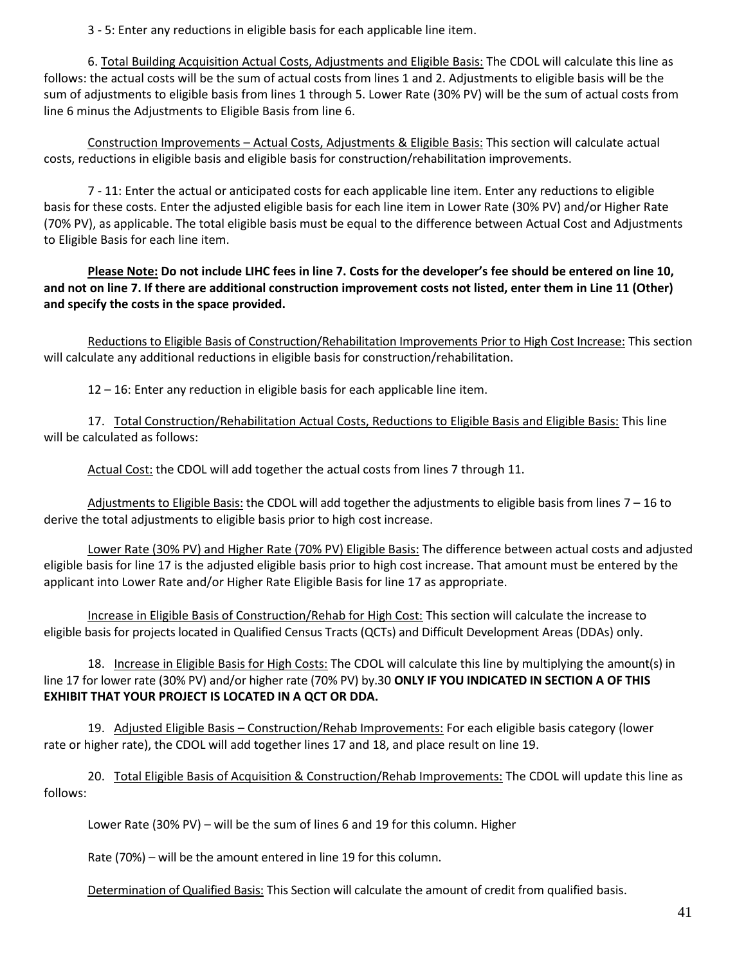3 - 5: Enter any reductions in eligible basis for each applicable line item.

6. Total Building Acquisition Actual Costs, Adjustments and Eligible Basis: The CDOL will calculate this line as follows: the actual costs will be the sum of actual costs from lines 1 and 2. Adjustments to eligible basis will be the sum of adjustments to eligible basis from lines 1 through 5. Lower Rate (30% PV) will be the sum of actual costs from line 6 minus the Adjustments to Eligible Basis from line 6.

Construction Improvements – Actual Costs, Adjustments & Eligible Basis: This section will calculate actual costs, reductions in eligible basis and eligible basis for construction/rehabilitation improvements.

7 - 11: Enter the actual or anticipated costs for each applicable line item. Enter any reductions to eligible basis for these costs. Enter the adjusted eligible basis for each line item in Lower Rate (30% PV) and/or Higher Rate (70% PV), as applicable. The total eligible basis must be equal to the difference between Actual Cost and Adjustments to Eligible Basis for each line item.

**Please Note: Do not include LIHC fees in line 7. Costs for the developer's fee should be entered on line 10, and not on line 7. If there are additional construction improvement costs not listed, enter them in Line 11 (Other) and specify the costs in the space provided.**

Reductions to Eligible Basis of Construction/Rehabilitation Improvements Prior to High Cost Increase: This section will calculate any additional reductions in eligible basis for construction/rehabilitation.

12 – 16: Enter any reduction in eligible basis for each applicable line item.

17. Total Construction/Rehabilitation Actual Costs, Reductions to Eligible Basis and Eligible Basis: This line will be calculated as follows:

Actual Cost: the CDOL will add together the actual costs from lines 7 through 11.

Adjustments to Eligible Basis: the CDOL will add together the adjustments to eligible basis from lines 7 – 16 to derive the total adjustments to eligible basis prior to high cost increase.

Lower Rate (30% PV) and Higher Rate (70% PV) Eligible Basis: The difference between actual costs and adjusted eligible basis for line 17 is the adjusted eligible basis prior to high cost increase. That amount must be entered by the applicant into Lower Rate and/or Higher Rate Eligible Basis for line 17 as appropriate.

Increase in Eligible Basis of Construction/Rehab for High Cost: This section will calculate the increase to eligible basis for projects located in Qualified Census Tracts (QCTs) and Difficult Development Areas (DDAs) only.

18. Increase in Eligible Basis for High Costs: The CDOL will calculate this line by multiplying the amount(s) in line 17 for lower rate (30% PV) and/or higher rate (70% PV) by.30 **ONLY IF YOU INDICATED IN SECTION A OF THIS EXHIBIT THAT YOUR PROJECT IS LOCATED IN A QCT OR DDA.**

19. Adjusted Eligible Basis – Construction/Rehab Improvements: For each eligible basis category (lower rate or higher rate), the CDOL will add together lines 17 and 18, and place result on line 19.

20. Total Eligible Basis of Acquisition & Construction/Rehab Improvements: The CDOL will update this line as follows:

Lower Rate (30% PV) – will be the sum of lines 6 and 19 for this column. Higher

Rate (70%) – will be the amount entered in line 19 for this column.

Determination of Qualified Basis: This Section will calculate the amount of credit from qualified basis.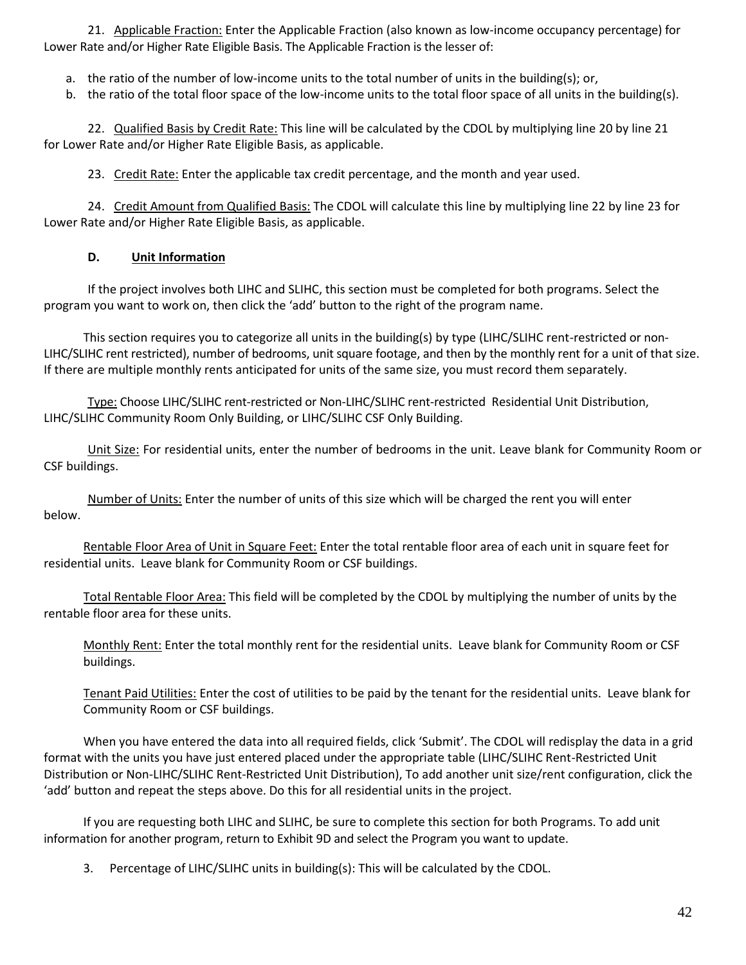21. Applicable Fraction: Enter the Applicable Fraction (also known as low-income occupancy percentage) for Lower Rate and/or Higher Rate Eligible Basis. The Applicable Fraction is the lesser of:

- a. the ratio of the number of low-income units to the total number of units in the building(s); or,
- b. the ratio of the total floor space of the low-income units to the total floor space of all units in the building(s).

22. Qualified Basis by Credit Rate: This line will be calculated by the CDOL by multiplying line 20 by line 21 for Lower Rate and/or Higher Rate Eligible Basis, as applicable.

23. Credit Rate: Enter the applicable tax credit percentage, and the month and year used.

24. Credit Amount from Qualified Basis: The CDOL will calculate this line by multiplying line 22 by line 23 for Lower Rate and/or Higher Rate Eligible Basis, as applicable.

### **D. Unit Information**

If the project involves both LIHC and SLIHC, this section must be completed for both programs. Select the program you want to work on, then click the 'add' button to the right of the program name.

This section requires you to categorize all units in the building(s) by type (LIHC/SLIHC rent-restricted or non-LIHC/SLIHC rent restricted), number of bedrooms, unit square footage, and then by the monthly rent for a unit of that size. If there are multiple monthly rents anticipated for units of the same size, you must record them separately.

Type: Choose LIHC/SLIHC rent-restricted or Non-LIHC/SLIHC rent-restricted Residential Unit Distribution, LIHC/SLIHC Community Room Only Building, or LIHC/SLIHC CSF Only Building.

Unit Size: For residential units, enter the number of bedrooms in the unit. Leave blank for Community Room or CSF buildings.

Number of Units: Enter the number of units of this size which will be charged the rent you will enter below.

Rentable Floor Area of Unit in Square Feet: Enter the total rentable floor area of each unit in square feet for residential units. Leave blank for Community Room or CSF buildings.

Total Rentable Floor Area: This field will be completed by the CDOL by multiplying the number of units by the rentable floor area for these units.

Monthly Rent: Enter the total monthly rent for the residential units. Leave blank for Community Room or CSF buildings.

Tenant Paid Utilities: Enter the cost of utilities to be paid by the tenant for the residential units. Leave blank for Community Room or CSF buildings.

When you have entered the data into all required fields, click 'Submit'. The CDOL will redisplay the data in a grid format with the units you have just entered placed under the appropriate table (LIHC/SLIHC Rent-Restricted Unit Distribution or Non-LIHC/SLIHC Rent-Restricted Unit Distribution), To add another unit size/rent configuration, click the 'add' button and repeat the steps above. Do this for all residential units in the project.

If you are requesting both LIHC and SLIHC, be sure to complete this section for both Programs. To add unit information for another program, return to Exhibit 9D and select the Program you want to update.

3. Percentage of LIHC/SLIHC units in building(s): This will be calculated by the CDOL.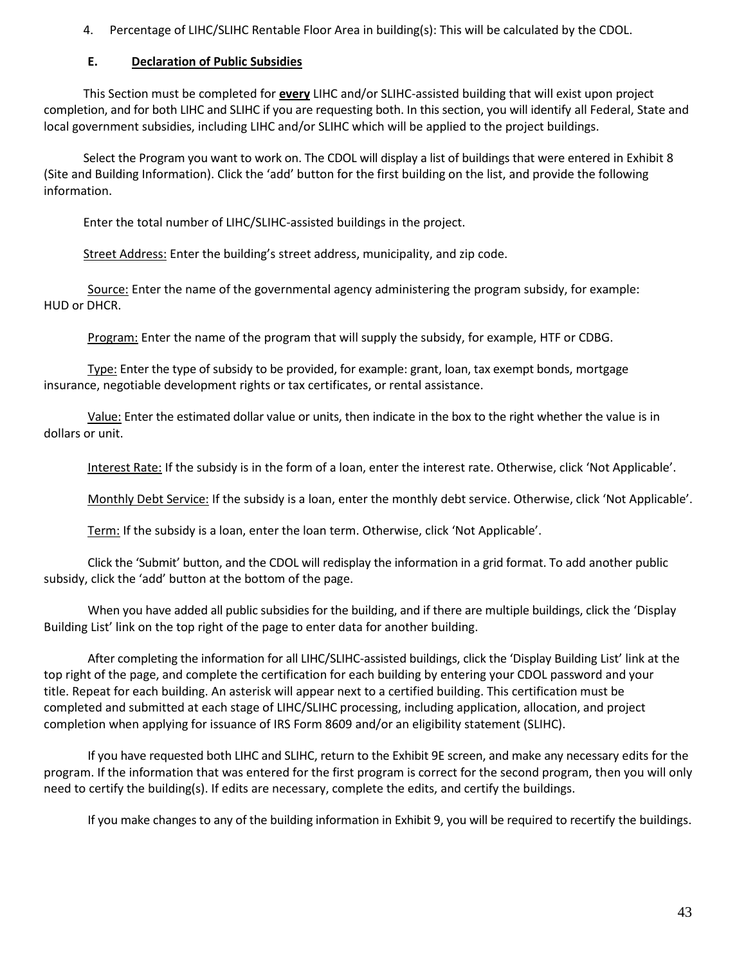4. Percentage of LIHC/SLIHC Rentable Floor Area in building(s): This will be calculated by the CDOL.

### **E. Declaration of Public Subsidies**

This Section must be completed for **every** LIHC and/or SLIHC-assisted building that will exist upon project completion, and for both LIHC and SLIHC if you are requesting both. In this section, you will identify all Federal, State and local government subsidies, including LIHC and/or SLIHC which will be applied to the project buildings.

Select the Program you want to work on. The CDOL will display a list of buildings that were entered in Exhibit 8 (Site and Building Information). Click the 'add' button for the first building on the list, and provide the following information.

Enter the total number of LIHC/SLIHC-assisted buildings in the project.

Street Address: Enter the building's street address, municipality, and zip code.

Source: Enter the name of the governmental agency administering the program subsidy, for example: HUD or DHCR.

Program: Enter the name of the program that will supply the subsidy, for example, HTF or CDBG.

Type: Enter the type of subsidy to be provided, for example: grant, loan, tax exempt bonds, mortgage insurance, negotiable development rights or tax certificates, or rental assistance.

Value: Enter the estimated dollar value or units, then indicate in the box to the right whether the value is in dollars or unit.

Interest Rate: If the subsidy is in the form of a loan, enter the interest rate. Otherwise, click 'Not Applicable'.

Monthly Debt Service: If the subsidy is a loan, enter the monthly debt service. Otherwise, click 'Not Applicable'.

Term: If the subsidy is a loan, enter the loan term. Otherwise, click 'Not Applicable'.

Click the 'Submit' button, and the CDOL will redisplay the information in a grid format. To add another public subsidy, click the 'add' button at the bottom of the page.

When you have added all public subsidies for the building, and if there are multiple buildings, click the 'Display Building List' link on the top right of the page to enter data for another building.

After completing the information for all LIHC/SLIHC-assisted buildings, click the 'Display Building List' link at the top right of the page, and complete the certification for each building by entering your CDOL password and your title. Repeat for each building. An asterisk will appear next to a certified building. This certification must be completed and submitted at each stage of LIHC/SLIHC processing, including application, allocation, and project completion when applying for issuance of IRS Form 8609 and/or an eligibility statement (SLIHC).

If you have requested both LIHC and SLIHC, return to the Exhibit 9E screen, and make any necessary edits for the program. If the information that was entered for the first program is correct for the second program, then you will only need to certify the building(s). If edits are necessary, complete the edits, and certify the buildings.

If you make changes to any of the building information in Exhibit 9, you will be required to recertify the buildings.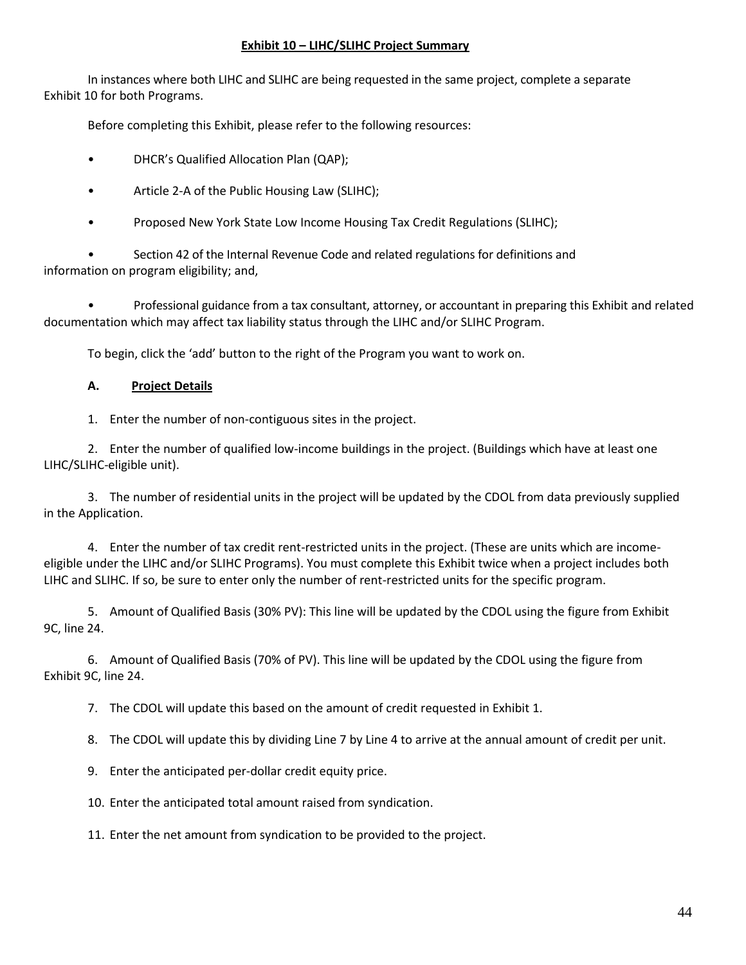### **Exhibit 10 – LIHC/SLIHC Project Summary**

In instances where both LIHC and SLIHC are being requested in the same project, complete a separate Exhibit 10 for both Programs.

Before completing this Exhibit, please refer to the following resources:

- DHCR's Qualified Allocation Plan (QAP);
- Article 2-A of the Public Housing Law (SLIHC);
- Proposed New York State Low Income Housing Tax Credit Regulations (SLIHC);

• Section 42 of the Internal Revenue Code and related regulations for definitions and information on program eligibility; and,

• Professional guidance from a tax consultant, attorney, or accountant in preparing this Exhibit and related documentation which may affect tax liability status through the LIHC and/or SLIHC Program.

To begin, click the 'add' button to the right of the Program you want to work on.

### **A. Project Details**

1. Enter the number of non-contiguous sites in the project.

2. Enter the number of qualified low-income buildings in the project. (Buildings which have at least one LIHC/SLIHC-eligible unit).

3. The number of residential units in the project will be updated by the CDOL from data previously supplied in the Application.

4. Enter the number of tax credit rent-restricted units in the project. (These are units which are incomeeligible under the LIHC and/or SLIHC Programs). You must complete this Exhibit twice when a project includes both LIHC and SLIHC. If so, be sure to enter only the number of rent-restricted units for the specific program.

5. Amount of Qualified Basis (30% PV): This line will be updated by the CDOL using the figure from Exhibit 9C, line 24.

6. Amount of Qualified Basis (70% of PV). This line will be updated by the CDOL using the figure from Exhibit 9C, line 24.

7. The CDOL will update this based on the amount of credit requested in Exhibit 1.

8. The CDOL will update this by dividing Line 7 by Line 4 to arrive at the annual amount of credit per unit.

9. Enter the anticipated per-dollar credit equity price.

10. Enter the anticipated total amount raised from syndication.

11. Enter the net amount from syndication to be provided to the project.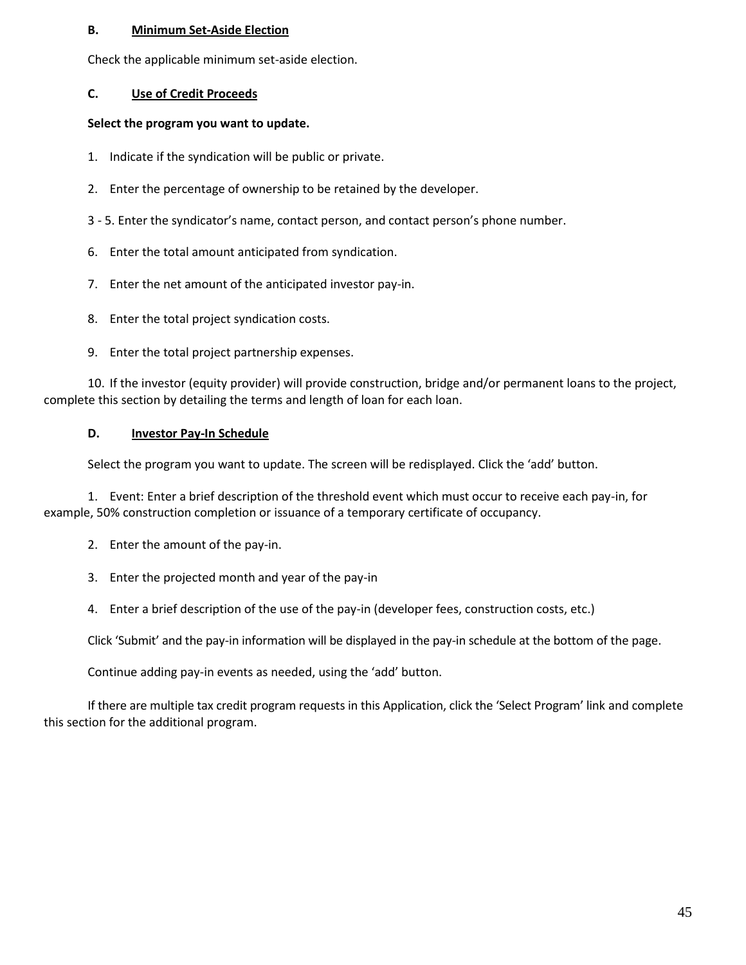### **B. Minimum Set-Aside Election**

Check the applicable minimum set-aside election.

# **C. Use of Credit Proceeds**

### **Select the program you want to update.**

- 1. Indicate if the syndication will be public or private.
- 2. Enter the percentage of ownership to be retained by the developer.
- 3 5. Enter the syndicator's name, contact person, and contact person's phone number.
- 6. Enter the total amount anticipated from syndication.
- 7. Enter the net amount of the anticipated investor pay-in.
- 8. Enter the total project syndication costs.
- 9. Enter the total project partnership expenses.

10. If the investor (equity provider) will provide construction, bridge and/or permanent loans to the project, complete this section by detailing the terms and length of loan for each loan.

### **D. Investor Pay-In Schedule**

Select the program you want to update. The screen will be redisplayed. Click the 'add' button.

1. Event: Enter a brief description of the threshold event which must occur to receive each pay-in, for example, 50% construction completion or issuance of a temporary certificate of occupancy.

- 2. Enter the amount of the pay-in.
- 3. Enter the projected month and year of the pay-in
- 4. Enter a brief description of the use of the pay-in (developer fees, construction costs, etc.)

Click 'Submit' and the pay-in information will be displayed in the pay-in schedule at the bottom of the page.

Continue adding pay-in events as needed, using the 'add' button.

If there are multiple tax credit program requests in this Application, click the 'Select Program' link and complete this section for the additional program.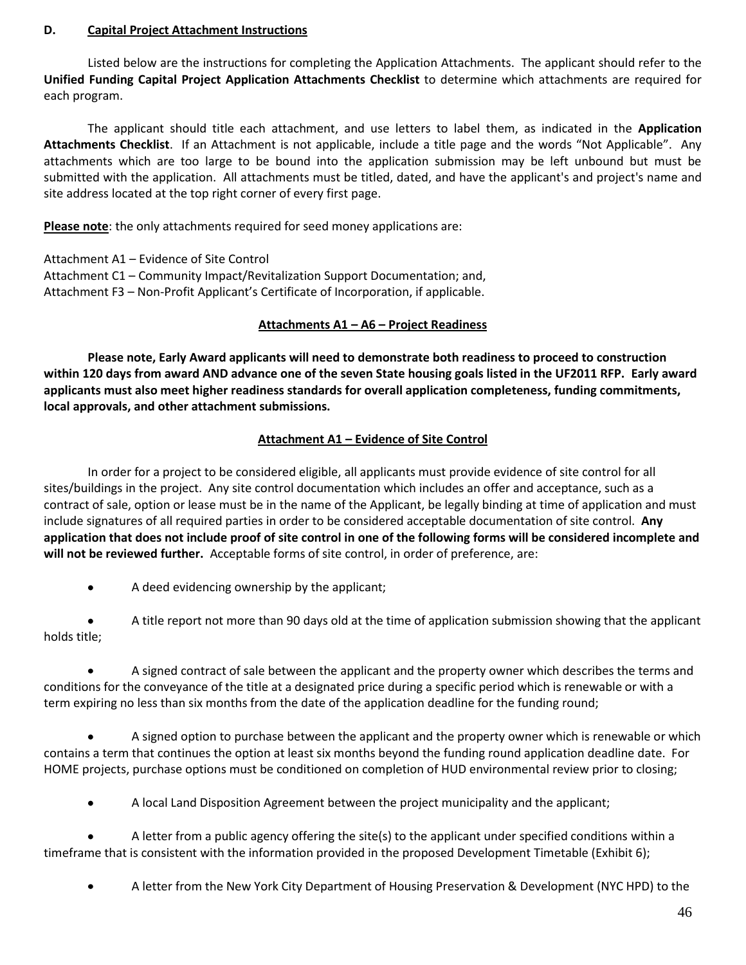### **D. Capital Project Attachment Instructions**

Listed below are the instructions for completing the Application Attachments.The applicant should refer to the **Unified Funding Capital Project Application Attachments Checklist** to determine which attachments are required for each program.

The applicant should title each attachment, and use letters to label them, as indicated in the **Application Attachments Checklist**. If an Attachment is not applicable, include a title page and the words "Not Applicable". Any attachments which are too large to be bound into the application submission may be left unbound but must be submitted with the application. All attachments must be titled, dated, and have the applicant's and project's name and site address located at the top right corner of every first page.

**Please note**: the only attachments required for seed money applications are:

Attachment A1 – Evidence of Site Control Attachment C1 – Community Impact/Revitalization Support Documentation; and, Attachment F3 – Non-Profit Applicant's Certificate of Incorporation, if applicable.

### **Attachments A1 – A6 – Project Readiness**

**Please note, Early Award applicants will need to demonstrate both readiness to proceed to construction within 120 days from award AND advance one of the seven State housing goals listed in the UF2011 RFP. Early award applicants must also meet higher readiness standards for overall application completeness, funding commitments, local approvals, and other attachment submissions.**

# **Attachment A1 – Evidence of Site Control**

In order for a project to be considered eligible, all applicants must provide evidence of site control for all sites/buildings in the project. Any site control documentation which includes an offer and acceptance, such as a contract of sale, option or lease must be in the name of the Applicant, be legally binding at time of application and must include signatures of all required parties in order to be considered acceptable documentation of site control. **Any application that does not include proof of site control in one of the following forms will be considered incomplete and will not be reviewed further.** Acceptable forms of site control, in order of preference, are:

 $\bullet$ A deed evidencing ownership by the applicant;

A title report not more than 90 days old at the time of application submission showing that the applicant holds title;

A signed contract of sale between the applicant and the property owner which describes the terms and conditions for the conveyance of the title at a designated price during a specific period which is renewable or with a term expiring no less than six months from the date of the application deadline for the funding round;

A signed option to purchase between the applicant and the property owner which is renewable or which contains a term that continues the option at least six months beyond the funding round application deadline date. For HOME projects, purchase options must be conditioned on completion of HUD environmental review prior to closing;

 $\bullet$ A local Land Disposition Agreement between the project municipality and the applicant;

A letter from a public agency offering the site(s) to the applicant under specified conditions within a timeframe that is consistent with the information provided in the proposed Development Timetable (Exhibit 6);

A letter from the New York City Department of Housing Preservation & Development (NYC HPD) to the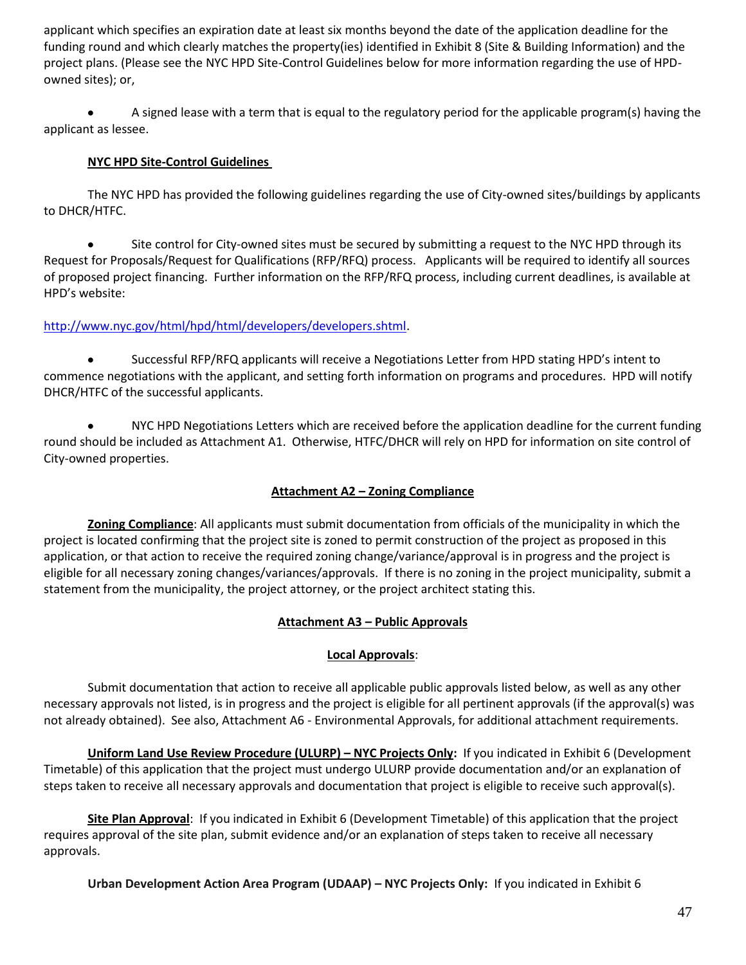applicant which specifies an expiration date at least six months beyond the date of the application deadline for the funding round and which clearly matches the property(ies) identified in Exhibit 8 (Site & Building Information) and the project plans. (Please see the NYC HPD Site-Control Guidelines below for more information regarding the use of HPDowned sites); or,

A signed lease with a term that is equal to the regulatory period for the applicable program(s) having the  $\bullet$ applicant as lessee.

# **NYC HPD Site-Control Guidelines**

The NYC HPD has provided the following guidelines regarding the use of City-owned sites/buildings by applicants to DHCR/HTFC.

Site control for City-owned sites must be secured by submitting a request to the NYC HPD through its  $\bullet$ Request for Proposals/Request for Qualifications (RFP/RFQ) process. Applicants will be required to identify all sources of proposed project financing. Further information on the RFP/RFQ process, including current deadlines, is available at HPD's website:

# [http://www.nyc.gov/html/hpd/html/developers/developers.shtml.](http://www.nyc.gov/html/hpd/html/developers/developers.shtml)

Successful RFP/RFQ applicants will receive a Negotiations Letter from HPD stating HPD's intent to commence negotiations with the applicant, and setting forth information on programs and procedures. HPD will notify DHCR/HTFC of the successful applicants.

NYC HPD Negotiations Letters which are received before the application deadline for the current funding  $\bullet$ round should be included as Attachment A1. Otherwise, HTFC/DHCR will rely on HPD for information on site control of City-owned properties.

# **Attachment A2 – Zoning Compliance**

**Zoning Compliance**: All applicants must submit documentation from officials of the municipality in which the project is located confirming that the project site is zoned to permit construction of the project as proposed in this application, or that action to receive the required zoning change/variance/approval is in progress and the project is eligible for all necessary zoning changes/variances/approvals. If there is no zoning in the project municipality, submit a statement from the municipality, the project attorney, or the project architect stating this.

# **Attachment A3 – Public Approvals**

# **Local Approvals**:

Submit documentation that action to receive all applicable public approvals listed below, as well as any other necessary approvals not listed, is in progress and the project is eligible for all pertinent approvals (if the approval(s) was not already obtained). See also, Attachment A6 - Environmental Approvals, for additional attachment requirements.

**Uniform Land Use Review Procedure (ULURP) – NYC Projects Only:** If you indicated in Exhibit 6 (Development Timetable) of this application that the project must undergo ULURP provide documentation and/or an explanation of steps taken to receive all necessary approvals and documentation that project is eligible to receive such approval(s).

**Site Plan Approval**: If you indicated in Exhibit 6 (Development Timetable) of this application that the project requires approval of the site plan, submit evidence and/or an explanation of steps taken to receive all necessary approvals.

**Urban Development Action Area Program (UDAAP) – NYC Projects Only:** If you indicated in Exhibit 6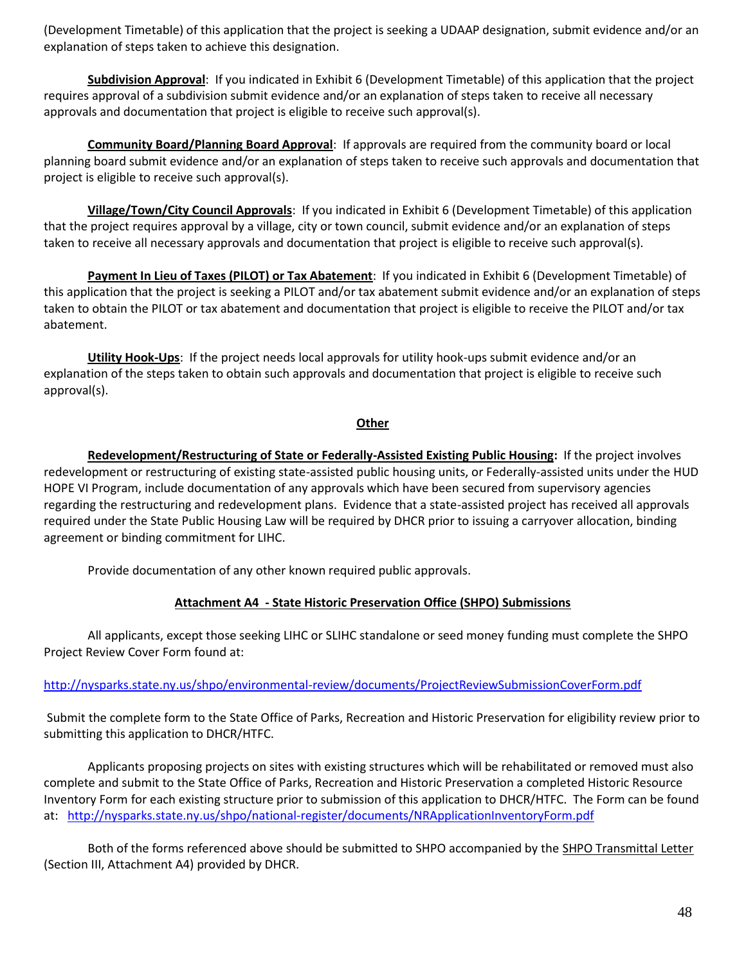(Development Timetable) of this application that the project is seeking a UDAAP designation, submit evidence and/or an explanation of steps taken to achieve this designation.

**Subdivision Approval**: If you indicated in Exhibit 6 (Development Timetable) of this application that the project requires approval of a subdivision submit evidence and/or an explanation of steps taken to receive all necessary approvals and documentation that project is eligible to receive such approval(s).

**Community Board/Planning Board Approval**: If approvals are required from the community board or local planning board submit evidence and/or an explanation of steps taken to receive such approvals and documentation that project is eligible to receive such approval(s).

**Village/Town/City Council Approvals**: If you indicated in Exhibit 6 (Development Timetable) of this application that the project requires approval by a village, city or town council, submit evidence and/or an explanation of steps taken to receive all necessary approvals and documentation that project is eligible to receive such approval(s).

**Payment In Lieu of Taxes (PILOT) or Tax Abatement**: If you indicated in Exhibit 6 (Development Timetable) of this application that the project is seeking a PILOT and/or tax abatement submit evidence and/or an explanation of steps taken to obtain the PILOT or tax abatement and documentation that project is eligible to receive the PILOT and/or tax abatement.

**Utility Hook-Ups**: If the project needs local approvals for utility hook-ups submit evidence and/or an explanation of the steps taken to obtain such approvals and documentation that project is eligible to receive such approval(s).

#### **Other**

**Redevelopment/Restructuring of State or Federally-Assisted Existing Public Housing:** If the project involves redevelopment or restructuring of existing state-assisted public housing units, or Federally-assisted units under the HUD HOPE VI Program, include documentation of any approvals which have been secured from supervisory agencies regarding the restructuring and redevelopment plans. Evidence that a state-assisted project has received all approvals required under the State Public Housing Law will be required by DHCR prior to issuing a carryover allocation, binding agreement or binding commitment for LIHC.

Provide documentation of any other known required public approvals.

# **Attachment A4 - State Historic Preservation Office (SHPO) Submissions**

All applicants, except those seeking LIHC or SLIHC standalone or seed money funding must complete the SHPO Project Review Cover Form found at:

# <http://nysparks.state.ny.us/shpo/environmental-review/documents/ProjectReviewSubmissionCoverForm.pdf>

Submit the complete form to the State Office of Parks, Recreation and Historic Preservation for eligibility review prior to submitting this application to DHCR/HTFC.

Applicants proposing projects on sites with existing structures which will be rehabilitated or removed must also complete and submit to the State Office of Parks, Recreation and Historic Preservation a completed Historic Resource Inventory Form for each existing structure prior to submission of this application to DHCR/HTFC. The Form can be found at: <http://nysparks.state.ny.us/shpo/national-register/documents/NRApplicationInventoryForm.pdf>

Both of the forms referenced above should be submitted to SHPO accompanied by the SHPO Transmittal Letter (Section III, Attachment A4) provided by DHCR.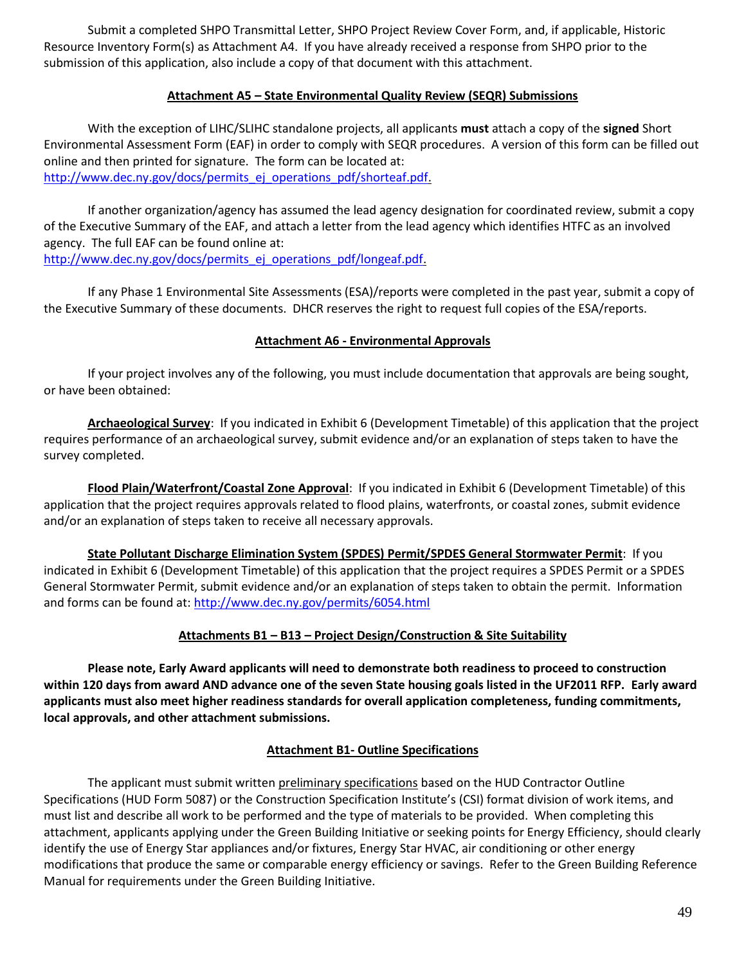Submit a completed SHPO Transmittal Letter, SHPO Project Review Cover Form, and, if applicable, Historic Resource Inventory Form(s) as Attachment A4. If you have already received a response from SHPO prior to the submission of this application, also include a copy of that document with this attachment.

# **Attachment A5 – State Environmental Quality Review (SEQR) Submissions**

With the exception of LIHC/SLIHC standalone projects, all applicants **must** attach a copy of the **signed** Short Environmental Assessment Form (EAF) in order to comply with SEQR procedures. A version of this form can be filled out online and then printed for signature. The form can be located at: [http://www.dec.ny.gov/docs/permits\\_ej\\_operations\\_pdf/shorteaf.pdf.](http://www.dec.ny.gov/docs/permits_ej_operations_pdf/shorteaf.pdf)

If another organization/agency has assumed the lead agency designation for coordinated review, submit a copy of the Executive Summary of the EAF, and attach a letter from the lead agency which identifies HTFC as an involved agency. The full EAF can be found online at: [http://www.dec.ny.gov/docs/permits\\_ej\\_operations\\_pdf/longeaf.pdf.](http://www.dec.ny.gov/docs/permits_ej_operations_pdf/longeaf.pdf)

If any Phase 1 Environmental Site Assessments (ESA)/reports were completed in the past year, submit a copy of the Executive Summary of these documents. DHCR reserves the right to request full copies of the ESA/reports.

# **Attachment A6 - Environmental Approvals**

If your project involves any of the following, you must include documentation that approvals are being sought, or have been obtained:

**Archaeological Survey**: If you indicated in Exhibit 6 (Development Timetable) of this application that the project requires performance of an archaeological survey, submit evidence and/or an explanation of steps taken to have the survey completed.

**Flood Plain/Waterfront/Coastal Zone Approval**: If you indicated in Exhibit 6 (Development Timetable) of this application that the project requires approvals related to flood plains, waterfronts, or coastal zones, submit evidence and/or an explanation of steps taken to receive all necessary approvals.

**State Pollutant Discharge Elimination System (SPDES) Permit/SPDES General Stormwater Permit**: If you indicated in Exhibit 6 (Development Timetable) of this application that the project requires a SPDES Permit or a SPDES General Stormwater Permit, submit evidence and/or an explanation of steps taken to obtain the permit. Information and forms can be found at:<http://www.dec.ny.gov/permits/6054.html>

# **Attachments B1 – B13 – Project Design/Construction & Site Suitability**

**Please note, Early Award applicants will need to demonstrate both readiness to proceed to construction within 120 days from award AND advance one of the seven State housing goals listed in the UF2011 RFP. Early award applicants must also meet higher readiness standards for overall application completeness, funding commitments, local approvals, and other attachment submissions.**

# **Attachment B1- Outline Specifications**

The applicant must submit written preliminary specifications based on the HUD Contractor Outline Specifications (HUD Form 5087) or the Construction Specification Institute's (CSI) format division of work items, and must list and describe all work to be performed and the type of materials to be provided. When completing this attachment, applicants applying under the Green Building Initiative or seeking points for Energy Efficiency, should clearly identify the use of Energy Star appliances and/or fixtures, Energy Star HVAC, air conditioning or other energy modifications that produce the same or comparable energy efficiency or savings. Refer to the Green Building Reference Manual for requirements under the Green Building Initiative.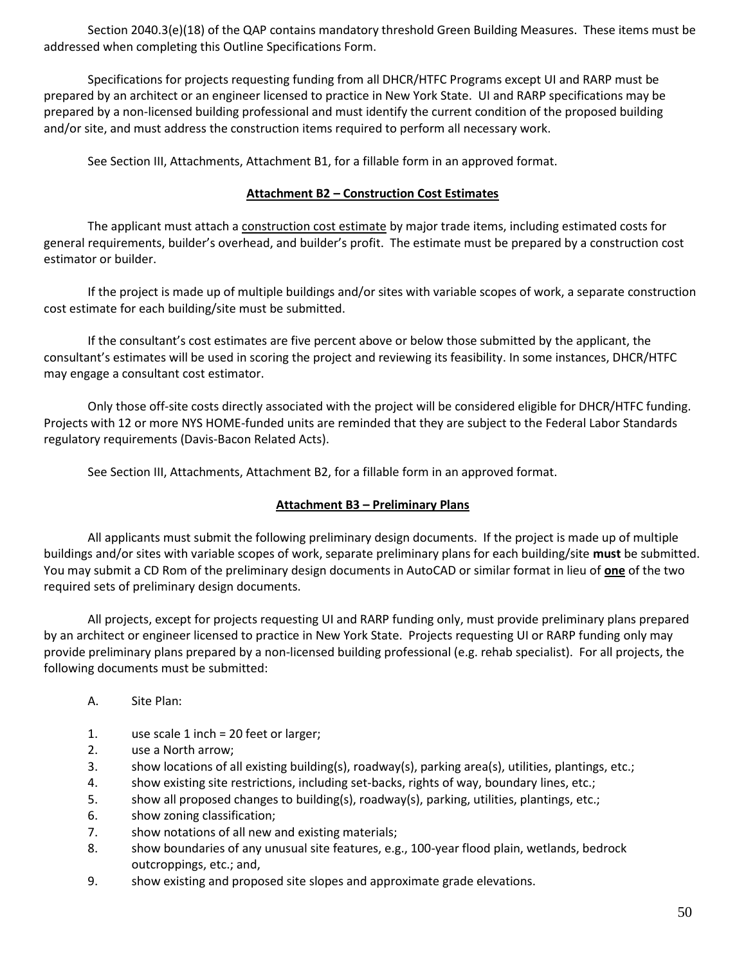Section 2040.3(e)(18) of the QAP contains mandatory threshold Green Building Measures. These items must be addressed when completing this Outline Specifications Form.

Specifications for projects requesting funding from all DHCR/HTFC Programs except UI and RARP must be prepared by an architect or an engineer licensed to practice in New York State. UI and RARP specifications may be prepared by a non-licensed building professional and must identify the current condition of the proposed building and/or site, and must address the construction items required to perform all necessary work.

See Section III, Attachments, Attachment B1, for a fillable form in an approved format.

### **Attachment B2 – Construction Cost Estimates**

The applicant must attach a construction cost estimate by major trade items, including estimated costs for general requirements, builder's overhead, and builder's profit. The estimate must be prepared by a construction cost estimator or builder.

If the project is made up of multiple buildings and/or sites with variable scopes of work, a separate construction cost estimate for each building/site must be submitted.

If the consultant's cost estimates are five percent above or below those submitted by the applicant, the consultant's estimates will be used in scoring the project and reviewing its feasibility. In some instances, DHCR/HTFC may engage a consultant cost estimator.

Only those off-site costs directly associated with the project will be considered eligible for DHCR/HTFC funding. Projects with 12 or more NYS HOME-funded units are reminded that they are subject to the Federal Labor Standards regulatory requirements (Davis-Bacon Related Acts).

See Section III, Attachments, Attachment B2, for a fillable form in an approved format.

# **Attachment B3 – Preliminary Plans**

All applicants must submit the following preliminary design documents. If the project is made up of multiple buildings and/or sites with variable scopes of work, separate preliminary plans for each building/site **must** be submitted. You may submit a CD Rom of the preliminary design documents in AutoCAD or similar format in lieu of **one** of the two required sets of preliminary design documents.

All projects, except for projects requesting UI and RARP funding only, must provide preliminary plans prepared by an architect or engineer licensed to practice in New York State. Projects requesting UI or RARP funding only may provide preliminary plans prepared by a non-licensed building professional (e.g. rehab specialist). For all projects, the following documents must be submitted:

- A. Site Plan:
- 1. use scale 1 inch = 20 feet or larger;
- 2. use a North arrow;
- 3. show locations of all existing building(s), roadway(s), parking area(s), utilities, plantings, etc.;
- 4. show existing site restrictions, including set-backs, rights of way, boundary lines, etc.;
- 5. show all proposed changes to building(s), roadway(s), parking, utilities, plantings, etc.;
- 6. show zoning classification;
- 7. show notations of all new and existing materials;
- 8. show boundaries of any unusual site features, e.g., 100-year flood plain, wetlands, bedrock outcroppings, etc.; and,
- 9. show existing and proposed site slopes and approximate grade elevations.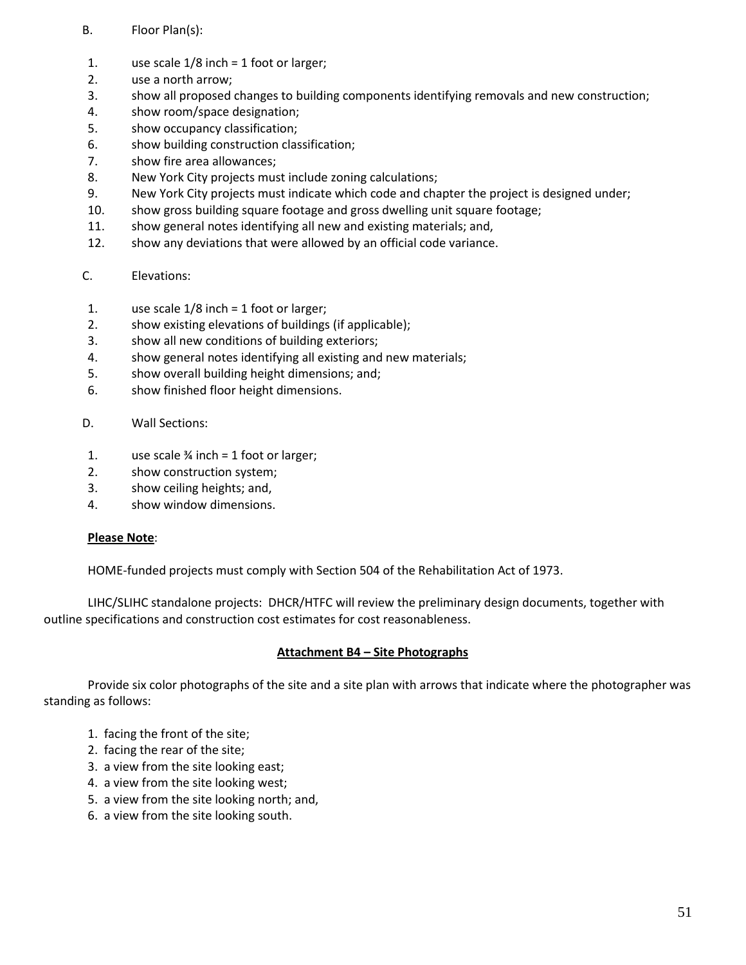# B. Floor Plan(s):

- 1. use scale 1/8 inch = 1 foot or larger;
- 2. use a north arrow;
- 3. show all proposed changes to building components identifying removals and new construction;
- 4. show room/space designation;
- 5. show occupancy classification;
- 6. show building construction classification;
- 7. show fire area allowances;
- 8. New York City projects must include zoning calculations;
- 9. New York City projects must indicate which code and chapter the project is designed under;
- 10. show gross building square footage and gross dwelling unit square footage;
- 11. show general notes identifying all new and existing materials; and,
- 12. show any deviations that were allowed by an official code variance.

# C. Elevations:

- 1. use scale 1/8 inch = 1 foot or larger;
- 2. show existing elevations of buildings (if applicable);
- 3. show all new conditions of building exteriors;
- 4. show general notes identifying all existing and new materials;
- 5. show overall building height dimensions; and;
- 6. show finished floor height dimensions.
- D. Wall Sections:
- 1. use scale  $\frac{3}{4}$  inch = 1 foot or larger;
- 2. show construction system;
- 3. show ceiling heights; and,
- 4. show window dimensions.

#### **Please Note**:

HOME-funded projects must comply with Section 504 of the Rehabilitation Act of 1973.

LIHC/SLIHC standalone projects: DHCR/HTFC will review the preliminary design documents, together with outline specifications and construction cost estimates for cost reasonableness.

# **Attachment B4 – Site Photographs**

Provide six color photographs of the site and a site plan with arrows that indicate where the photographer was standing as follows:

- 1. facing the front of the site;
- 2. facing the rear of the site;
- 3. a view from the site looking east;
- 4. a view from the site looking west;
- 5. a view from the site looking north; and,
- 6. a view from the site looking south.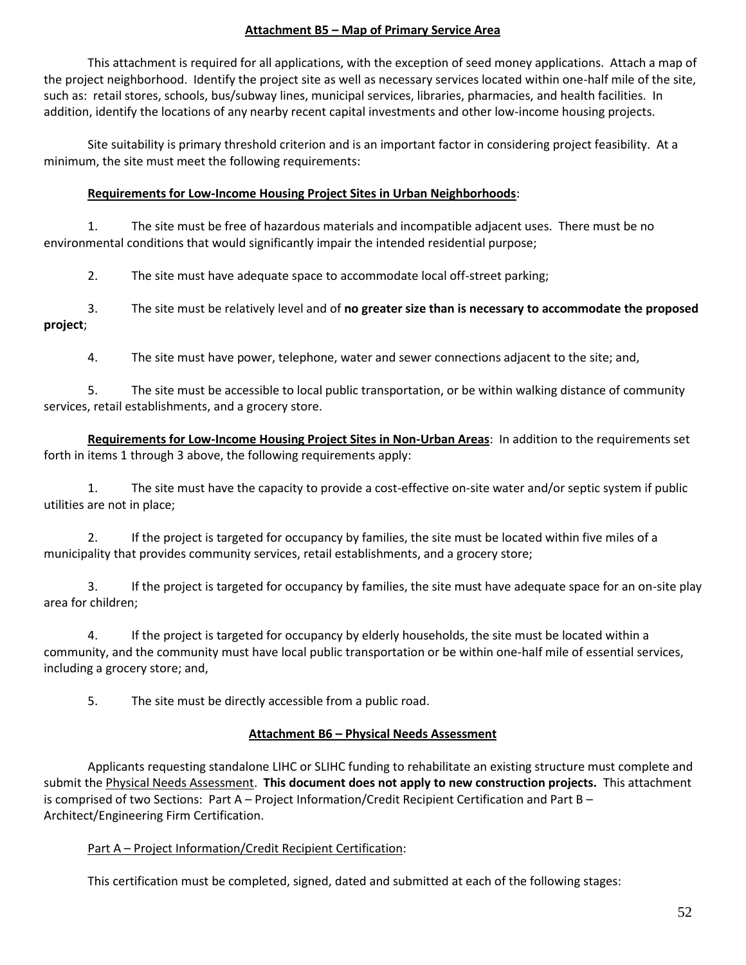### **Attachment B5 – Map of Primary Service Area**

This attachment is required for all applications, with the exception of seed money applications. Attach a map of the project neighborhood. Identify the project site as well as necessary services located within one-half mile of the site, such as: retail stores, schools, bus/subway lines, municipal services, libraries, pharmacies, and health facilities. In addition, identify the locations of any nearby recent capital investments and other low-income housing projects.

Site suitability is primary threshold criterion and is an important factor in considering project feasibility. At a minimum, the site must meet the following requirements:

### **Requirements for Low-Income Housing Project Sites in Urban Neighborhoods**:

1. The site must be free of hazardous materials and incompatible adjacent uses. There must be no environmental conditions that would significantly impair the intended residential purpose;

2. The site must have adequate space to accommodate local off-street parking;

3. The site must be relatively level and of **no greater size than is necessary to accommodate the proposed project**;

4. The site must have power, telephone, water and sewer connections adjacent to the site; and,

5. The site must be accessible to local public transportation, or be within walking distance of community services, retail establishments, and a grocery store.

**Requirements for Low-Income Housing Project Sites in Non-Urban Areas**: In addition to the requirements set forth in items 1 through 3 above, the following requirements apply:

1. The site must have the capacity to provide a cost-effective on-site water and/or septic system if public utilities are not in place;

2. If the project is targeted for occupancy by families, the site must be located within five miles of a municipality that provides community services, retail establishments, and a grocery store;

3. If the project is targeted for occupancy by families, the site must have adequate space for an on-site play area for children;

4. If the project is targeted for occupancy by elderly households, the site must be located within a community, and the community must have local public transportation or be within one-half mile of essential services, including a grocery store; and,

5. The site must be directly accessible from a public road.

# **Attachment B6 – Physical Needs Assessment**

Applicants requesting standalone LIHC or SLIHC funding to rehabilitate an existing structure must complete and submit the Physical Needs Assessment. **This document does not apply to new construction projects.** This attachment is comprised of two Sections: Part A – Project Information/Credit Recipient Certification and Part B – Architect/Engineering Firm Certification.

# Part A – Project Information/Credit Recipient Certification:

This certification must be completed, signed, dated and submitted at each of the following stages: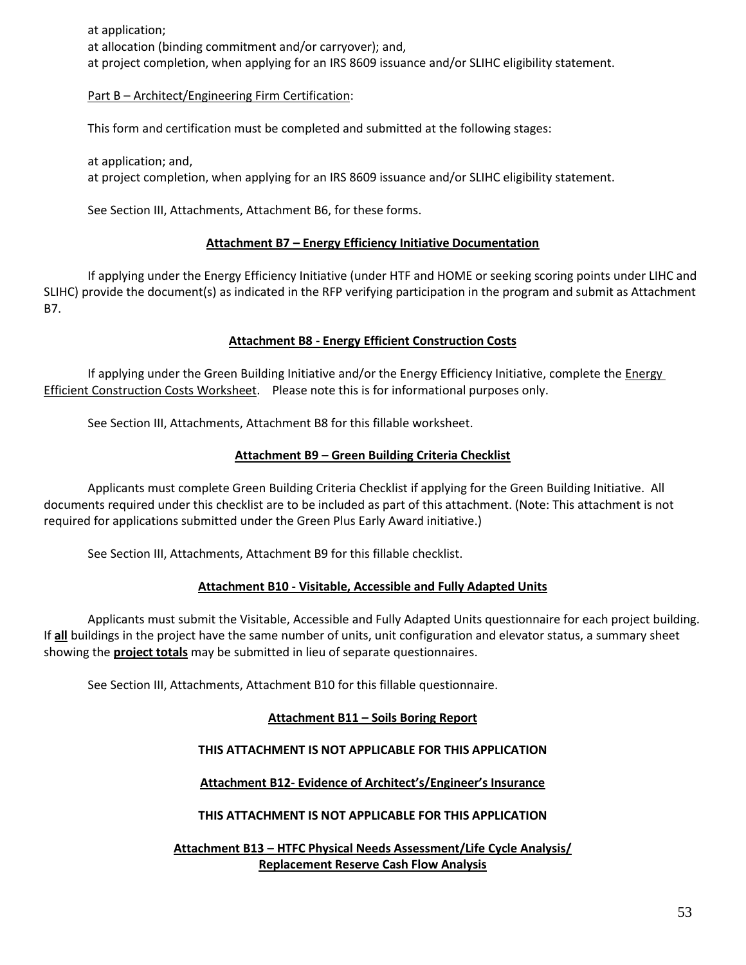at application; at allocation (binding commitment and/or carryover); and, at project completion, when applying for an IRS 8609 issuance and/or SLIHC eligibility statement.

### Part B – Architect/Engineering Firm Certification:

This form and certification must be completed and submitted at the following stages:

at application; and, at project completion, when applying for an IRS 8609 issuance and/or SLIHC eligibility statement.

See Section III, Attachments, Attachment B6, for these forms.

### **Attachment B7 – Energy Efficiency Initiative Documentation**

If applying under the Energy Efficiency Initiative (under HTF and HOME or seeking scoring points under LIHC and SLIHC) provide the document(s) as indicated in the RFP verifying participation in the program and submit as Attachment B7.

#### **Attachment B8 - Energy Efficient Construction Costs**

If applying under the Green Building Initiative and/or the Energy Efficiency Initiative, complete the Energy Efficient Construction Costs Worksheet. Please note this is for informational purposes only.

See Section III, Attachments, Attachment B8 for this fillable worksheet.

### **Attachment B9 – Green Building Criteria Checklist**

Applicants must complete Green Building Criteria Checklist if applying for the Green Building Initiative. All documents required under this checklist are to be included as part of this attachment. (Note: This attachment is not required for applications submitted under the Green Plus Early Award initiative.)

See Section III, Attachments, Attachment B9 for this fillable checklist.

#### **Attachment B10 - Visitable, Accessible and Fully Adapted Units**

Applicants must submit the Visitable, Accessible and Fully Adapted Units questionnaire for each project building. If **all** buildings in the project have the same number of units, unit configuration and elevator status, a summary sheet showing the **project totals** may be submitted in lieu of separate questionnaires.

See Section III, Attachments, Attachment B10 for this fillable questionnaire.

# **Attachment B11 – Soils Boring Report**

# **THIS ATTACHMENT IS NOT APPLICABLE FOR THIS APPLICATION**

**Attachment B12- Evidence of Architect's/Engineer's Insurance**

**THIS ATTACHMENT IS NOT APPLICABLE FOR THIS APPLICATION**

**Attachment B13 – HTFC Physical Needs Assessment/Life Cycle Analysis/ Replacement Reserve Cash Flow Analysis**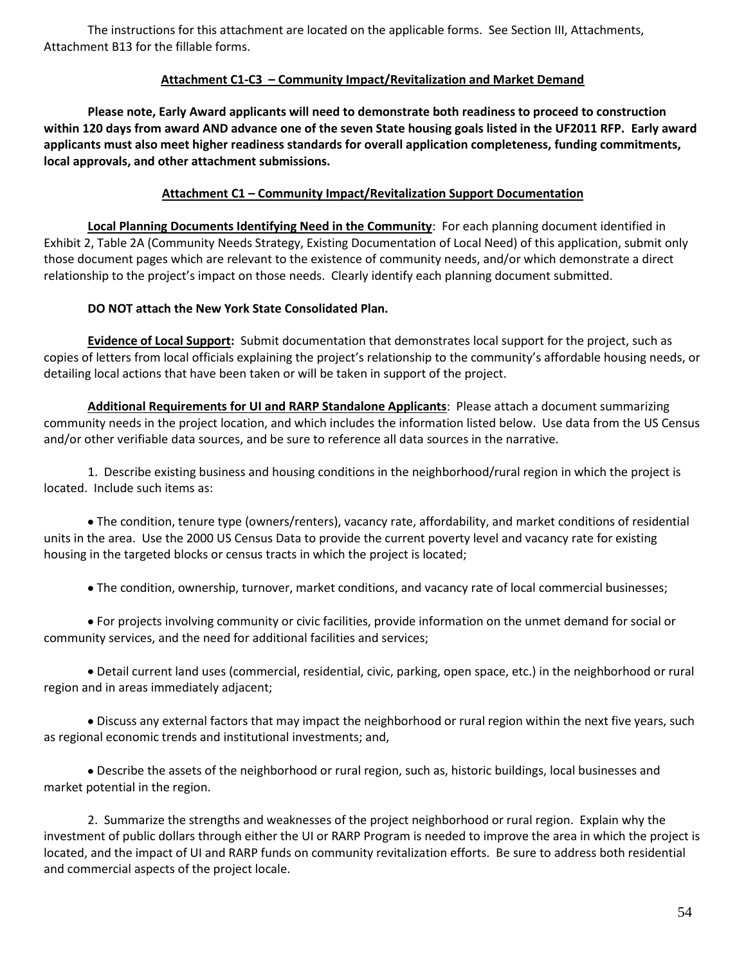The instructions for this attachment are located on the applicable forms. See Section III, Attachments, Attachment B13 for the fillable forms.

### **Attachment C1-C3 – Community Impact/Revitalization and Market Demand**

**Please note, Early Award applicants will need to demonstrate both readiness to proceed to construction within 120 days from award AND advance one of the seven State housing goals listed in the UF2011 RFP. Early award applicants must also meet higher readiness standards for overall application completeness, funding commitments, local approvals, and other attachment submissions.**

### **Attachment C1 – Community Impact/Revitalization Support Documentation**

**Local Planning Documents Identifying Need in the Community**: For each planning document identified in Exhibit 2, Table 2A (Community Needs Strategy, Existing Documentation of Local Need) of this application, submit only those document pages which are relevant to the existence of community needs, and/or which demonstrate a direct relationship to the project's impact on those needs. Clearly identify each planning document submitted.

### **DO NOT attach the New York State Consolidated Plan.**

**Evidence of Local Support:** Submit documentation that demonstrates local support for the project, such as copies of letters from local officials explaining the project's relationship to the community's affordable housing needs, or detailing local actions that have been taken or will be taken in support of the project.

**Additional Requirements for UI and RARP Standalone Applicants**: Please attach a document summarizing community needs in the project location, and which includes the information listed below. Use data from the US Census and/or other verifiable data sources, and be sure to reference all data sources in the narrative.

1. Describe existing business and housing conditions in the neighborhood/rural region in which the project is located. Include such items as:

The condition, tenure type (owners/renters), vacancy rate, affordability, and market conditions of residential units in the area. Use the 2000 US Census Data to provide the current poverty level and vacancy rate for existing housing in the targeted blocks or census tracts in which the project is located;

The condition, ownership, turnover, market conditions, and vacancy rate of local commercial businesses;

For projects involving community or civic facilities, provide information on the unmet demand for social or community services, and the need for additional facilities and services;

Detail current land uses (commercial, residential, civic, parking, open space, etc.) in the neighborhood or rural region and in areas immediately adjacent;

Discuss any external factors that may impact the neighborhood or rural region within the next five years, such as regional economic trends and institutional investments; and,

Describe the assets of the neighborhood or rural region, such as, historic buildings, local businesses and market potential in the region.

2. Summarize the strengths and weaknesses of the project neighborhood or rural region. Explain why the investment of public dollars through either the UI or RARP Program is needed to improve the area in which the project is located, and the impact of UI and RARP funds on community revitalization efforts. Be sure to address both residential and commercial aspects of the project locale.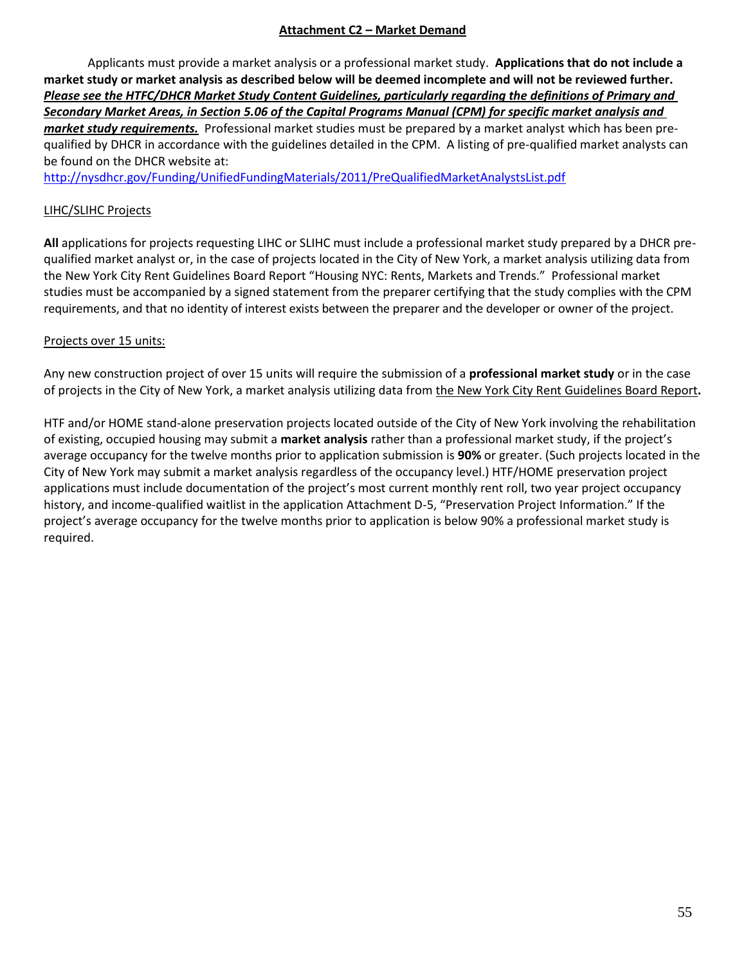# **Attachment C2 – Market Demand**

Applicants must provide a market analysis or a professional market study. **Applications that do not include a market study or market analysis as described below will be deemed incomplete and will not be reviewed further.**  *Please see the HTFC/DHCR Market Study Content Guidelines, particularly regarding the definitions of Primary and Secondary Market Areas, in Section 5.06 of the Capital Programs Manual (CPM) for specific market analysis and market study requirements.* Professional market studies must be prepared by a market analyst which has been prequalified by DHCR in accordance with the guidelines detailed in the CPM. A listing of pre-qualified market analysts can be found on the DHCR website at:

<http://nysdhcr.gov/Funding/UnifiedFundingMaterials/2011/PreQualifiedMarketAnalystsList.pdf>

### LIHC/SLIHC Projects

**All** applications for projects requesting LIHC or SLIHC must include a professional market study prepared by a DHCR prequalified market analyst or, in the case of projects located in the City of New York, a market analysis utilizing data from the New York City Rent Guidelines Board Report "Housing NYC: Rents, Markets and Trends." Professional market studies must be accompanied by a signed statement from the preparer certifying that the study complies with the CPM requirements, and that no identity of interest exists between the preparer and the developer or owner of the project.

### Projects over 15 units:

Any new construction project of over 15 units will require the submission of a **professional market study** or in the case of projects in the City of New York, a market analysis utilizing data from the New York City Rent Guidelines Board Report**.**

HTF and/or HOME stand-alone preservation projects located outside of the City of New York involving the rehabilitation of existing, occupied housing may submit a **market analysis** rather than a professional market study, if the project's average occupancy for the twelve months prior to application submission is **90%** or greater. (Such projects located in the City of New York may submit a market analysis regardless of the occupancy level.) HTF/HOME preservation project applications must include documentation of the project's most current monthly rent roll, two year project occupancy history, and income-qualified waitlist in the application Attachment D-5, "Preservation Project Information." If the project's average occupancy for the twelve months prior to application is below 90% a professional market study is required.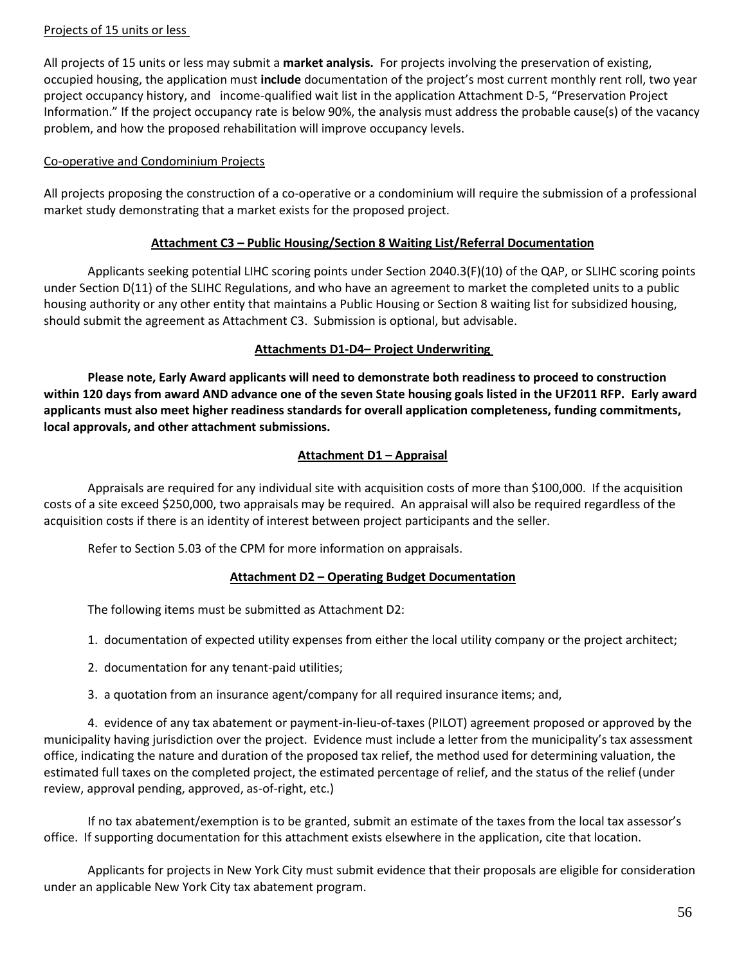### Projects of 15 units or less

All projects of 15 units or less may submit a **market analysis.** For projects involving the preservation of existing, occupied housing, the application must **include** documentation of the project's most current monthly rent roll, two year project occupancy history, and income-qualified wait list in the application Attachment D-5, "Preservation Project Information." If the project occupancy rate is below 90%, the analysis must address the probable cause(s) of the vacancy problem, and how the proposed rehabilitation will improve occupancy levels.

### Co-operative and Condominium Projects

All projects proposing the construction of a co-operative or a condominium will require the submission of a professional market study demonstrating that a market exists for the proposed project.

### **Attachment C3 – Public Housing/Section 8 Waiting List/Referral Documentation**

Applicants seeking potential LIHC scoring points under Section 2040.3(F)(10) of the QAP, or SLIHC scoring points under Section D(11) of the SLIHC Regulations, and who have an agreement to market the completed units to a public housing authority or any other entity that maintains a Public Housing or Section 8 waiting list for subsidized housing, should submit the agreement as Attachment C3. Submission is optional, but advisable.

### **Attachments D1-D4– Project Underwriting**

**Please note, Early Award applicants will need to demonstrate both readiness to proceed to construction within 120 days from award AND advance one of the seven State housing goals listed in the UF2011 RFP. Early award applicants must also meet higher readiness standards for overall application completeness, funding commitments, local approvals, and other attachment submissions.**

# **Attachment D1 – Appraisal**

Appraisals are required for any individual site with acquisition costs of more than \$100,000. If the acquisition costs of a site exceed \$250,000, two appraisals may be required. An appraisal will also be required regardless of the acquisition costs if there is an identity of interest between project participants and the seller.

Refer to Section 5.03 of the CPM for more information on appraisals.

# **Attachment D2 – Operating Budget Documentation**

The following items must be submitted as Attachment D2:

1. documentation of expected utility expenses from either the local utility company or the project architect;

- 2. documentation for any tenant-paid utilities;
- 3. a quotation from an insurance agent/company for all required insurance items; and,

4. evidence of any tax abatement or payment-in-lieu-of-taxes (PILOT) agreement proposed or approved by the municipality having jurisdiction over the project. Evidence must include a letter from the municipality's tax assessment office, indicating the nature and duration of the proposed tax relief, the method used for determining valuation, the estimated full taxes on the completed project, the estimated percentage of relief, and the status of the relief (under review, approval pending, approved, as-of-right, etc.)

If no tax abatement/exemption is to be granted, submit an estimate of the taxes from the local tax assessor's office. If supporting documentation for this attachment exists elsewhere in the application, cite that location.

Applicants for projects in New York City must submit evidence that their proposals are eligible for consideration under an applicable New York City tax abatement program.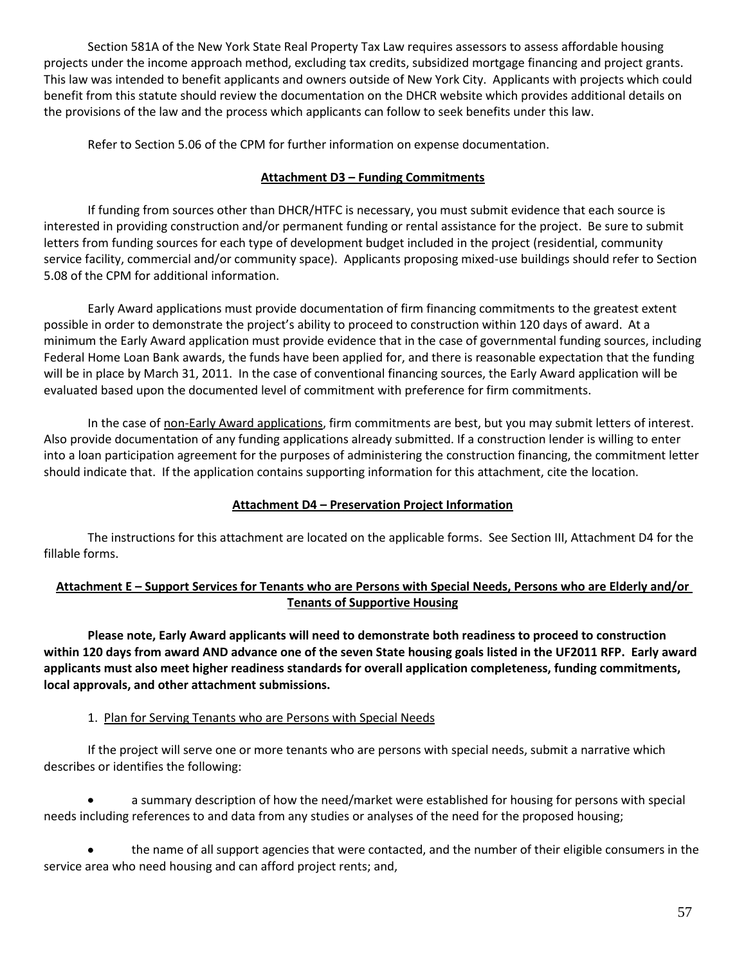Section 581A of the New York State Real Property Tax Law requires assessors to assess affordable housing projects under the income approach method, excluding tax credits, subsidized mortgage financing and project grants. This law was intended to benefit applicants and owners outside of New York City. Applicants with projects which could benefit from this statute should review the documentation on the DHCR website which provides additional details on the provisions of the law and the process which applicants can follow to seek benefits under this law.

Refer to Section 5.06 of the CPM for further information on expense documentation.

# **Attachment D3 – Funding Commitments**

If funding from sources other than DHCR/HTFC is necessary, you must submit evidence that each source is interested in providing construction and/or permanent funding or rental assistance for the project. Be sure to submit letters from funding sources for each type of development budget included in the project (residential, community service facility, commercial and/or community space). Applicants proposing mixed-use buildings should refer to Section 5.08 of the CPM for additional information.

Early Award applications must provide documentation of firm financing commitments to the greatest extent possible in order to demonstrate the project's ability to proceed to construction within 120 days of award. At a minimum the Early Award application must provide evidence that in the case of governmental funding sources, including Federal Home Loan Bank awards, the funds have been applied for, and there is reasonable expectation that the funding will be in place by March 31, 2011. In the case of conventional financing sources, the Early Award application will be evaluated based upon the documented level of commitment with preference for firm commitments.

In the case of non-Early Award applications, firm commitments are best, but you may submit letters of interest. Also provide documentation of any funding applications already submitted. If a construction lender is willing to enter into a loan participation agreement for the purposes of administering the construction financing, the commitment letter should indicate that. If the application contains supporting information for this attachment, cite the location.

# **Attachment D4 – Preservation Project Information**

The instructions for this attachment are located on the applicable forms. See Section III, Attachment D4 for the fillable forms.

# **Attachment E – Support Services for Tenants who are Persons with Special Needs, Persons who are Elderly and/or Tenants of Supportive Housing**

**Please note, Early Award applicants will need to demonstrate both readiness to proceed to construction within 120 days from award AND advance one of the seven State housing goals listed in the UF2011 RFP. Early award applicants must also meet higher readiness standards for overall application completeness, funding commitments, local approvals, and other attachment submissions.**

# 1. Plan for Serving Tenants who are Persons with Special Needs

If the project will serve one or more tenants who are persons with special needs, submit a narrative which describes or identifies the following:

a summary description of how the need/market were established for housing for persons with special needs including references to and data from any studies or analyses of the need for the proposed housing;

the name of all support agencies that were contacted, and the number of their eligible consumers in the service area who need housing and can afford project rents; and,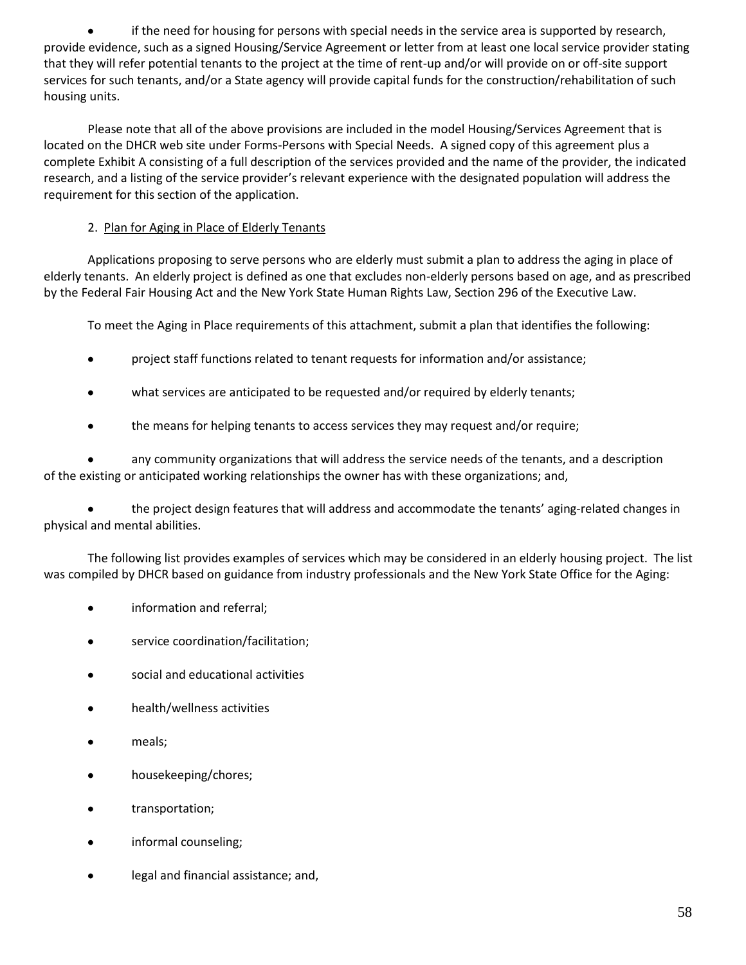if the need for housing for persons with special needs in the service area is supported by research, provide evidence, such as a signed Housing/Service Agreement or letter from at least one local service provider stating that they will refer potential tenants to the project at the time of rent-up and/or will provide on or off-site support services for such tenants, and/or a State agency will provide capital funds for the construction/rehabilitation of such housing units.

Please note that all of the above provisions are included in the model Housing/Services Agreement that is located on the DHCR web site under Forms-Persons with Special Needs. A signed copy of this agreement plus a complete Exhibit A consisting of a full description of the services provided and the name of the provider, the indicated research, and a listing of the service provider's relevant experience with the designated population will address the requirement for this section of the application.

# 2. Plan for Aging in Place of Elderly Tenants

Applications proposing to serve persons who are elderly must submit a plan to address the aging in place of elderly tenants. An elderly project is defined as one that excludes non-elderly persons based on age, and as prescribed by the Federal Fair Housing Act and the New York State Human Rights Law, Section 296 of the Executive Law.

To meet the Aging in Place requirements of this attachment, submit a plan that identifies the following:

- project staff functions related to tenant requests for information and/or assistance;  $\bullet$
- $\bullet$ what services are anticipated to be requested and/or required by elderly tenants;
- $\bullet$ the means for helping tenants to access services they may request and/or require;

any community organizations that will address the service needs of the tenants, and a description of the existing or anticipated working relationships the owner has with these organizations; and,

the project design features that will address and accommodate the tenants' aging-related changes in physical and mental abilities.

The following list provides examples of services which may be considered in an elderly housing project. The list was compiled by DHCR based on guidance from industry professionals and the New York State Office for the Aging:

- information and referral;
- service coordination/facilitation;  $\bullet$
- social and educational activities
- health/wellness activities
- meals;  $\bullet$
- housekeeping/chores;
- $\bullet$ transportation;
- informal counseling;
- legal and financial assistance; and,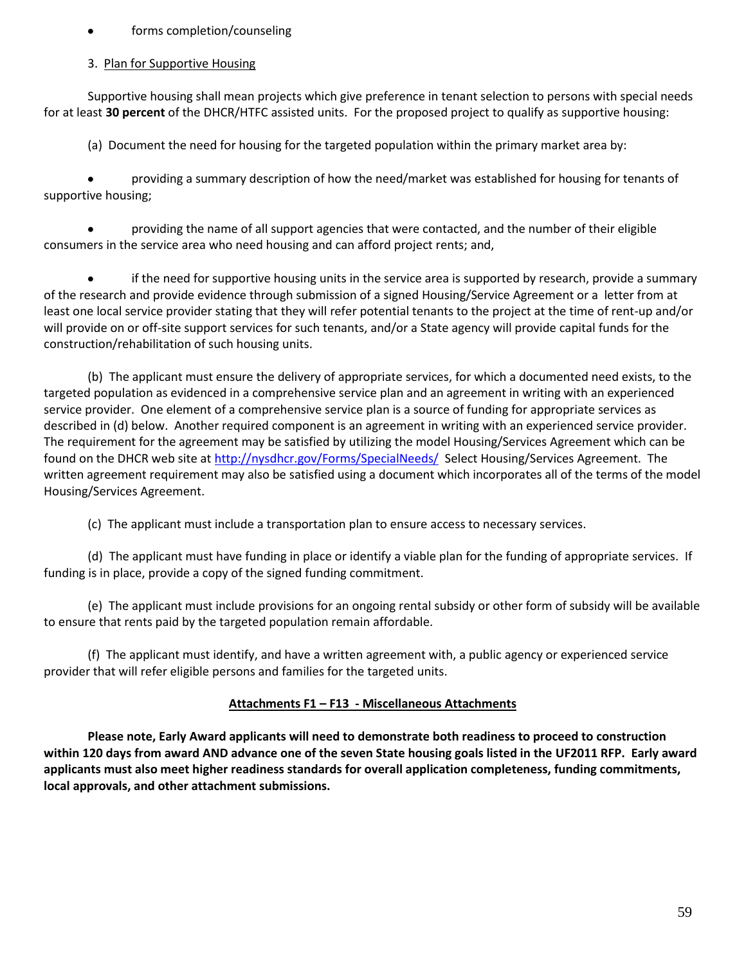### forms completion/counseling

### 3. Plan for Supportive Housing

Supportive housing shall mean projects which give preference in tenant selection to persons with special needs for at least **30 percent** of the DHCR/HTFC assisted units. For the proposed project to qualify as supportive housing:

(a) Document the need for housing for the targeted population within the primary market area by:

providing a summary description of how the need/market was established for housing for tenants of supportive housing;

providing the name of all support agencies that were contacted, and the number of their eligible consumers in the service area who need housing and can afford project rents; and,

if the need for supportive housing units in the service area is supported by research, provide a summary of the research and provide evidence through submission of a signed Housing/Service Agreement or a letter from at least one local service provider stating that they will refer potential tenants to the project at the time of rent-up and/or will provide on or off-site support services for such tenants, and/or a State agency will provide capital funds for the construction/rehabilitation of such housing units.

(b) The applicant must ensure the delivery of appropriate services, for which a documented need exists, to the targeted population as evidenced in a comprehensive service plan and an agreement in writing with an experienced service provider. One element of a comprehensive service plan is a source of funding for appropriate services as described in (d) below. Another required component is an agreement in writing with an experienced service provider. The requirement for the agreement may be satisfied by utilizing the model Housing/Services Agreement which can be found on the DHCR web site at<http://nysdhcr.gov/Forms/SpecialNeeds/>Select Housing/Services Agreement. The written agreement requirement may also be satisfied using a document which incorporates all of the terms of the model Housing/Services Agreement.

(c) The applicant must include a transportation plan to ensure access to necessary services.

(d) The applicant must have funding in place or identify a viable plan for the funding of appropriate services. If funding is in place, provide a copy of the signed funding commitment.

(e) The applicant must include provisions for an ongoing rental subsidy or other form of subsidy will be available to ensure that rents paid by the targeted population remain affordable.

(f) The applicant must identify, and have a written agreement with, a public agency or experienced service provider that will refer eligible persons and families for the targeted units.

# **Attachments F1 – F13 - Miscellaneous Attachments**

**Please note, Early Award applicants will need to demonstrate both readiness to proceed to construction within 120 days from award AND advance one of the seven State housing goals listed in the UF2011 RFP. Early award applicants must also meet higher readiness standards for overall application completeness, funding commitments, local approvals, and other attachment submissions.**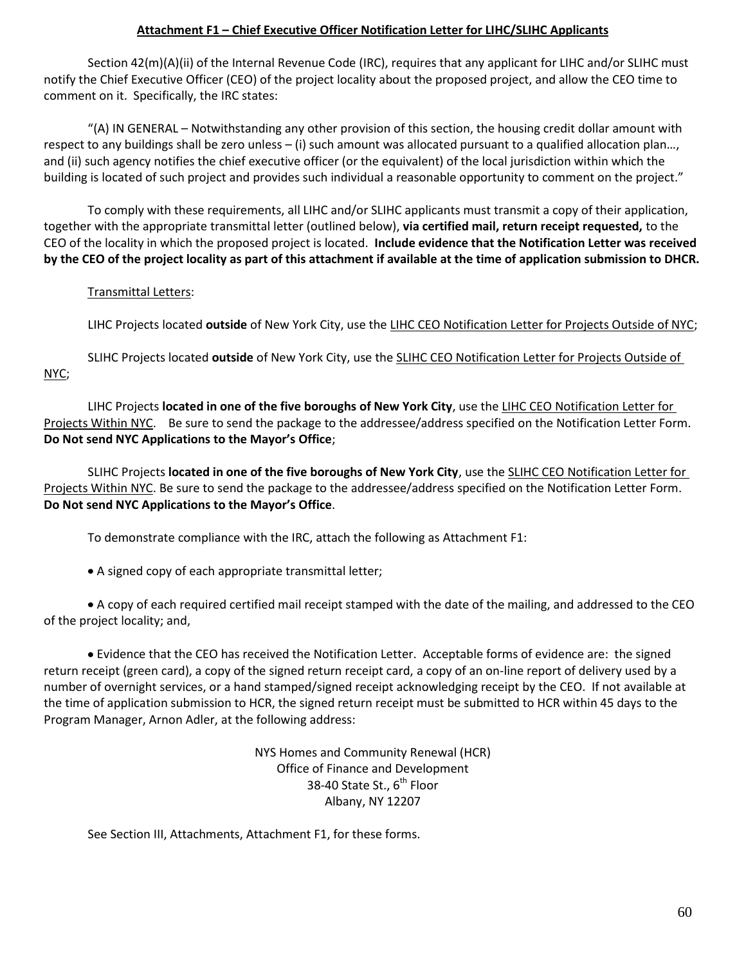### **Attachment F1 – Chief Executive Officer Notification Letter for LIHC/SLIHC Applicants**

Section 42(m)(A)(ii) of the Internal Revenue Code (IRC), requires that any applicant for LIHC and/or SLIHC must notify the Chief Executive Officer (CEO) of the project locality about the proposed project, and allow the CEO time to comment on it. Specifically, the IRC states:

"(A) IN GENERAL – Notwithstanding any other provision of this section, the housing credit dollar amount with respect to any buildings shall be zero unless – (i) such amount was allocated pursuant to a qualified allocation plan…, and (ii) such agency notifies the chief executive officer (or the equivalent) of the local jurisdiction within which the building is located of such project and provides such individual a reasonable opportunity to comment on the project."

To comply with these requirements, all LIHC and/or SLIHC applicants must transmit a copy of their application, together with the appropriate transmittal letter (outlined below), **via certified mail, return receipt requested,** to the CEO of the locality in which the proposed project is located. **Include evidence that the Notification Letter was received by the CEO of the project locality as part of this attachment if available at the time of application submission to DHCR.** 

#### Transmittal Letters:

LIHC Projects located **outside** of New York City, use the LIHC CEO Notification Letter for Projects Outside of NYC;

SLIHC Projects located **outside** of New York City, use the SLIHC CEO Notification Letter for Projects Outside of NYC;

LIHC Projects **located in one of the five boroughs of New York City**, use the LIHC CEO Notification Letter for Projects Within NYC. Be sure to send the package to the addressee/address specified on the Notification Letter Form. **Do Not send NYC Applications to the Mayor's Office**;

SLIHC Projects **located in one of the five boroughs of New York City**, use the SLIHC CEO Notification Letter for Projects Within NYC. Be sure to send the package to the addressee/address specified on the Notification Letter Form. **Do Not send NYC Applications to the Mayor's Office**.

To demonstrate compliance with the IRC, attach the following as Attachment F1:

A signed copy of each appropriate transmittal letter;

A copy of each required certified mail receipt stamped with the date of the mailing, and addressed to the CEO of the project locality; and,

Evidence that the CEO has received the Notification Letter. Acceptable forms of evidence are: the signed return receipt (green card), a copy of the signed return receipt card, a copy of an on-line report of delivery used by a number of overnight services, or a hand stamped/signed receipt acknowledging receipt by the CEO. If not available at the time of application submission to HCR, the signed return receipt must be submitted to HCR within 45 days to the Program Manager, Arnon Adler, at the following address:

> NYS Homes and Community Renewal (HCR) Office of Finance and Development 38-40 State St., 6<sup>th</sup> Floor Albany, NY 12207

See Section III, Attachments, Attachment F1, for these forms.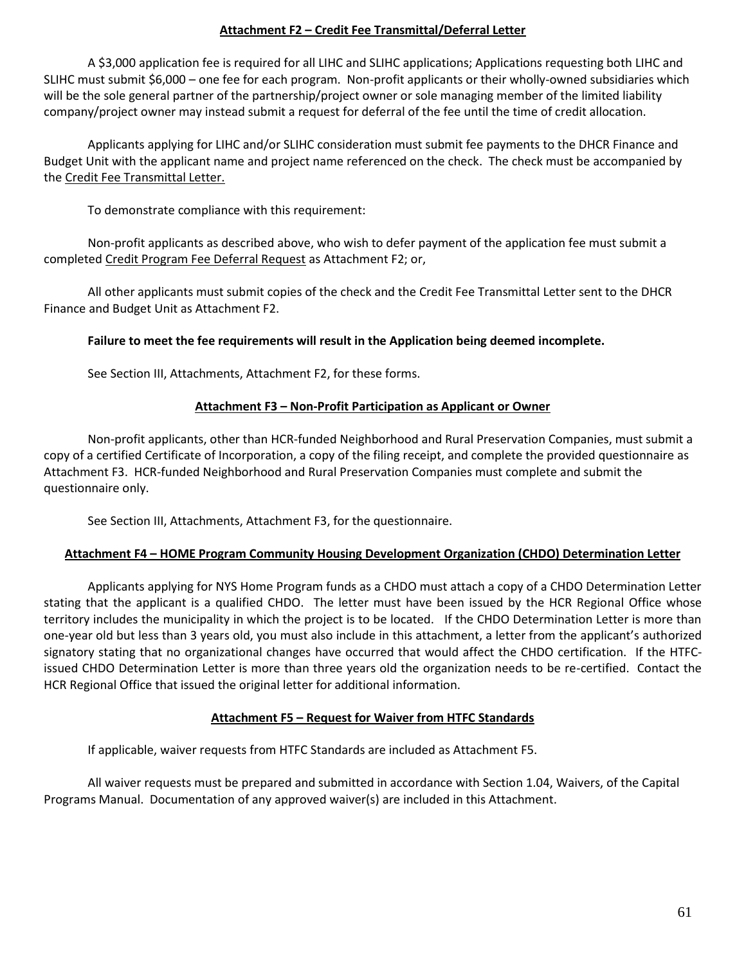### **Attachment F2 – Credit Fee Transmittal/Deferral Letter**

A \$3,000 application fee is required for all LIHC and SLIHC applications; Applications requesting both LIHC and SLIHC must submit \$6,000 – one fee for each program. Non-profit applicants or their wholly-owned subsidiaries which will be the sole general partner of the partnership/project owner or sole managing member of the limited liability company/project owner may instead submit a request for deferral of the fee until the time of credit allocation.

Applicants applying for LIHC and/or SLIHC consideration must submit fee payments to the DHCR Finance and Budget Unit with the applicant name and project name referenced on the check. The check must be accompanied by the Credit Fee Transmittal Letter.

To demonstrate compliance with this requirement:

Non-profit applicants as described above, who wish to defer payment of the application fee must submit a completed Credit Program Fee Deferral Request as Attachment F2; or,

All other applicants must submit copies of the check and the Credit Fee Transmittal Letter sent to the DHCR Finance and Budget Unit as Attachment F2.

#### **Failure to meet the fee requirements will result in the Application being deemed incomplete.**

See Section III, Attachments, Attachment F2, for these forms.

#### **Attachment F3 – Non-Profit Participation as Applicant or Owner**

Non-profit applicants, other than HCR-funded Neighborhood and Rural Preservation Companies, must submit a copy of a certified Certificate of Incorporation, a copy of the filing receipt, and complete the provided questionnaire as Attachment F3. HCR-funded Neighborhood and Rural Preservation Companies must complete and submit the questionnaire only.

See Section III, Attachments, Attachment F3, for the questionnaire.

#### **Attachment F4 – HOME Program Community Housing Development Organization (CHDO) Determination Letter**

Applicants applying for NYS Home Program funds as a CHDO must attach a copy of a CHDO Determination Letter stating that the applicant is a qualified CHDO. The letter must have been issued by the HCR Regional Office whose territory includes the municipality in which the project is to be located. If the CHDO Determination Letter is more than one-year old but less than 3 years old, you must also include in this attachment, a letter from the applicant's authorized signatory stating that no organizational changes have occurred that would affect the CHDO certification. If the HTFCissued CHDO Determination Letter is more than three years old the organization needs to be re-certified. Contact the HCR Regional Office that issued the original letter for additional information.

#### **Attachment F5 – Request for Waiver from HTFC Standards**

If applicable, waiver requests from HTFC Standards are included as Attachment F5.

All waiver requests must be prepared and submitted in accordance with Section 1.04, Waivers, of the Capital Programs Manual. Documentation of any approved waiver(s) are included in this Attachment.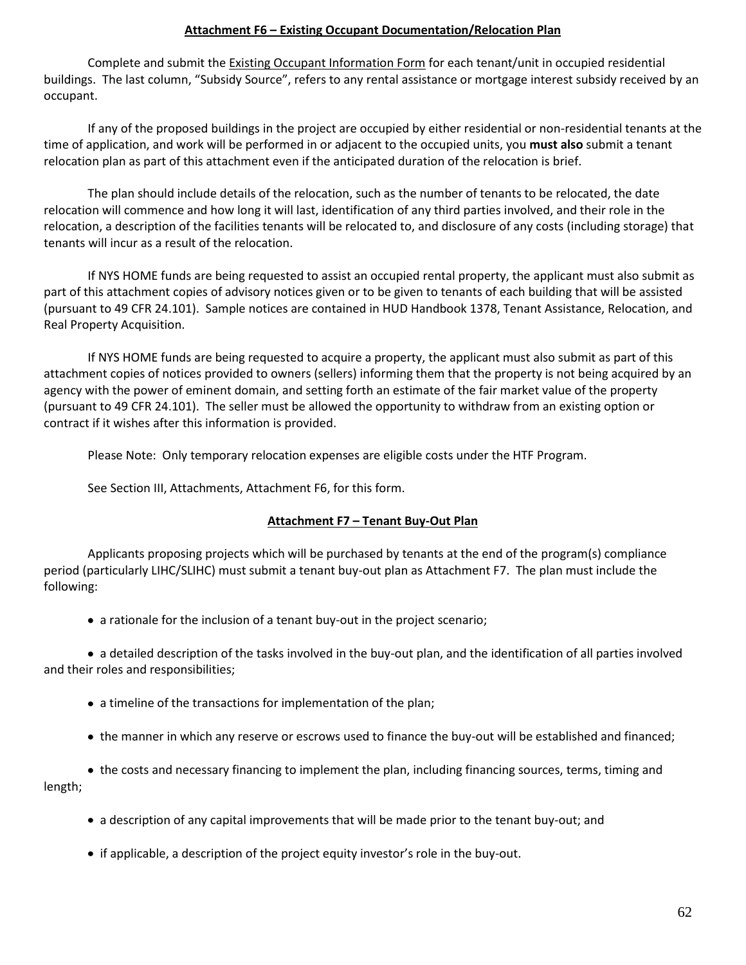### **Attachment F6 – Existing Occupant Documentation/Relocation Plan**

Complete and submit the Existing Occupant Information Form for each tenant/unit in occupied residential buildings. The last column, "Subsidy Source", refers to any rental assistance or mortgage interest subsidy received by an occupant.

If any of the proposed buildings in the project are occupied by either residential or non-residential tenants at the time of application, and work will be performed in or adjacent to the occupied units, you **must also** submit a tenant relocation plan as part of this attachment even if the anticipated duration of the relocation is brief.

The plan should include details of the relocation, such as the number of tenants to be relocated, the date relocation will commence and how long it will last, identification of any third parties involved, and their role in the relocation, a description of the facilities tenants will be relocated to, and disclosure of any costs (including storage) that tenants will incur as a result of the relocation.

If NYS HOME funds are being requested to assist an occupied rental property, the applicant must also submit as part of this attachment copies of advisory notices given or to be given to tenants of each building that will be assisted (pursuant to 49 CFR 24.101). Sample notices are contained in HUD Handbook 1378, Tenant Assistance, Relocation, and Real Property Acquisition.

If NYS HOME funds are being requested to acquire a property, the applicant must also submit as part of this attachment copies of notices provided to owners (sellers) informing them that the property is not being acquired by an agency with the power of eminent domain, and setting forth an estimate of the fair market value of the property (pursuant to 49 CFR 24.101). The seller must be allowed the opportunity to withdraw from an existing option or contract if it wishes after this information is provided.

Please Note: Only temporary relocation expenses are eligible costs under the HTF Program.

See Section III, Attachments, Attachment F6, for this form.

# **Attachment F7 – Tenant Buy-Out Plan**

Applicants proposing projects which will be purchased by tenants at the end of the program(s) compliance period (particularly LIHC/SLIHC) must submit a tenant buy-out plan as Attachment F7. The plan must include the following:

• a rationale for the inclusion of a tenant buy-out in the project scenario;

 a detailed description of the tasks involved in the buy-out plan, and the identification of all parties involved and their roles and responsibilities;

- a timeline of the transactions for implementation of the plan;
- the manner in which any reserve or escrows used to finance the buy-out will be established and financed;

 the costs and necessary financing to implement the plan, including financing sources, terms, timing and length;

- a description of any capital improvements that will be made prior to the tenant buy-out; and
- if applicable, a description of the project equity investor's role in the buy-out.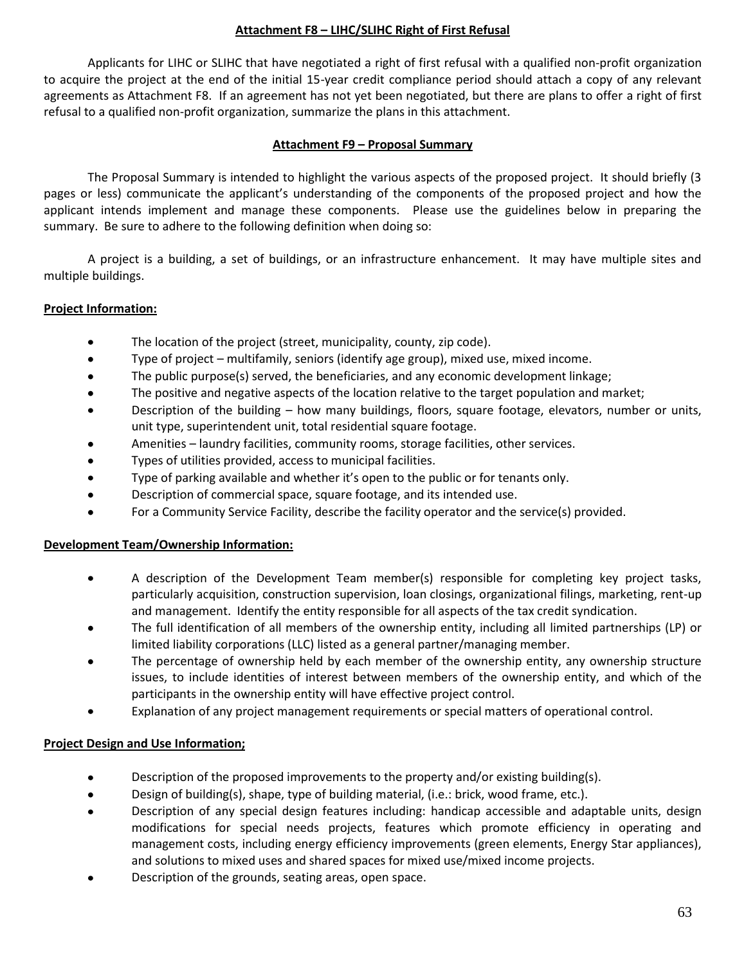### **Attachment F8 – LIHC/SLIHC Right of First Refusal**

Applicants for LIHC or SLIHC that have negotiated a right of first refusal with a qualified non-profit organization to acquire the project at the end of the initial 15-year credit compliance period should attach a copy of any relevant agreements as Attachment F8. If an agreement has not yet been negotiated, but there are plans to offer a right of first refusal to a qualified non-profit organization, summarize the plans in this attachment.

### **Attachment F9 – Proposal Summary**

The Proposal Summary is intended to highlight the various aspects of the proposed project. It should briefly (3 pages or less) communicate the applicant's understanding of the components of the proposed project and how the applicant intends implement and manage these components. Please use the guidelines below in preparing the summary. Be sure to adhere to the following definition when doing so:

A project is a building, a set of buildings, or an infrastructure enhancement. It may have multiple sites and multiple buildings.

# **Project Information:**

- The location of the project (street, municipality, county, zip code).  $\bullet$
- $\bullet$ Type of project – multifamily, seniors (identify age group), mixed use, mixed income.
- The public purpose(s) served, the beneficiaries, and any economic development linkage;  $\bullet$
- $\bullet$ The positive and negative aspects of the location relative to the target population and market;
- Description of the building how many buildings, floors, square footage, elevators, number or units,  $\bullet$ unit type, superintendent unit, total residential square footage.
- Amenities laundry facilities, community rooms, storage facilities, other services.
- Types of utilities provided, access to municipal facilities.  $\bullet$
- Type of parking available and whether it's open to the public or for tenants only.  $\bullet$
- Description of commercial space, square footage, and its intended use.  $\bullet$
- $\bullet$ For a Community Service Facility, describe the facility operator and the service(s) provided.

# **Development Team/Ownership Information:**

- A description of the Development Team member(s) responsible for completing key project tasks,  $\bullet$ particularly acquisition, construction supervision, loan closings, organizational filings, marketing, rent-up and management. Identify the entity responsible for all aspects of the tax credit syndication.
- The full identification of all members of the ownership entity, including all limited partnerships (LP) or limited liability corporations (LLC) listed as a general partner/managing member.
- The percentage of ownership held by each member of the ownership entity, any ownership structure issues, to include identities of interest between members of the ownership entity, and which of the participants in the ownership entity will have effective project control.
- Explanation of any project management requirements or special matters of operational control.

# **Project Design and Use Information;**

- Description of the proposed improvements to the property and/or existing building(s).  $\bullet$
- $\bullet$ Design of building(s), shape, type of building material, (i.e.: brick, wood frame, etc.).
- Description of any special design features including: handicap accessible and adaptable units, design modifications for special needs projects, features which promote efficiency in operating and management costs, including energy efficiency improvements (green elements, Energy Star appliances), and solutions to mixed uses and shared spaces for mixed use/mixed income projects.
- Description of the grounds, seating areas, open space.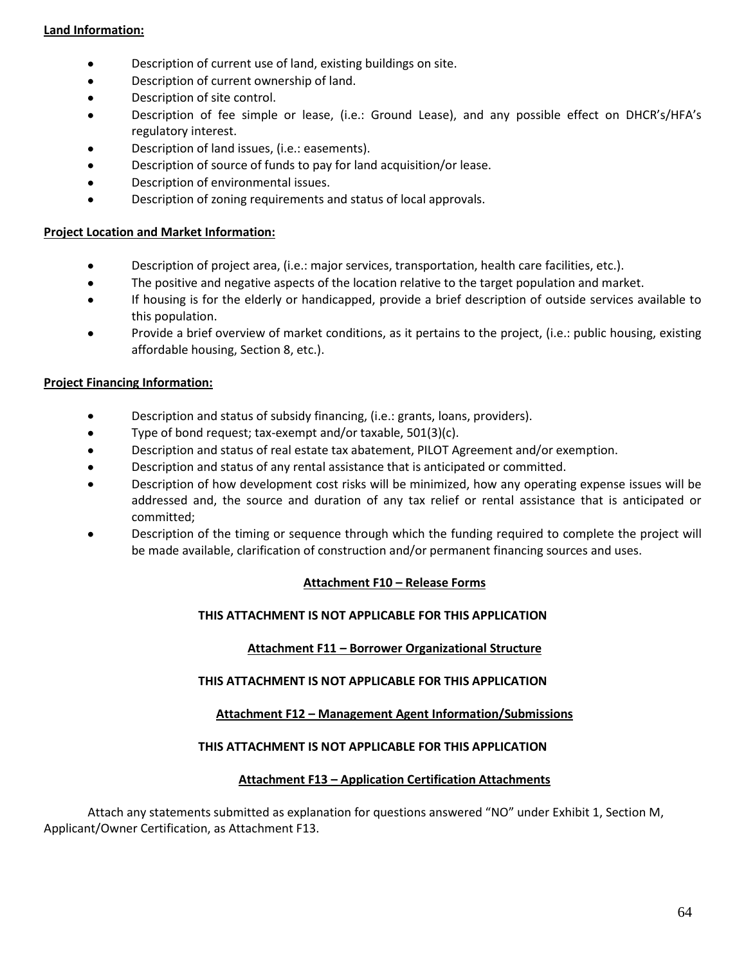### **Land Information:**

- $\bullet$ Description of current use of land, existing buildings on site.
- $\bullet$ Description of current ownership of land.
- Description of site control.  $\bullet$
- Description of fee simple or lease, (i.e.: Ground Lease), and any possible effect on DHCR's/HFA's regulatory interest.
- Description of land issues, (i.e.: easements).
- Description of source of funds to pay for land acquisition/or lease.  $\bullet$
- Description of environmental issues.  $\bullet$
- $\bullet$ Description of zoning requirements and status of local approvals.

#### **Project Location and Market Information:**

- $\bullet$ Description of project area, (i.e.: major services, transportation, health care facilities, etc.).
- The positive and negative aspects of the location relative to the target population and market.  $\bullet$
- If housing is for the elderly or handicapped, provide a brief description of outside services available to this population.
- $\bullet$ Provide a brief overview of market conditions, as it pertains to the project, (i.e.: public housing, existing affordable housing, Section 8, etc.).

#### **Project Financing Information:**

- Description and status of subsidy financing, (i.e.: grants, loans, providers).  $\bullet$
- Type of bond request; tax-exempt and/or taxable, 501(3)(c).  $\bullet$
- Description and status of real estate tax abatement, PILOT Agreement and/or exemption.  $\bullet$
- Description and status of any rental assistance that is anticipated or committed.  $\bullet$
- Description of how development cost risks will be minimized, how any operating expense issues will be addressed and, the source and duration of any tax relief or rental assistance that is anticipated or committed;
- Description of the timing or sequence through which the funding required to complete the project will be made available, clarification of construction and/or permanent financing sources and uses.

#### **Attachment F10 – Release Forms**

#### **THIS ATTACHMENT IS NOT APPLICABLE FOR THIS APPLICATION**

#### **Attachment F11 – Borrower Organizational Structure**

#### **THIS ATTACHMENT IS NOT APPLICABLE FOR THIS APPLICATION**

#### **Attachment F12 – Management Agent Information/Submissions**

#### **THIS ATTACHMENT IS NOT APPLICABLE FOR THIS APPLICATION**

#### **Attachment F13 – Application Certification Attachments**

Attach any statements submitted as explanation for questions answered "NO" under Exhibit 1, Section M, Applicant/Owner Certification, as Attachment F13.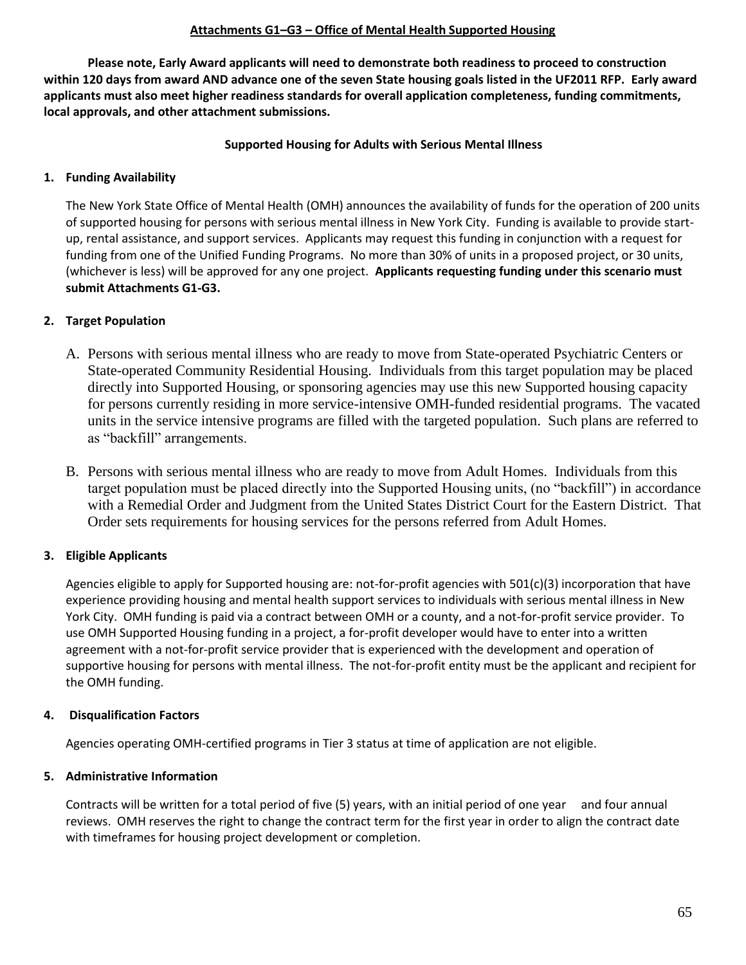### **Attachments G1–G3 – Office of Mental Health Supported Housing**

**Please note, Early Award applicants will need to demonstrate both readiness to proceed to construction within 120 days from award AND advance one of the seven State housing goals listed in the UF2011 RFP. Early award applicants must also meet higher readiness standards for overall application completeness, funding commitments, local approvals, and other attachment submissions.**

### **Supported Housing for Adults with Serious Mental Illness**

# **1. Funding Availability**

The New York State Office of Mental Health (OMH) announces the availability of funds for the operation of 200 units of supported housing for persons with serious mental illness in New York City. Funding is available to provide startup, rental assistance, and support services. Applicants may request this funding in conjunction with a request for funding from one of the Unified Funding Programs. No more than 30% of units in a proposed project, or 30 units, (whichever is less) will be approved for any one project. **Applicants requesting funding under this scenario must submit Attachments G1-G3.**

# **2. Target Population**

- A. Persons with serious mental illness who are ready to move from State-operated Psychiatric Centers or State-operated Community Residential Housing. Individuals from this target population may be placed directly into Supported Housing, or sponsoring agencies may use this new Supported housing capacity for persons currently residing in more service-intensive OMH-funded residential programs. The vacated units in the service intensive programs are filled with the targeted population. Such plans are referred to as "backfill" arrangements.
- B. Persons with serious mental illness who are ready to move from Adult Homes. Individuals from this target population must be placed directly into the Supported Housing units, (no "backfill") in accordance with a Remedial Order and Judgment from the United States District Court for the Eastern District. That Order sets requirements for housing services for the persons referred from Adult Homes.

# **3. Eligible Applicants**

Agencies eligible to apply for Supported housing are: not-for-profit agencies with 501(c)(3) incorporation that have experience providing housing and mental health support services to individuals with serious mental illness in New York City. OMH funding is paid via a contract between OMH or a county, and a not-for-profit service provider. To use OMH Supported Housing funding in a project, a for-profit developer would have to enter into a written agreement with a not-for-profit service provider that is experienced with the development and operation of supportive housing for persons with mental illness. The not-for-profit entity must be the applicant and recipient for the OMH funding.

# **4. Disqualification Factors**

Agencies operating OMH-certified programs in Tier 3 status at time of application are not eligible.

# **5. Administrative Information**

Contracts will be written for a total period of five (5) years, with an initial period of one year and four annual reviews. OMH reserves the right to change the contract term for the first year in order to align the contract date with timeframes for housing project development or completion.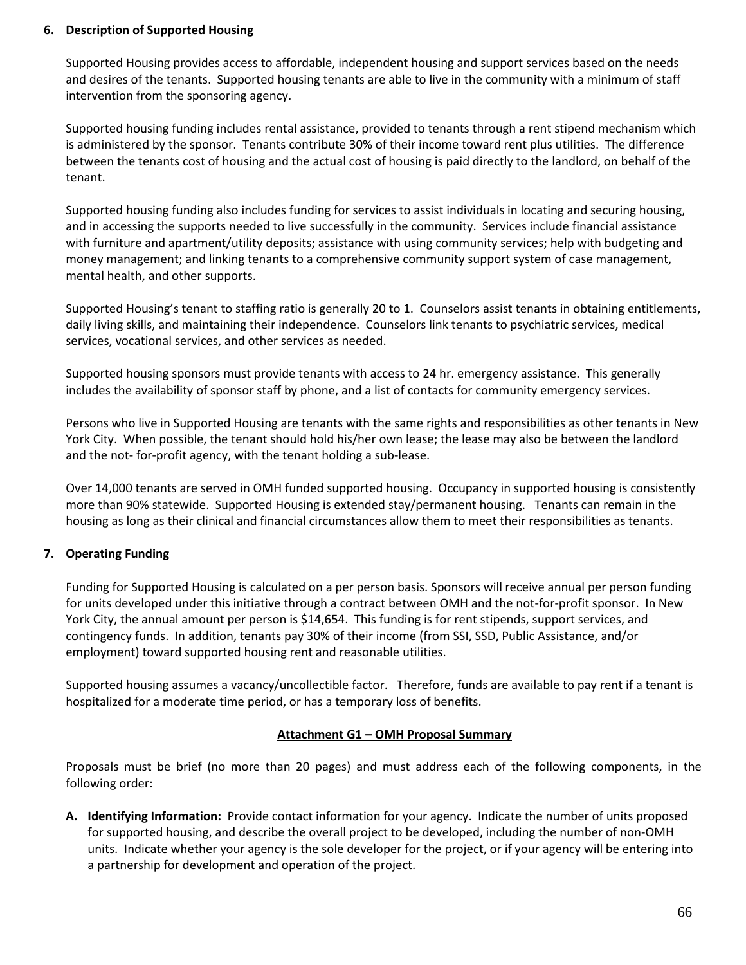### **6. Description of Supported Housing**

Supported Housing provides access to affordable, independent housing and support services based on the needs and desires of the tenants. Supported housing tenants are able to live in the community with a minimum of staff intervention from the sponsoring agency.

Supported housing funding includes rental assistance, provided to tenants through a rent stipend mechanism which is administered by the sponsor. Tenants contribute 30% of their income toward rent plus utilities. The difference between the tenants cost of housing and the actual cost of housing is paid directly to the landlord, on behalf of the tenant.

Supported housing funding also includes funding for services to assist individuals in locating and securing housing, and in accessing the supports needed to live successfully in the community. Services include financial assistance with furniture and apartment/utility deposits; assistance with using community services; help with budgeting and money management; and linking tenants to a comprehensive community support system of case management, mental health, and other supports.

Supported Housing's tenant to staffing ratio is generally 20 to 1. Counselors assist tenants in obtaining entitlements, daily living skills, and maintaining their independence. Counselors link tenants to psychiatric services, medical services, vocational services, and other services as needed.

Supported housing sponsors must provide tenants with access to 24 hr. emergency assistance. This generally includes the availability of sponsor staff by phone, and a list of contacts for community emergency services.

Persons who live in Supported Housing are tenants with the same rights and responsibilities as other tenants in New York City. When possible, the tenant should hold his/her own lease; the lease may also be between the landlord and the not- for-profit agency, with the tenant holding a sub-lease.

Over 14,000 tenants are served in OMH funded supported housing. Occupancy in supported housing is consistently more than 90% statewide. Supported Housing is extended stay/permanent housing. Tenants can remain in the housing as long as their clinical and financial circumstances allow them to meet their responsibilities as tenants.

# **7. Operating Funding**

Funding for Supported Housing is calculated on a per person basis. Sponsors will receive annual per person funding for units developed under this initiative through a contract between OMH and the not-for-profit sponsor. In New York City, the annual amount per person is \$14,654. This funding is for rent stipends, support services, and contingency funds. In addition, tenants pay 30% of their income (from SSI, SSD, Public Assistance, and/or employment) toward supported housing rent and reasonable utilities.

Supported housing assumes a vacancy/uncollectible factor. Therefore, funds are available to pay rent if a tenant is hospitalized for a moderate time period, or has a temporary loss of benefits.

# **Attachment G1 – OMH Proposal Summary**

Proposals must be brief (no more than 20 pages) and must address each of the following components, in the following order:

**A. Identifying Information:** Provide contact information for your agency. Indicate the number of units proposed for supported housing, and describe the overall project to be developed, including the number of non-OMH units. Indicate whether your agency is the sole developer for the project, or if your agency will be entering into a partnership for development and operation of the project.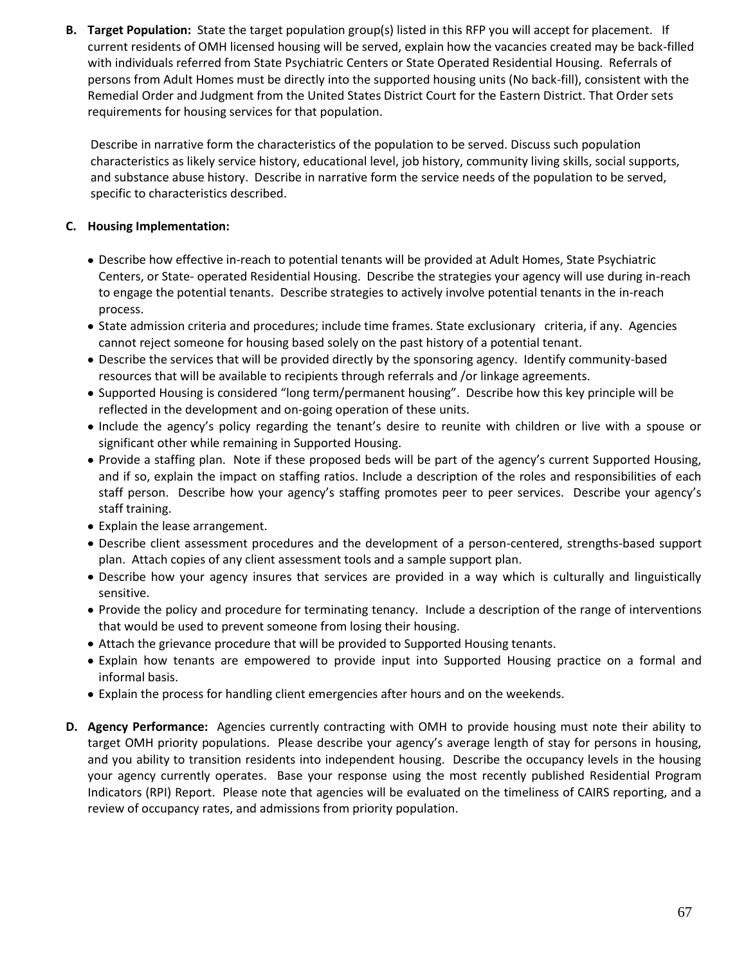**B. Target Population:** State the target population group(s) listed in this RFP you will accept for placement. If current residents of OMH licensed housing will be served, explain how the vacancies created may be back-filled with individuals referred from State Psychiatric Centers or State Operated Residential Housing. Referrals of persons from Adult Homes must be directly into the supported housing units (No back-fill), consistent with the Remedial Order and Judgment from the United States District Court for the Eastern District. That Order sets requirements for housing services for that population.

Describe in narrative form the characteristics of the population to be served. Discuss such population characteristics as likely service history, educational level, job history, community living skills, social supports, and substance abuse history. Describe in narrative form the service needs of the population to be served, specific to characteristics described.

# **C. Housing Implementation:**

- Describe how effective in-reach to potential tenants will be provided at Adult Homes, State Psychiatric Centers, or State- operated Residential Housing. Describe the strategies your agency will use during in-reach to engage the potential tenants. Describe strategies to actively involve potential tenants in the in-reach process.
- State admission criteria and procedures; include time frames. State exclusionary criteria, if any. Agencies cannot reject someone for housing based solely on the past history of a potential tenant.
- Describe the services that will be provided directly by the sponsoring agency. Identify community-based resources that will be available to recipients through referrals and /or linkage agreements.
- Supported Housing is considered "long term/permanent housing". Describe how this key principle will be reflected in the development and on-going operation of these units.
- Include the agency's policy regarding the tenant's desire to reunite with children or live with a spouse or significant other while remaining in Supported Housing.
- Provide a staffing plan. Note if these proposed beds will be part of the agency's current Supported Housing, and if so, explain the impact on staffing ratios. Include a description of the roles and responsibilities of each staff person. Describe how your agency's staffing promotes peer to peer services. Describe your agency's staff training.
- Explain the lease arrangement.
- Describe client assessment procedures and the development of a person-centered, strengths-based support plan. Attach copies of any client assessment tools and a sample support plan.
- Describe how your agency insures that services are provided in a way which is culturally and linguistically sensitive.
- Provide the policy and procedure for terminating tenancy. Include a description of the range of interventions that would be used to prevent someone from losing their housing.
- Attach the grievance procedure that will be provided to Supported Housing tenants.
- Explain how tenants are empowered to provide input into Supported Housing practice on a formal and informal basis.
- Explain the process for handling client emergencies after hours and on the weekends.
- **D. Agency Performance:** Agencies currently contracting with OMH to provide housing must note their ability to target OMH priority populations. Please describe your agency's average length of stay for persons in housing, and you ability to transition residents into independent housing. Describe the occupancy levels in the housing your agency currently operates. Base your response using the most recently published Residential Program Indicators (RPI) Report. Please note that agencies will be evaluated on the timeliness of CAIRS reporting, and a review of occupancy rates, and admissions from priority population.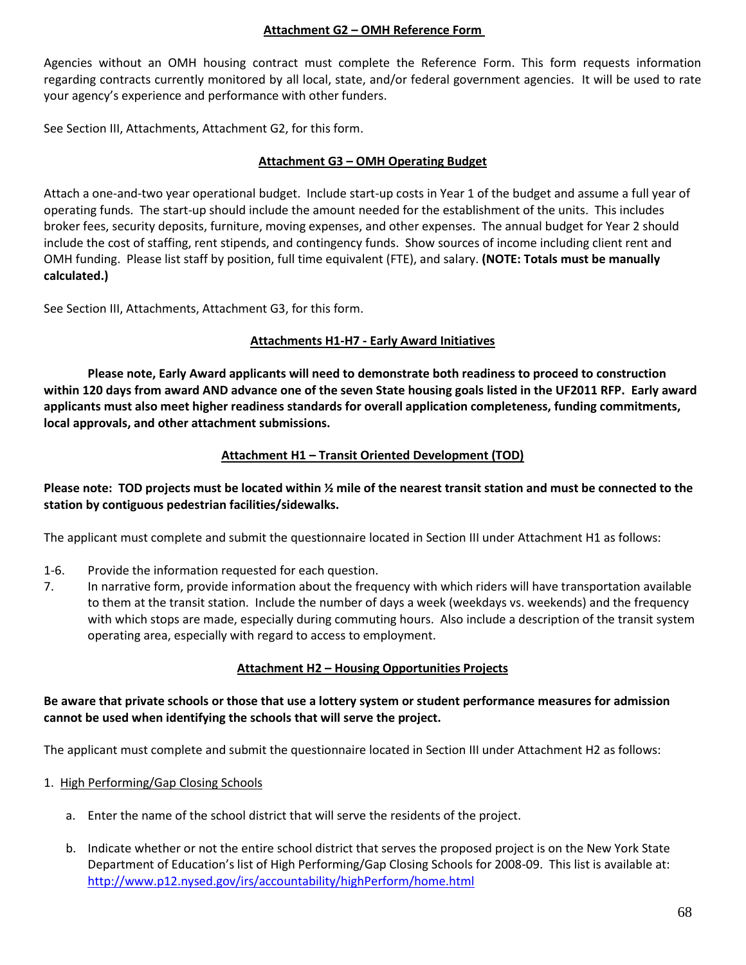### **Attachment G2 – OMH Reference Form**

Agencies without an OMH housing contract must complete the Reference Form. This form requests information regarding contracts currently monitored by all local, state, and/or federal government agencies. It will be used to rate your agency's experience and performance with other funders.

See Section III, Attachments, Attachment G2, for this form.

### **Attachment G3 – OMH Operating Budget**

Attach a one-and-two year operational budget. Include start-up costs in Year 1 of the budget and assume a full year of operating funds. The start-up should include the amount needed for the establishment of the units. This includes broker fees, security deposits, furniture, moving expenses, and other expenses. The annual budget for Year 2 should include the cost of staffing, rent stipends, and contingency funds. Show sources of income including client rent and OMH funding. Please list staff by position, full time equivalent (FTE), and salary. **(NOTE: Totals must be manually calculated.)**

See Section III, Attachments, Attachment G3, for this form.

# **Attachments H1-H7 - Early Award Initiatives**

**Please note, Early Award applicants will need to demonstrate both readiness to proceed to construction within 120 days from award AND advance one of the seven State housing goals listed in the UF2011 RFP. Early award applicants must also meet higher readiness standards for overall application completeness, funding commitments, local approvals, and other attachment submissions.**

# **Attachment H1 – Transit Oriented Development (TOD)**

**Please note: TOD projects must be located within ½ mile of the nearest transit station and must be connected to the station by contiguous pedestrian facilities/sidewalks.**

The applicant must complete and submit the questionnaire located in Section III under Attachment H1 as follows:

- 1-6. Provide the information requested for each question.
- 7. In narrative form, provide information about the frequency with which riders will have transportation available to them at the transit station. Include the number of days a week (weekdays vs. weekends) and the frequency with which stops are made, especially during commuting hours. Also include a description of the transit system operating area, especially with regard to access to employment.

#### **Attachment H2 – Housing Opportunities Projects**

### **Be aware that private schools or those that use a lottery system or student performance measures for admission cannot be used when identifying the schools that will serve the project.**

The applicant must complete and submit the questionnaire located in Section III under Attachment H2 as follows:

- 1. High Performing/Gap Closing Schools
	- a. Enter the name of the school district that will serve the residents of the project.
	- b. Indicate whether or not the entire school district that serves the proposed project is on the New York State Department of Education's list of High Performing/Gap Closing Schools for 2008-09. This list is available at: <http://www.p12.nysed.gov/irs/accountability/highPerform/home.html>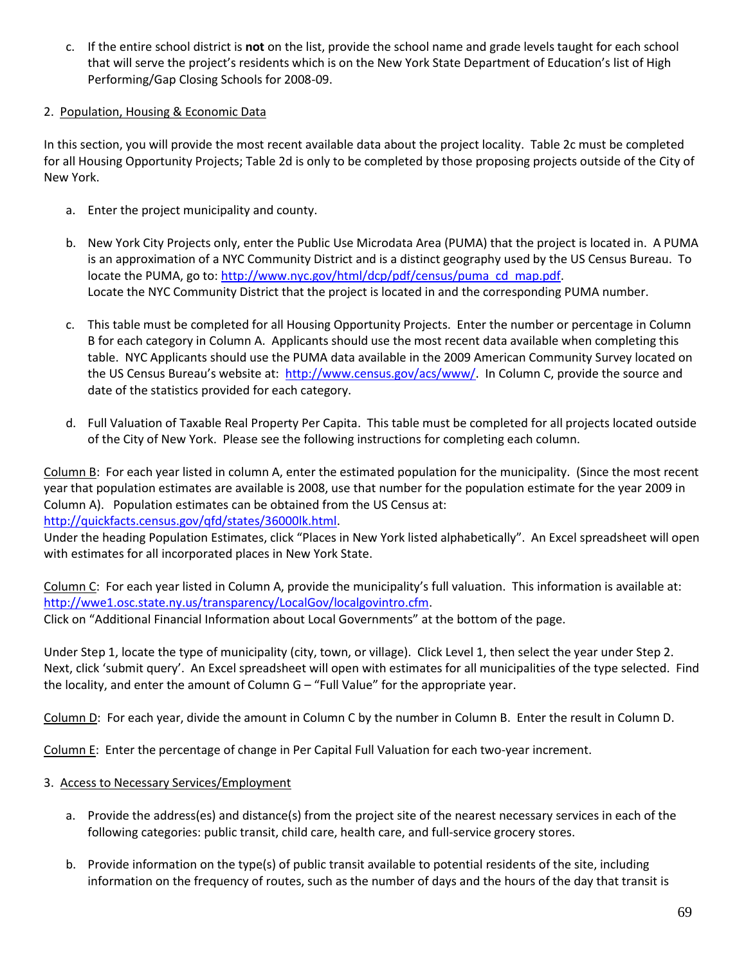c. If the entire school district is **not** on the list, provide the school name and grade levels taught for each school that will serve the project's residents which is on the New York State Department of Education's list of High Performing/Gap Closing Schools for 2008-09.

# 2. Population, Housing & Economic Data

In this section, you will provide the most recent available data about the project locality. Table 2c must be completed for all Housing Opportunity Projects; Table 2d is only to be completed by those proposing projects outside of the City of New York.

- a. Enter the project municipality and county.
- b. New York City Projects only, enter the Public Use Microdata Area (PUMA) that the project is located in. A PUMA is an approximation of a NYC Community District and is a distinct geography used by the US Census Bureau. To locate the PUMA, go to: [http://www.nyc.gov/html/dcp/pdf/census/puma\\_cd\\_map.pdf.](http://www.nyc.gov/html/dcp/pdf/census/puma_cd_map.pdf) Locate the NYC Community District that the project is located in and the corresponding PUMA number.
- c. This table must be completed for all Housing Opportunity Projects. Enter the number or percentage in Column B for each category in Column A. Applicants should use the most recent data available when completing this table. NYC Applicants should use the PUMA data available in the 2009 American Community Survey located on the US Census Bureau's website at: [http://www.census.gov/acs/www/.](http://www.census.gov/acs/www/) In Column C, provide the source and date of the statistics provided for each category.
- d. Full Valuation of Taxable Real Property Per Capita. This table must be completed for all projects located outside of the City of New York. Please see the following instructions for completing each column.

Column B: For each year listed in column A, enter the estimated population for the municipality. (Since the most recent year that population estimates are available is 2008, use that number for the population estimate for the year 2009 in Column A). Population estimates can be obtained from the US Census at:

[http://quickfacts.census.gov/qfd/states/36000lk.html.](http://quickfacts.census.gov/qfd/states/36000lk.html)

Under the heading Population Estimates, click "Places in New York listed alphabetically". An Excel spreadsheet will open with estimates for all incorporated places in New York State.

Column C: For each year listed in Column A, provide the municipality's full valuation. This information is available at: [http://wwe1.osc.state.ny.us/transparency/LocalGov/localgovintro.cfm.](http://wwe1.osc.state.ny.us/transparency/LocalGov/localgovintro.cfm) Click on "Additional Financial Information about Local Governments" at the bottom of the page.

Under Step 1, locate the type of municipality (city, town, or village). Click Level 1, then select the year under Step 2. Next, click 'submit query'. An Excel spreadsheet will open with estimates for all municipalities of the type selected. Find the locality, and enter the amount of Column G – "Full Value" for the appropriate year.

Column D: For each year, divide the amount in Column C by the number in Column B. Enter the result in Column D.

Column E: Enter the percentage of change in Per Capital Full Valuation for each two-year increment.

- 3. Access to Necessary Services/Employment
	- a. Provide the address(es) and distance(s) from the project site of the nearest necessary services in each of the following categories: public transit, child care, health care, and full-service grocery stores.
	- b. Provide information on the type(s) of public transit available to potential residents of the site, including information on the frequency of routes, such as the number of days and the hours of the day that transit is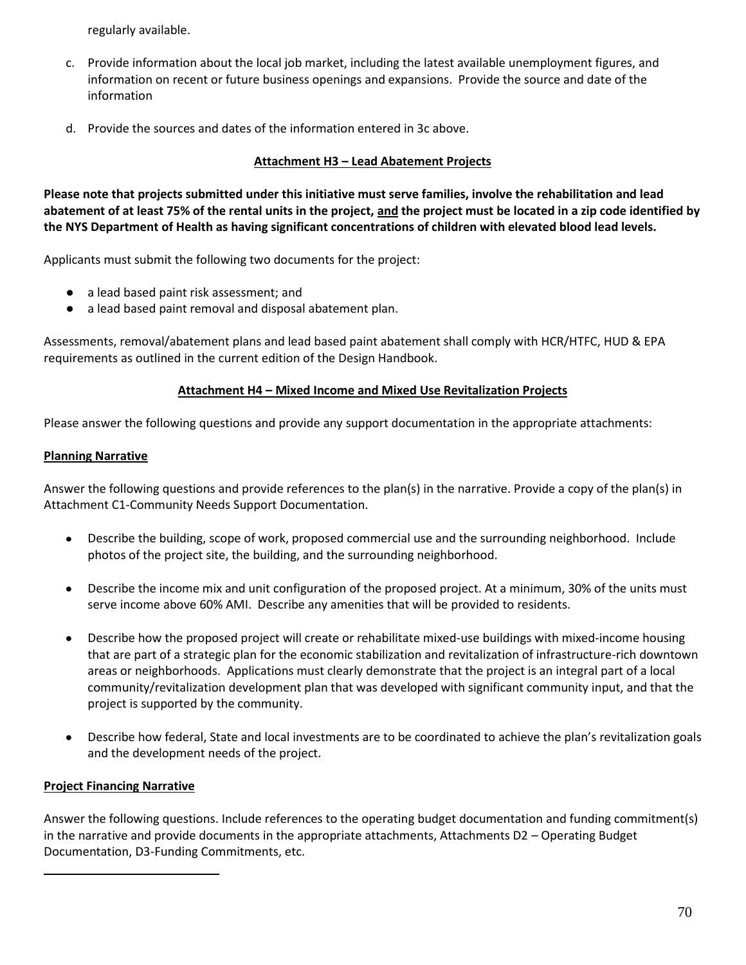regularly available.

- c. Provide information about the local job market, including the latest available unemployment figures, and information on recent or future business openings and expansions. Provide the source and date of the information
- d. Provide the sources and dates of the information entered in 3c above.

### **Attachment H3 – Lead Abatement Projects**

**Please note that projects submitted under this initiative must serve families, involve the rehabilitation and lead abatement of at least 75% of the rental units in the project, and the project must be located in a zip code identified by the NYS Department of Health as having significant concentrations of children with elevated blood lead levels.**

Applicants must submit the following two documents for the project:

- a lead based paint risk assessment; and
- a lead based paint removal and disposal abatement plan.

Assessments, removal/abatement plans and lead based paint abatement shall comply with HCR/HTFC, HUD & EPA requirements as outlined in the current edition of the Design Handbook.

### **Attachment H4 – Mixed Income and Mixed Use Revitalization Projects**

Please answer the following questions and provide any support documentation in the appropriate attachments:

### **Planning Narrative**

Answer the following questions and provide references to the plan(s) in the narrative. Provide a copy of the plan(s) in Attachment C1-Community Needs Support Documentation.

- Describe the building, scope of work, proposed commercial use and the surrounding neighborhood. Include  $\bullet$ photos of the project site, the building, and the surrounding neighborhood.
- Describe the income mix and unit configuration of the proposed project. At a minimum, 30% of the units must serve income above 60% AMI. Describe any amenities that will be provided to residents.
- Describe how the proposed project will create or rehabilitate mixed-use buildings with mixed-income housing that are part of a strategic plan for the economic stabilization and revitalization of infrastructure-rich downtown areas or neighborhoods. Applications must clearly demonstrate that the project is an integral part of a local community/revitalization development plan that was developed with significant community input, and that the project is supported by the community.
- Describe how federal, State and local investments are to be coordinated to achieve the plan's revitalization goals and the development needs of the project.

# **Project Financing Narrative**

Answer the following questions. Include references to the operating budget documentation and funding commitment(s) in the narrative and provide documents in the appropriate attachments, Attachments D2 – Operating Budget Documentation, D3-Funding Commitments, etc.